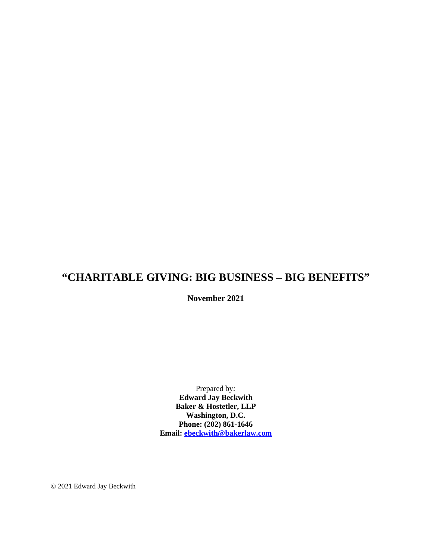# **"CHARITABLE GIVING: BIG BUSINESS – BIG BENEFITS"**

**November 2021**

Prepared by*:* **Edward Jay Beckwith Baker & Hostetler, LLP Washington, D.C. Phone: (202) 861-1646 Email: [ebeckwith@bakerlaw.com](mailto:ebeckwith@bakerlaw.com)**

© 2021 Edward Jay Beckwith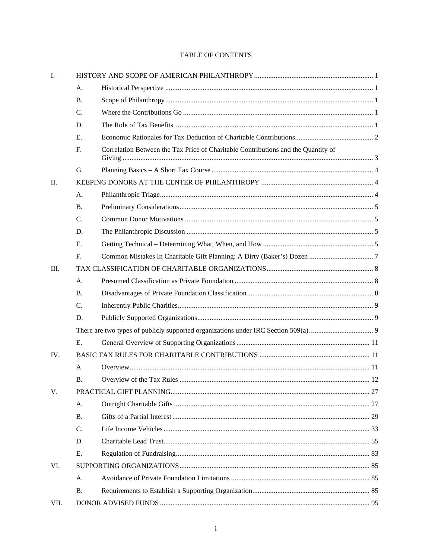# TABLE OF CONTENTS

| Ι.   |           |                                                                                   |  |  |  |
|------|-----------|-----------------------------------------------------------------------------------|--|--|--|
|      | A.        |                                                                                   |  |  |  |
|      | <b>B.</b> |                                                                                   |  |  |  |
|      | C.        |                                                                                   |  |  |  |
|      | D.        |                                                                                   |  |  |  |
|      | Е.        |                                                                                   |  |  |  |
|      | F.        | Correlation Between the Tax Price of Charitable Contributions and the Quantity of |  |  |  |
|      | G.        |                                                                                   |  |  |  |
| Π.   |           |                                                                                   |  |  |  |
|      | A.        |                                                                                   |  |  |  |
|      | <b>B.</b> |                                                                                   |  |  |  |
|      | C.        |                                                                                   |  |  |  |
|      | D.        |                                                                                   |  |  |  |
|      | Ε.        |                                                                                   |  |  |  |
|      | F.        |                                                                                   |  |  |  |
| III. |           |                                                                                   |  |  |  |
|      | A.        |                                                                                   |  |  |  |
|      | B.        |                                                                                   |  |  |  |
|      | C.        |                                                                                   |  |  |  |
|      | D.        |                                                                                   |  |  |  |
|      |           |                                                                                   |  |  |  |
|      | E.        |                                                                                   |  |  |  |
| IV.  |           |                                                                                   |  |  |  |
|      | A.        |                                                                                   |  |  |  |
|      | <b>B.</b> |                                                                                   |  |  |  |
| V.   |           |                                                                                   |  |  |  |
|      | A.        |                                                                                   |  |  |  |
|      | <b>B.</b> |                                                                                   |  |  |  |
|      | C.        |                                                                                   |  |  |  |
|      | D.        |                                                                                   |  |  |  |
|      | Ε.        |                                                                                   |  |  |  |
| VI.  |           |                                                                                   |  |  |  |
|      | A.        |                                                                                   |  |  |  |
|      | <b>B.</b> |                                                                                   |  |  |  |
| VII. |           |                                                                                   |  |  |  |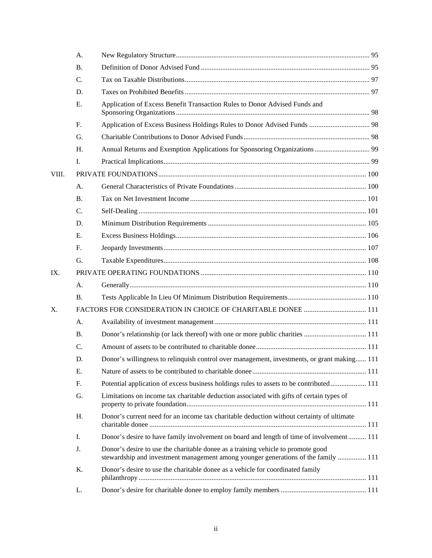|       | A.              |                                                                                                                                                                        |  |
|-------|-----------------|------------------------------------------------------------------------------------------------------------------------------------------------------------------------|--|
|       | <b>B.</b>       |                                                                                                                                                                        |  |
|       | $\mathcal{C}$ . |                                                                                                                                                                        |  |
|       | D.              |                                                                                                                                                                        |  |
|       | E.              | Application of Excess Benefit Transaction Rules to Donor Advised Funds and                                                                                             |  |
|       | F.              | Application of Excess Business Holdings Rules to Donor Advised Funds  98                                                                                               |  |
|       | G.              |                                                                                                                                                                        |  |
|       | H.              |                                                                                                                                                                        |  |
|       | I.              |                                                                                                                                                                        |  |
| VIII. |                 |                                                                                                                                                                        |  |
|       | A.              |                                                                                                                                                                        |  |
|       | <b>B.</b>       |                                                                                                                                                                        |  |
|       | C.              |                                                                                                                                                                        |  |
|       | D.              |                                                                                                                                                                        |  |
|       | Е.              |                                                                                                                                                                        |  |
|       | $F_{\cdot}$     |                                                                                                                                                                        |  |
|       | G.              |                                                                                                                                                                        |  |
| IX.   |                 |                                                                                                                                                                        |  |
|       | A.              |                                                                                                                                                                        |  |
|       | <b>B.</b>       |                                                                                                                                                                        |  |
| X.    |                 |                                                                                                                                                                        |  |
|       | A.              |                                                                                                                                                                        |  |
|       | <b>B.</b>       |                                                                                                                                                                        |  |
|       | C.              |                                                                                                                                                                        |  |
|       | D.              | Donor's willingness to relinquish control over management, investments, or grant making 111                                                                            |  |
|       | E.              |                                                                                                                                                                        |  |
|       | F.              | Potential application of excess business holdings rules to assets to be contributed 111                                                                                |  |
|       | G.              | Limitations on income tax charitable deduction associated with gifts of certain types of                                                                               |  |
|       | H.              | Donor's current need for an income tax charitable deduction without certainty of ultimate                                                                              |  |
|       | I.              | Donor's desire to have family involvement on board and length of time of involvement 111                                                                               |  |
|       | J.              | Donor's desire to use the charitable donee as a training vehicle to promote good<br>stewardship and investment management among younger generations of the family  111 |  |
|       | K.              | Donor's desire to use the charitable donee as a vehicle for coordinated family                                                                                         |  |
|       | L.              |                                                                                                                                                                        |  |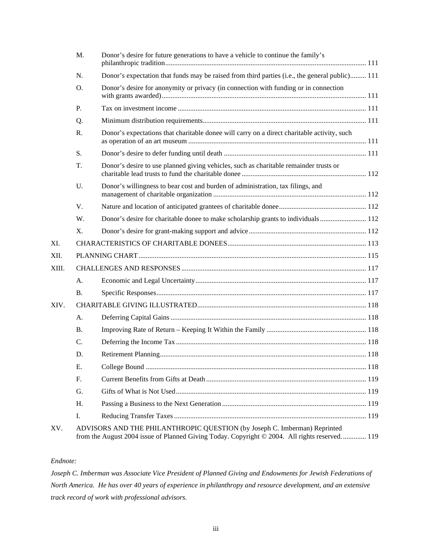|       | M.        | Donor's desire for future generations to have a vehicle to continue the family's                                                                                           |  |
|-------|-----------|----------------------------------------------------------------------------------------------------------------------------------------------------------------------------|--|
|       | N.        | Donor's expectation that funds may be raised from third parties (i.e., the general public) 111                                                                             |  |
|       | O.        | Donor's desire for anonymity or privacy (in connection with funding or in connection                                                                                       |  |
|       | P.        |                                                                                                                                                                            |  |
|       | Q.        |                                                                                                                                                                            |  |
|       | R.        | Donor's expectations that charitable donee will carry on a direct charitable activity, such                                                                                |  |
|       | S.        |                                                                                                                                                                            |  |
|       | T.        | Donor's desire to use planned giving vehicles, such as charitable remainder trusts or                                                                                      |  |
|       | U.        | Donor's willingness to bear cost and burden of administration, tax filings, and                                                                                            |  |
|       | V.        |                                                                                                                                                                            |  |
|       | W.        |                                                                                                                                                                            |  |
|       | X.        |                                                                                                                                                                            |  |
| XI.   |           |                                                                                                                                                                            |  |
| XII.  |           |                                                                                                                                                                            |  |
| XIII. |           |                                                                                                                                                                            |  |
|       | A.        |                                                                                                                                                                            |  |
|       | <b>B.</b> |                                                                                                                                                                            |  |
| XIV.  |           |                                                                                                                                                                            |  |
|       | А.        |                                                                                                                                                                            |  |
|       | <b>B.</b> |                                                                                                                                                                            |  |
|       | C.        |                                                                                                                                                                            |  |
|       | D.        |                                                                                                                                                                            |  |
|       | Ε.        |                                                                                                                                                                            |  |
|       | F.        |                                                                                                                                                                            |  |
|       | G.        |                                                                                                                                                                            |  |
|       | Η.        |                                                                                                                                                                            |  |
|       | I.        |                                                                                                                                                                            |  |
| XV.   |           | ADVISORS AND THE PHILANTHROPIC QUESTION (by Joseph C. Imberman) Reprinted<br>from the August 2004 issue of Planned Giving Today. Copyright © 2004. All rights reserved 119 |  |

## *Endnote:*

*Joseph C. Imberman was Associate Vice President of Planned Giving and Endowments for Jewish Federations of North America. He has over 40 years of experience in philanthropy and resource development, and an extensive track record of work with professional advisors.*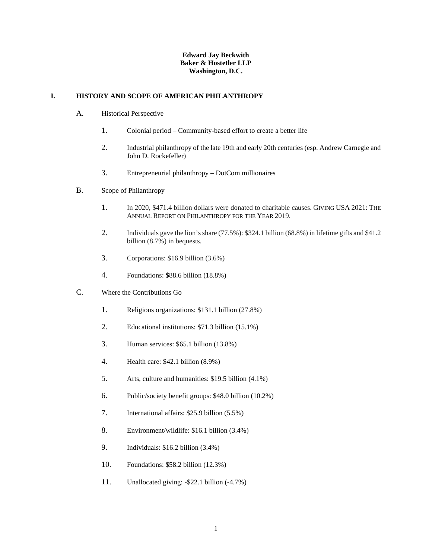## **Edward Jay Beckwith Baker & Hostetler LLP Washington, D.C.**

### <span id="page-4-1"></span><span id="page-4-0"></span>**I. HISTORY AND SCOPE OF AMERICAN PHILANTHROPY**

- A. Historical Perspective
	- 1. Colonial period Community-based effort to create a better life
	- 2. Industrial philanthropy of the late 19th and early 20th centuries (esp. Andrew Carnegie and John D. Rockefeller)
	- 3. Entrepreneurial philanthropy DotCom millionaires
- <span id="page-4-2"></span>B. Scope of Philanthropy
	- 1. In 2020, \$471.4 billion dollars were donated to charitable causes. GIVING USA 2021: THE ANNUAL REPORT ON PHILANTHROPY FOR THE YEAR 2019.
	- 2. Individuals gave the lion's share (77.5%): \$324.1 billion (68.8%) in lifetime gifts and \$41.2 billion (8.7%) in bequests.
	- 3. Corporations: \$16.9 billion (3.6%)
	- 4. Foundations: \$88.6 billion (18.8%)
- <span id="page-4-4"></span><span id="page-4-3"></span>C. Where the Contributions Go
	- 1. Religious organizations: \$131.1 billion (27.8%)
	- 2. Educational institutions: \$71.3 billion (15.1%)
	- 3. Human services: \$65.1 billion (13.8%)
	- 4. Health care: \$42.1 billion (8.9%)
	- 5. Arts, culture and humanities: \$19.5 billion (4.1%)
	- 6. Public/society benefit groups: \$48.0 billion (10.2%)
	- 7. International affairs: \$25.9 billion (5.5%)
	- 8. Environment/wildlife: \$16.1 billion (3.4%)
	- 9. Individuals: \$16.2 billion (3.4%)
	- 10. Foundations: \$58.2 billion (12.3%)
	- 11. Unallocated giving: -\$22.1 billion (-4.7%)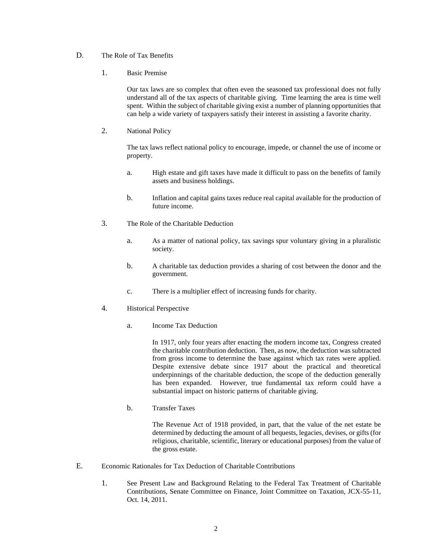## D. The Role of Tax Benefits

1. Basic Premise

Our tax laws are so complex that often even the seasoned tax professional does not fully understand all of the tax aspects of charitable giving. Time learning the area is time well spent. Within the subject of charitable giving exist a number of planning opportunities that can help a wide variety of taxpayers satisfy their interest in assisting a favorite charity.

2. National Policy

The tax laws reflect national policy to encourage, impede, or channel the use of income or property.

- a. High estate and gift taxes have made it difficult to pass on the benefits of family assets and business holdings.
- b. Inflation and capital gains taxes reduce real capital available for the production of future income.
- 3. The Role of the Charitable Deduction
	- a. As a matter of national policy, tax savings spur voluntary giving in a pluralistic society.
	- b. A charitable tax deduction provides a sharing of cost between the donor and the government.
	- c. There is a multiplier effect of increasing funds for charity.
- 4. Historical Perspective
	- a. Income Tax Deduction

In 1917, only four years after enacting the modern income tax, Congress created the charitable contribution deduction. Then, as now, the deduction was subtracted from gross income to determine the base against which tax rates were applied. Despite extensive debate since 1917 about the practical and theoretical underpinnings of the charitable deduction, the scope of the deduction generally has been expanded. However, true fundamental tax reform could have a substantial impact on historic patterns of charitable giving.

b. Transfer Taxes

The Revenue Act of 1918 provided, in part, that the value of the net estate be determined by deducting the amount of all bequests, legacies, devises, or gifts (for religious, charitable, scientific, literary or educational purposes) from the value of the gross estate.

- <span id="page-5-0"></span>E. Economic Rationales for Tax Deduction of Charitable Contributions
	- 1. See Present Law and Background Relating to the Federal Tax Treatment of Charitable Contributions, Senate Committee on Finance, Joint Committee on Taxation, JCX-55-11, Oct. 14, 2011.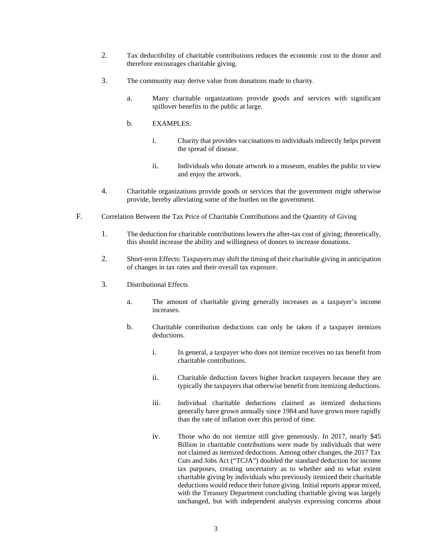- 2. Tax deductibility of charitable contributions reduces the economic cost to the donor and therefore encourages charitable giving.
- 3. The community may derive value from donations made to charity.
	- a. Many charitable organizations provide goods and services with significant spillover benefits to the public at large.
	- b. EXAMPLES:
		- i. Charity that provides vaccinations to individuals indirectly helps prevent the spread of disease.
		- ii. Individuals who donate artwork to a museum, enables the public to view and enjoy the artwork.
- 4. Charitable organizations provide goods or services that the government might otherwise provide, hereby alleviating some of the burden on the government.
- <span id="page-6-0"></span>F. Correlation Between the Tax Price of Charitable Contributions and the Quantity of Giving
	- 1. The deduction for charitable contributions lowers the after-tax cost of giving; theoretically, this should increase the ability and willingness of donors to increase donations.
	- 2. Short-term Effects: Taxpayers may shift the timing of their charitable giving in anticipation of changes in tax rates and their overall tax exposure.
	- 3. Distributional Effects
		- a. The amount of charitable giving generally increases as a taxpayer's income increases.
		- b. Charitable contribution deductions can only be taken if a taxpayer itemizes deductions.
			- i. In general, a taxpayer who does not itemize receives no tax benefit from charitable contributions.
			- ii. Charitable deduction favors higher bracket taxpayers because they are typically the taxpayers that otherwise benefit from itemizing deductions.
			- iii. Individual charitable deductions claimed as itemized deductions generally have grown annually since 1984 and have grown more rapidly than the rate of inflation over this period of time.
			- iv. Those who do not itemize still give generously. In 2017, nearly \$45 Billion in charitable contributions were made by individuals that were not claimed as itemized deductions. Among other changes, the 2017 Tax Cuts and Jobs Act ("TCJA") doubled the standard deduction for income tax purposes, creating uncertainty as to whether and to what extent charitable giving by individuals who previously itemized their charitable deductions would reduce their future giving. Initial reports appear mixed, with the Treasury Department concluding charitable giving was largely unchanged, but with independent analysts expressing concerns about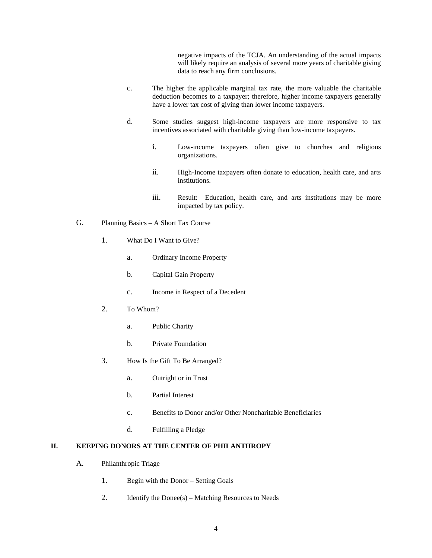negative impacts of the TCJA. An understanding of the actual impacts will likely require an analysis of several more years of charitable giving data to reach any firm conclusions.

- c. The higher the applicable marginal tax rate, the more valuable the charitable deduction becomes to a taxpayer; therefore, higher income taxpayers generally have a lower tax cost of giving than lower income taxpayers.
- d. Some studies suggest high-income taxpayers are more responsive to tax incentives associated with charitable giving than low-income taxpayers.
	- i. Low-income taxpayers often give to churches and religious organizations.
	- ii. High-Income taxpayers often donate to education, health care, and arts institutions.
	- iii. Result: Education, health care, and arts institutions may be more impacted by tax policy.
- <span id="page-7-0"></span>G. Planning Basics – A Short Tax Course
	- 1. What Do I Want to Give?
		- a. Ordinary Income Property
		- b. Capital Gain Property
		- c. Income in Respect of a Decedent
	- 2. To Whom?
		- a. Public Charity
		- b. Private Foundation
	- 3. How Is the Gift To Be Arranged?
		- a. Outright or in Trust
		- b. Partial Interest
		- c. Benefits to Donor and/or Other Noncharitable Beneficiaries
		- d. Fulfilling a Pledge

## <span id="page-7-2"></span><span id="page-7-1"></span>**II. KEEPING DONORS AT THE CENTER OF PHILANTHROPY**

- A. Philanthropic Triage
	- 1. Begin with the Donor Setting Goals
	- 2. Identify the Donee(s) Matching Resources to Needs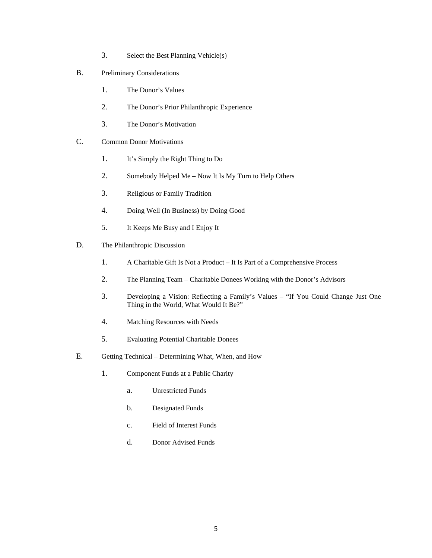- 3. Select the Best Planning Vehicle(s)
- <span id="page-8-0"></span>B. Preliminary Considerations
	- 1. The Donor's Values
	- 2. The Donor's Prior Philanthropic Experience
	- 3. The Donor's Motivation
- <span id="page-8-1"></span>C. Common Donor Motivations
	- 1. It's Simply the Right Thing to Do
	- 2. Somebody Helped Me Now It Is My Turn to Help Others
	- 3. Religious or Family Tradition
	- 4. Doing Well (In Business) by Doing Good
	- 5. It Keeps Me Busy and I Enjoy It
- <span id="page-8-2"></span>D. The Philanthropic Discussion
	- 1. A Charitable Gift Is Not a Product It Is Part of a Comprehensive Process
	- 2. The Planning Team Charitable Donees Working with the Donor's Advisors
	- 3. Developing a Vision: Reflecting a Family's Values "If You Could Change Just One Thing in the World, What Would It Be?"
	- 4. Matching Resources with Needs
	- 5. Evaluating Potential Charitable Donees
- <span id="page-8-3"></span>E. Getting Technical – Determining What, When, and How
	- 1. Component Funds at a Public Charity
		- a. Unrestricted Funds
		- b. Designated Funds
		- c. Field of Interest Funds
		- d. Donor Advised Funds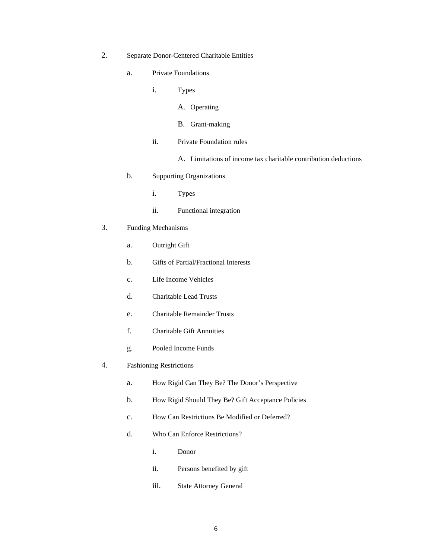- 2. Separate Donor-Centered Charitable Entities
	- a. Private Foundations
		- i. Types
			- A. Operating
			- B. Grant-making
		- ii. Private Foundation rules
			- A. Limitations of income tax charitable contribution deductions
	- b. Supporting Organizations
		- i. Types
		- ii. Functional integration
- 3. Funding Mechanisms
	- a. Outright Gift
	- b. Gifts of Partial/Fractional Interests
	- c. Life Income Vehicles
	- d. Charitable Lead Trusts
	- e. Charitable Remainder Trusts
	- f. Charitable Gift Annuities
	- g. Pooled Income Funds
- 4. Fashioning Restrictions
	- a. How Rigid Can They Be? The Donor's Perspective
	- b. How Rigid Should They Be? Gift Acceptance Policies
	- c. How Can Restrictions Be Modified or Deferred?
	- d. Who Can Enforce Restrictions?
		- i. Donor
		- ii. Persons benefited by gift
		- iii. State Attorney General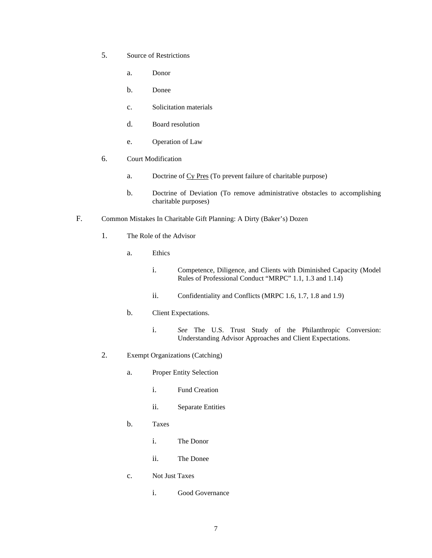- 5. Source of Restrictions
	- a. Donor
	- b. Donee
	- c. Solicitation materials
	- d. Board resolution
	- e. Operation of Law
- 6. Court Modification
	- a. Doctrine of Cy Pres (To prevent failure of charitable purpose)
	- b. Doctrine of Deviation (To remove administrative obstacles to accomplishing charitable purposes)
- <span id="page-10-0"></span>F. Common Mistakes In Charitable Gift Planning: A Dirty (Baker's) Dozen
	- 1. The Role of the Advisor
		- a. Ethics
			- i. Competence, Diligence, and Clients with Diminished Capacity (Model Rules of Professional Conduct "MRPC" 1.1, 1.3 and 1.14)
			- ii. Confidentiality and Conflicts (MRPC 1.6, 1.7, 1.8 and 1.9)
		- b. Client Expectations.
			- i. *See* The U.S. Trust Study of the Philanthropic Conversion: Understanding Advisor Approaches and Client Expectations.
	- 2. Exempt Organizations (Catching)
		- a. Proper Entity Selection
			- i. Fund Creation
			- ii. Separate Entities
		- b. Taxes
			- i. The Donor
			- ii. The Donee
		- c. Not Just Taxes
			- i. Good Governance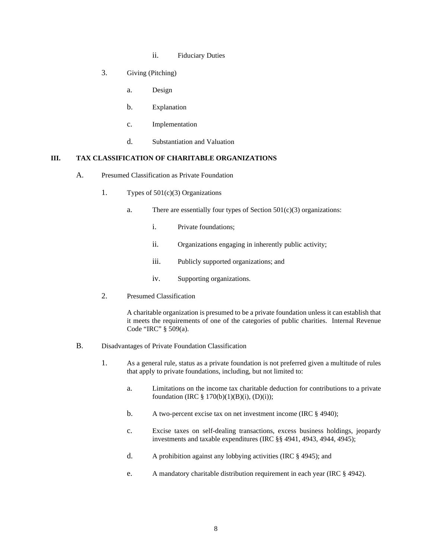- ii. Fiduciary Duties
- 3. Giving (Pitching)
	- a. Design
	- b. Explanation
	- c. Implementation
	- d. Substantiation and Valuation

#### <span id="page-11-1"></span><span id="page-11-0"></span>**III. TAX CLASSIFICATION OF CHARITABLE ORGANIZATIONS**

- A. Presumed Classification as Private Foundation
	- 1. Types of 501(c)(3) Organizations
		- a. There are essentially four types of Section  $501(c)(3)$  organizations:
			- i. Private foundations;
			- ii. Organizations engaging in inherently public activity;
			- iii. Publicly supported organizations; and
			- iv. Supporting organizations.
	- 2. Presumed Classification

A charitable organization is presumed to be a private foundation unless it can establish that it meets the requirements of one of the categories of public charities. Internal Revenue Code "IRC" § 509(a).

- <span id="page-11-2"></span>B. Disadvantages of Private Foundation Classification
	- 1. As a general rule, status as a private foundation is not preferred given a multitude of rules that apply to private foundations, including, but not limited to:
		- a. Limitations on the income tax charitable deduction for contributions to a private foundation (IRC  $\S 170(b)(1)(B)(i)$ , (D)(i));
		- b. A two-percent excise tax on net investment income (IRC § 4940);
		- c. Excise taxes on self-dealing transactions, excess business holdings, jeopardy investments and taxable expenditures (IRC §§ 4941, 4943, 4944, 4945);
		- d. A prohibition against any lobbying activities (IRC § 4945); and
		- e. A mandatory charitable distribution requirement in each year (IRC § 4942).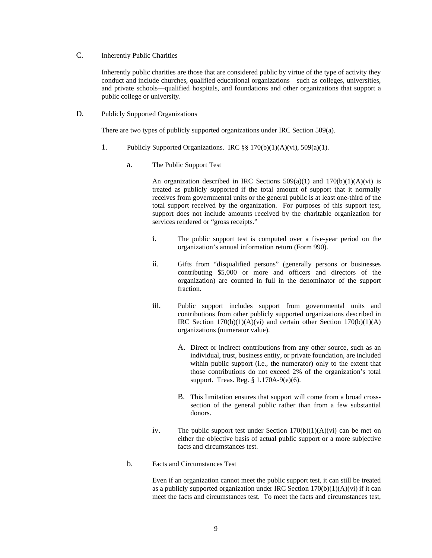## <span id="page-12-0"></span>C. Inherently Public Charities

Inherently public charities are those that are considered public by virtue of the type of activity they conduct and include churches, qualified educational organizations—such as colleges, universities, and private schools—qualified hospitals, and foundations and other organizations that support a public college or university.

<span id="page-12-2"></span><span id="page-12-1"></span>D. Publicly Supported Organizations

There are two types of publicly supported organizations under IRC Section 509(a).

- 1. Publicly Supported Organizations. IRC §§ 170(b)(1)(A)(vi), 509(a)(1).
	- a. The Public Support Test

An organization described in IRC Sections  $509(a)(1)$  and  $170(b)(1)(A)(vi)$  is treated as publicly supported if the total amount of support that it normally receives from governmental units or the general public is at least one-third of the total support received by the organization. For purposes of this support test, support does not include amounts received by the charitable organization for services rendered or "gross receipts."

- i. The public support test is computed over a five-year period on the organization's annual information return (Form 990).
- ii. Gifts from "disqualified persons" (generally persons or businesses contributing \$5,000 or more and officers and directors of the organization) are counted in full in the denominator of the support fraction.
- iii. Public support includes support from governmental units and contributions from other publicly supported organizations described in IRC Section  $170(b)(1)(A)(vi)$  and certain other Section  $170(b)(1)(A)$ organizations (numerator value).
	- A. Direct or indirect contributions from any other source, such as an individual, trust, business entity, or private foundation, are included within public support (i.e., the numerator) only to the extent that those contributions do not exceed 2% of the organization's total support. Treas. Reg. § 1.170A-9(e)(6).
	- B. This limitation ensures that support will come from a broad crosssection of the general public rather than from a few substantial donors.
- iv. The public support test under Section  $170(b)(1)(A)(vi)$  can be met on either the objective basis of actual public support or a more subjective facts and circumstances test.
- b. Facts and Circumstances Test

Even if an organization cannot meet the public support test, it can still be treated as a publicly supported organization under IRC Section  $170(b)(1)(A)(vi)$  if it can meet the facts and circumstances test. To meet the facts and circumstances test,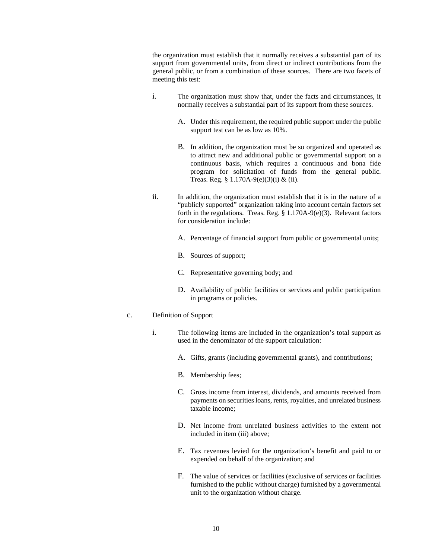the organization must establish that it normally receives a substantial part of its support from governmental units, from direct or indirect contributions from the general public, or from a combination of these sources. There are two facets of meeting this test:

- i. The organization must show that, under the facts and circumstances, it normally receives a substantial part of its support from these sources.
	- A. Under this requirement, the required public support under the public support test can be as low as 10%.
	- B. In addition, the organization must be so organized and operated as to attract new and additional public or governmental support on a continuous basis, which requires a continuous and bona fide program for solicitation of funds from the general public. Treas. Reg. § 1.170A-9(e)(3)(i) & (ii).
- ii. In addition, the organization must establish that it is in the nature of a "publicly supported" organization taking into account certain factors set forth in the regulations. Treas. Reg. § 1.170A-9(e)(3). Relevant factors for consideration include:
	- A. Percentage of financial support from public or governmental units;
	- B. Sources of support;
	- C. Representative governing body; and
	- D. Availability of public facilities or services and public participation in programs or policies.
- c. Definition of Support
	- i. The following items are included in the organization's total support as used in the denominator of the support calculation:
		- A. Gifts, grants (including governmental grants), and contributions;
		- B. Membership fees;
		- C. Gross income from interest, dividends, and amounts received from payments on securities loans, rents, royalties, and unrelated business taxable income;
		- D. Net income from unrelated business activities to the extent not included in item (iii) above;
		- E. Tax revenues levied for the organization's benefit and paid to or expended on behalf of the organization; and
		- F. The value of services or facilities (exclusive of services or facilities furnished to the public without charge) furnished by a governmental unit to the organization without charge.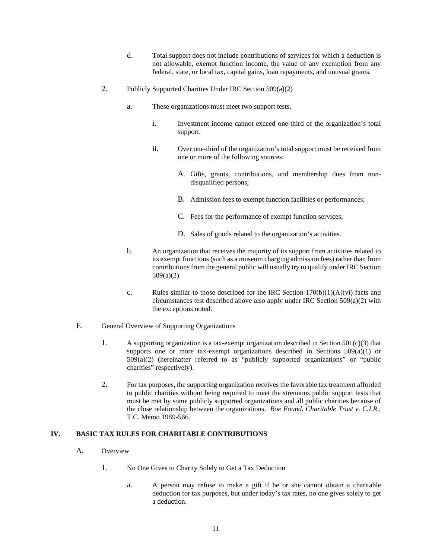- d. Total support does not include contributions of services for which a deduction is not allowable, exempt function income, the value of any exemption from any federal, state, or local tax, capital gains, loan repayments, and unusual grants.
- 2. Publicly Supported Charities Under IRC Section 509(a)(2)
	- a. These organizations must meet two support tests.
		- i. Investment income cannot exceed one-third of the organization's total support.
		- ii. Over one-third of the organization's total support must be received from one or more of the following sources:
			- A. Gifts, grants, contributions, and membership dues from nondisqualified persons;
			- B. Admission fees to exempt function facilities or performances;
			- C. Fees for the performance of exempt function services;
			- D. Sales of goods related to the organization's activities.
	- b. An organization that receives the majority of its support from activities related to its exempt functions (such as a museum charging admission fees) rather than from contributions from the general public will usually try to qualify under IRC Section 509(a)(2).
	- c. Rules similar to those described for the IRC Section  $170(b)(1)(A)(vi)$  facts and circumstances test described above also apply under IRC Section 509(a)(2) with the exceptions noted.
- <span id="page-14-0"></span>E. General Overview of Supporting Organizations
	- 1. A supporting organization is a tax-exempt organization described in Section  $501(c)(3)$  that supports one or more tax-exempt organizations described in Sections  $509(a)(1)$  or 509(a)(2) (hereinafter referred to as "publicly supported organizations" or "public charities" respectively).
	- 2. For tax purposes, the supporting organization receives the favorable tax treatment afforded to public charities without being required to meet the strenuous public support tests that must be met by some publicly supported organizations and all public charities because of the close relationship between the organizations. *Roe Found. Charitable Trust v. C.I.R.*, T.C. Memo 1989-566.

## <span id="page-14-2"></span><span id="page-14-1"></span>**IV. BASIC TAX RULES FOR CHARITABLE CONTRIBUTIONS**

- A. Overview
	- 1. No One Gives to Charity Solely to Get a Tax Deduction
		- a. A person may refuse to make a gift if he or she cannot obtain a charitable deduction for tax purposes, but under today's tax rates, no one gives solely to get a deduction.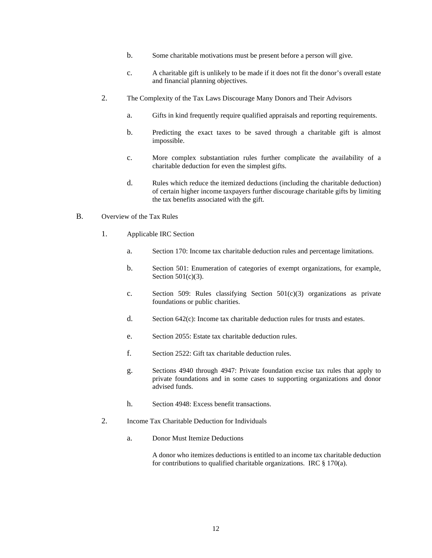- b. Some charitable motivations must be present before a person will give.
- c. A charitable gift is unlikely to be made if it does not fit the donor's overall estate and financial planning objectives.
- 2. The Complexity of the Tax Laws Discourage Many Donors and Their Advisors
	- a. Gifts in kind frequently require qualified appraisals and reporting requirements.
	- b. Predicting the exact taxes to be saved through a charitable gift is almost impossible.
	- c. More complex substantiation rules further complicate the availability of a charitable deduction for even the simplest gifts.
	- d. Rules which reduce the itemized deductions (including the charitable deduction) of certain higher income taxpayers further discourage charitable gifts by limiting the tax benefits associated with the gift.
- <span id="page-15-0"></span>B. Overview of the Tax Rules
	- 1. Applicable IRC Section
		- a. Section 170: Income tax charitable deduction rules and percentage limitations.
		- b. Section 501: Enumeration of categories of exempt organizations, for example, Section 501(c)(3).
		- c. Section 509: Rules classifying Section 501(c)(3) organizations as private foundations or public charities.
		- d. Section 642(c): Income tax charitable deduction rules for trusts and estates.
		- e. Section 2055: Estate tax charitable deduction rules.
		- f. Section 2522: Gift tax charitable deduction rules.
		- g. Sections 4940 through 4947: Private foundation excise tax rules that apply to private foundations and in some cases to supporting organizations and donor advised funds.
		- h. Section 4948: Excess benefit transactions.
	- 2. Income Tax Charitable Deduction for Individuals
		- a. Donor Must Itemize Deductions

A donor who itemizes deductions is entitled to an income tax charitable deduction for contributions to qualified charitable organizations. IRC  $\S 170(a)$ .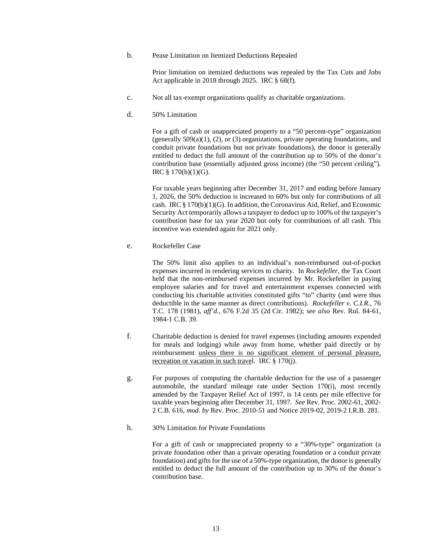b. Pease Limitation on Itemized Deductions Repealed

Prior limitation on itemized deductions was repealed by the Tax Cuts and Jobs Act applicable in 2018 through 2025. IRC § 68(f).

- c. Not all tax-exempt organizations qualify as charitable organizations.
- d. 50% Limitation

For a gift of cash or unappreciated property to a "50 percent-type" organization (generally 509(a)(1), (2), or (3) organizations, private operating foundations, and conduit private foundations but not private foundations), the donor is generally entitled to deduct the full amount of the contribution up to 50% of the donor's contribution base (essentially adjusted gross income) (the "50 percent ceiling"). IRC § 170(b)(1)(G).

For taxable years beginning after December 31, 2017 and ending before January 1, 2026, the 50% deduction is increased to 60% but only for contributions of all cash. IRC § 170(b)(1)(G). In addition, the Coronavirus Aid, Relief, and Economic Security Act temporarily allows a taxpayer to deduct up to 100% of the taxpayer's contribution base for tax year 2020 but only for contributions of all cash. This incentive was extended again for 2021 only.

e. Rockefeller Case

The 50% limit also applies to an individual's non-reimbursed out-of-pocket expenses incurred in rendering services to charity. In *Rockefeller*, the Tax Court held that the non-reimbursed expenses incurred by Mr. Rockefeller in paying employee salaries and for travel and entertainment expenses connected with conducting his charitable activities constituted gifts "to" charity (and were thus deductible in the same manner as direct contributions). *Rockefeller v. C.I.R.*, 76 T.C. 178 (1981), *aff'd.*, 676 F.2d 35 (2d Cir. 1982); *see also* Rev. Rul. 84-61, 1984-1 C.B. 39.

- f. Charitable deduction is denied for travel expenses (including amounts expended for meals and lodging) while away from home, whether paid directly or by reimbursement unless there is no significant element of personal pleasure, recreation or vacation in such travel. IRC § 170(j).
- g. For purposes of computing the charitable deduction for the use of a passenger automobile, the standard mileage rate under Section 170(i), most recently amended by the Taxpayer Relief Act of 1997, is 14 cents per mile effective for taxable years beginning after December 31, 1997. *See* Rev. Proc. 2002-61, 2002- 2 C.B. 616, *mod. by* Rev. Proc. 2010-51 and Notice 2019-02, 2019-2 I.R.B. 281.
- h. 30% Limitation for Private Foundations

For a gift of cash or unappreciated property to a "30%-type" organization (a private foundation other than a private operating foundation or a conduit private foundation) and gifts for the use of a 50%-type organization, the donor is generally entitled to deduct the full amount of the contribution up to 30% of the donor's contribution base.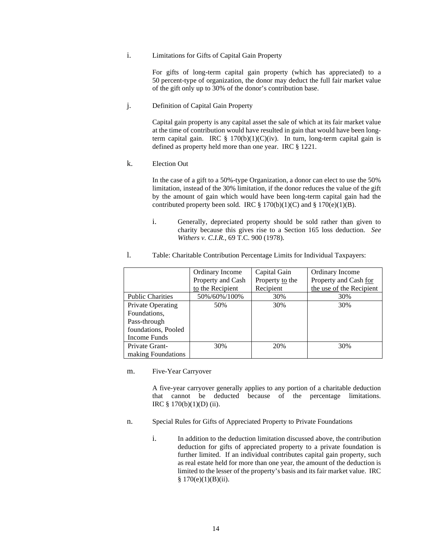i. Limitations for Gifts of Capital Gain Property

For gifts of long-term capital gain property (which has appreciated) to a 50 percent-type of organization, the donor may deduct the full fair market value of the gift only up to 30% of the donor's contribution base.

j. Definition of Capital Gain Property

Capital gain property is any capital asset the sale of which at its fair market value at the time of contribution would have resulted in gain that would have been longterm capital gain. IRC  $\S 170(b)(1)(C)(iv)$ . In turn, long-term capital gain is defined as property held more than one year. IRC § 1221.

k. Election Out

In the case of a gift to a 50%-type Organization, a donor can elect to use the 50% limitation, instead of the 30% limitation, if the donor reduces the value of the gift by the amount of gain which would have been long-term capital gain had the contributed property been sold. IRC  $\S 170(b)(1)(C)$  and  $\S 170(e)(1)(B)$ .

i. Generally, depreciated property should be sold rather than given to charity because this gives rise to a Section 165 loss deduction. *See Withers v. C.I.R.*, 69 T.C. 900 (1978).

|                         | Ordinary Income   | Capital Gain    | Ordinary Income          |
|-------------------------|-------------------|-----------------|--------------------------|
|                         | Property and Cash | Property to the | Property and Cash for    |
|                         | to the Recipient  | Recipient       | the use of the Recipient |
| <b>Public Charities</b> | 50%/60%/100%      | 30%             | 30%                      |
| Private Operating       | 50%               | 30%             | 30%                      |
| Foundations.            |                   |                 |                          |
| Pass-through            |                   |                 |                          |
| foundations, Pooled     |                   |                 |                          |
| Income Funds            |                   |                 |                          |
| Private Grant-          | 30%               | 20%             | 30%                      |
| making Foundations      |                   |                 |                          |

l. Table: Charitable Contribution Percentage Limits for Individual Taxpayers:

#### m. Five-Year Carryover

A five-year carryover generally applies to any portion of a charitable deduction that cannot be deducted because of the percentage limitations. IRC § 170(b)(1)(D) (ii).

- n. Special Rules for Gifts of Appreciated Property to Private Foundations
	- i. In addition to the deduction limitation discussed above, the contribution deduction for gifts of appreciated property to a private foundation is further limited. If an individual contributes capital gain property, such as real estate held for more than one year, the amount of the deduction is limited to the lesser of the property's basis and its fair market value. IRC  $§ 170(e)(1)(B)(ii).$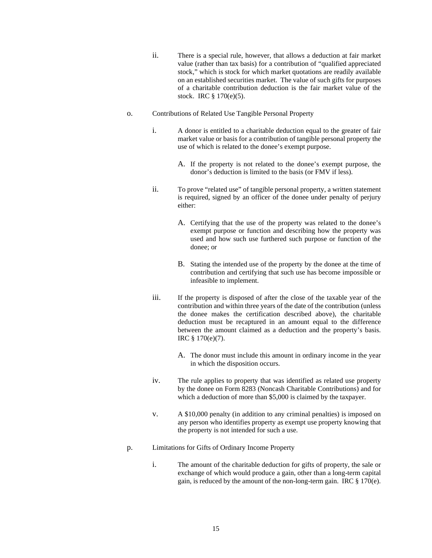- ii. There is a special rule, however, that allows a deduction at fair market value (rather than tax basis) for a contribution of "qualified appreciated stock," which is stock for which market quotations are readily available on an established securities market. The value of such gifts for purposes of a charitable contribution deduction is the fair market value of the stock. IRC § 170(e)(5).
- o. Contributions of Related Use Tangible Personal Property
	- i. A donor is entitled to a charitable deduction equal to the greater of fair market value or basis for a contribution of tangible personal property the use of which is related to the donee's exempt purpose.
		- A. If the property is not related to the donee's exempt purpose, the donor's deduction is limited to the basis (or FMV if less).
	- ii. To prove "related use" of tangible personal property, a written statement is required, signed by an officer of the donee under penalty of perjury either:
		- A. Certifying that the use of the property was related to the donee's exempt purpose or function and describing how the property was used and how such use furthered such purpose or function of the donee; or
		- B. Stating the intended use of the property by the donee at the time of contribution and certifying that such use has become impossible or infeasible to implement.
	- iii. If the property is disposed of after the close of the taxable year of the contribution and within three years of the date of the contribution (unless the donee makes the certification described above), the charitable deduction must be recaptured in an amount equal to the difference between the amount claimed as a deduction and the property's basis. IRC § 170(e)(7).
		- A. The donor must include this amount in ordinary income in the year in which the disposition occurs.
	- iv. The rule applies to property that was identified as related use property by the donee on Form 8283 (Noncash Charitable Contributions) and for which a deduction of more than \$5,000 is claimed by the taxpayer.
	- v. A \$10,000 penalty (in addition to any criminal penalties) is imposed on any person who identifies property as exempt use property knowing that the property is not intended for such a use.
- p. Limitations for Gifts of Ordinary Income Property
	- i. The amount of the charitable deduction for gifts of property, the sale or exchange of which would produce a gain, other than a long-term capital gain, is reduced by the amount of the non-long-term gain. IRC § 170(e).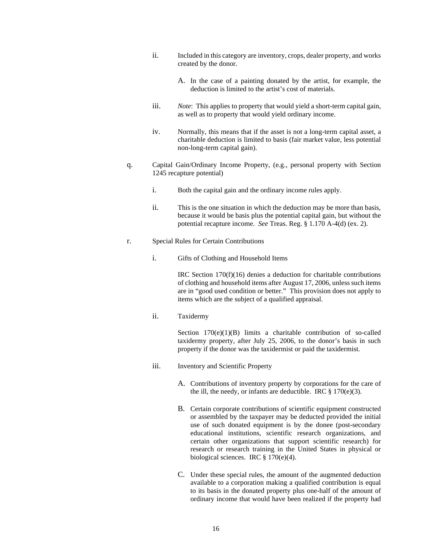- ii. Included in this category are inventory, crops, dealer property, and works created by the donor.
	- A. In the case of a painting donated by the artist, for example, the deduction is limited to the artist's cost of materials.
- iii. *Note*: This applies to property that would yield a short-term capital gain, as well as to property that would yield ordinary income.
- iv. Normally, this means that if the asset is not a long-term capital asset, a charitable deduction is limited to basis (fair market value, less potential non-long-term capital gain).
- q. Capital Gain/Ordinary Income Property, (e.g., personal property with Section 1245 recapture potential)
	- i. Both the capital gain and the ordinary income rules apply.
	- ii. This is the one situation in which the deduction may be more than basis, because it would be basis plus the potential capital gain, but without the potential recapture income. *See* Treas. Reg. § 1.170 A-4(d) (ex. 2).
- r. Special Rules for Certain Contributions
	- i. Gifts of Clothing and Household Items

IRC Section 170(f)(16) denies a deduction for charitable contributions of clothing and household items after August 17, 2006, unless such items are in "good used condition or better." This provision does not apply to items which are the subject of a qualified appraisal.

ii. Taxidermy

Section 170(e)(1)(B) limits a charitable contribution of so-called taxidermy property, after July 25, 2006, to the donor's basis in such property if the donor was the taxidermist or paid the taxidermist.

- iii. Inventory and Scientific Property
	- A. Contributions of inventory property by corporations for the care of the ill, the needy, or infants are deductible. IRC  $\S 170(e)(3)$ .
	- B. Certain corporate contributions of scientific equipment constructed or assembled by the taxpayer may be deducted provided the initial use of such donated equipment is by the donee (post-secondary educational institutions, scientific research organizations, and certain other organizations that support scientific research) for research or research training in the United States in physical or biological sciences. IRC § 170(e)(4).
	- C. Under these special rules, the amount of the augmented deduction available to a corporation making a qualified contribution is equal to its basis in the donated property plus one-half of the amount of ordinary income that would have been realized if the property had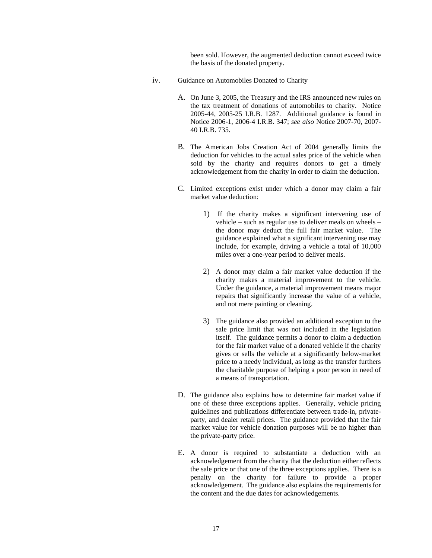been sold. However, the augmented deduction cannot exceed twice the basis of the donated property.

- iv. Guidance on Automobiles Donated to Charity
	- A. On June 3, 2005, the Treasury and the IRS announced new rules on the tax treatment of donations of automobiles to charity. Notice 2005-44, 2005-25 I.R.B. 1287. Additional guidance is found in Notice 2006-1, 2006-4 I.R.B. 347; *see also* Notice 2007-70, 2007- 40 I.R.B. 735.
	- B. The American Jobs Creation Act of 2004 generally limits the deduction for vehicles to the actual sales price of the vehicle when sold by the charity and requires donors to get a timely acknowledgement from the charity in order to claim the deduction.
	- C. Limited exceptions exist under which a donor may claim a fair market value deduction:
		- 1) If the charity makes a significant intervening use of vehicle – such as regular use to deliver meals on wheels – the donor may deduct the full fair market value. The guidance explained what a significant intervening use may include, for example, driving a vehicle a total of 10,000 miles over a one-year period to deliver meals.
		- 2) A donor may claim a fair market value deduction if the charity makes a material improvement to the vehicle. Under the guidance, a material improvement means major repairs that significantly increase the value of a vehicle, and not mere painting or cleaning.
		- 3) The guidance also provided an additional exception to the sale price limit that was not included in the legislation itself. The guidance permits a donor to claim a deduction for the fair market value of a donated vehicle if the charity gives or sells the vehicle at a significantly below-market price to a needy individual, as long as the transfer furthers the charitable purpose of helping a poor person in need of a means of transportation.
	- D. The guidance also explains how to determine fair market value if one of these three exceptions applies. Generally, vehicle pricing guidelines and publications differentiate between trade-in, privateparty, and dealer retail prices. The guidance provided that the fair market value for vehicle donation purposes will be no higher than the private-party price.
	- E. A donor is required to substantiate a deduction with an acknowledgement from the charity that the deduction either reflects the sale price or that one of the three exceptions applies. There is a penalty on the charity for failure to provide a proper acknowledgement. The guidance also explains the requirements for the content and the due dates for acknowledgements.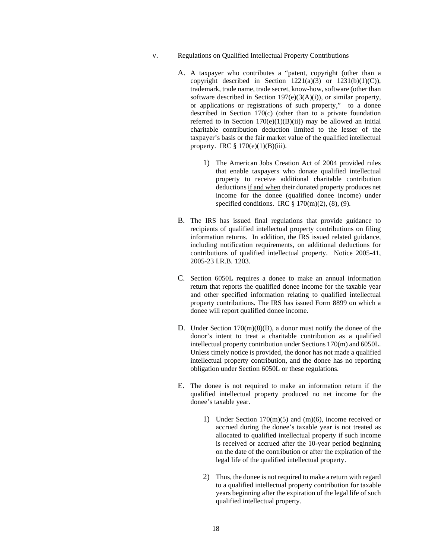- v. Regulations on Qualified Intellectual Property Contributions
	- A. A taxpayer who contributes a "patent, copyright (other than a copyright described in Section  $1221(a)(3)$  or  $1231(b)(1)(C)$ ), trademark, trade name, trade secret, know-how, software (other than software described in Section 197(e)(3(A)(i)), or similar property, or applications or registrations of such property," to a donee described in Section 170(c) (other than to a private foundation referred to in Section  $170(e)(1)(B)(ii)$  may be allowed an initial charitable contribution deduction limited to the lesser of the taxpayer's basis or the fair market value of the qualified intellectual property. IRC  $\S 170(e)(1)(B)(iii)$ .
		- 1) The American Jobs Creation Act of 2004 provided rules that enable taxpayers who donate qualified intellectual property to receive additional charitable contribution deductions if and when their donated property produces net income for the donee (qualified donee income) under specified conditions. IRC  $\S 170(m)(2)$ , (8), (9).
	- B. The IRS has issued final regulations that provide guidance to recipients of qualified intellectual property contributions on filing information returns. In addition, the IRS issued related guidance, including notification requirements, on additional deductions for contributions of qualified intellectual property. Notice 2005-41, 2005-23 I.R.B. 1203.
	- C. Section 6050L requires a donee to make an annual information return that reports the qualified donee income for the taxable year and other specified information relating to qualified intellectual property contributions. The IRS has issued Form 8899 on which a donee will report qualified donee income.
	- D. Under Section 170(m)(8)(B), a donor must notify the donee of the donor's intent to treat a charitable contribution as a qualified intellectual property contribution under Sections 170(m) and 6050L. Unless timely notice is provided, the donor has not made a qualified intellectual property contribution, and the donee has no reporting obligation under Section 6050L or these regulations.
	- E. The donee is not required to make an information return if the qualified intellectual property produced no net income for the donee's taxable year.
		- 1) Under Section 170(m)(5) and (m)(6), income received or accrued during the donee's taxable year is not treated as allocated to qualified intellectual property if such income is received or accrued after the 10-year period beginning on the date of the contribution or after the expiration of the legal life of the qualified intellectual property.
		- 2) Thus, the donee is not required to make a return with regard to a qualified intellectual property contribution for taxable years beginning after the expiration of the legal life of such qualified intellectual property.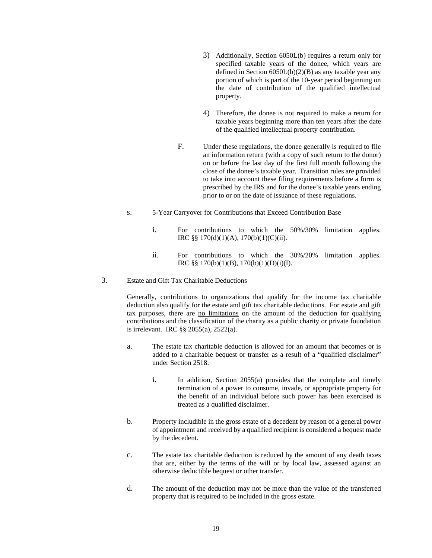- 3) Additionally, Section 6050L(b) requires a return only for specified taxable years of the donee, which years are defined in Section  $6050L(b)(2)(B)$  as any taxable year any portion of which is part of the 10-year period beginning on the date of contribution of the qualified intellectual property.
- 4) Therefore, the donee is not required to make a return for taxable years beginning more than ten years after the date of the qualified intellectual property contribution.
- F. Under these regulations, the donee generally is required to file an information return (with a copy of such return to the donor) on or before the last day of the first full month following the close of the donee's taxable year. Transition rules are provided to take into account these filing requirements before a form is prescribed by the IRS and for the donee's taxable years ending prior to or on the date of issuance of these regulations.
- s. 5-Year Carryover for Contributions that Exceed Contribution Base
	- i. For contributions to which the 50%/30% limitation applies. IRC §§ 170(d)(1)(A), 170(b)(1)(C)(ii).
	- ii. For contributions to which the 30%/20% limitation applies. IRC §§ 170(b)(1)(B), 170(b)(1)(D)(i)(I).
- 3. Estate and Gift Tax Charitable Deductions

Generally, contributions to organizations that qualify for the income tax charitable deduction also qualify for the estate and gift tax charitable deductions. For estate and gift tax purposes, there are no limitations on the amount of the deduction for qualifying contributions and the classification of the charity as a public charity or private foundation is irrelevant. IRC §§ 2055(a), 2522(a).

- a. The estate tax charitable deduction is allowed for an amount that becomes or is added to a charitable bequest or transfer as a result of a "qualified disclaimer" under Section 2518.
	- i. In addition, Section 2055(a) provides that the complete and timely termination of a power to consume, invade, or appropriate property for the benefit of an individual before such power has been exercised is treated as a qualified disclaimer.
- b. Property includible in the gross estate of a decedent by reason of a general power of appointment and received by a qualified recipient is considered a bequest made by the decedent.
- c. The estate tax charitable deduction is reduced by the amount of any death taxes that are, either by the terms of the will or by local law, assessed against an otherwise deductible bequest or other transfer.
- d. The amount of the deduction may not be more than the value of the transferred property that is required to be included in the gross estate.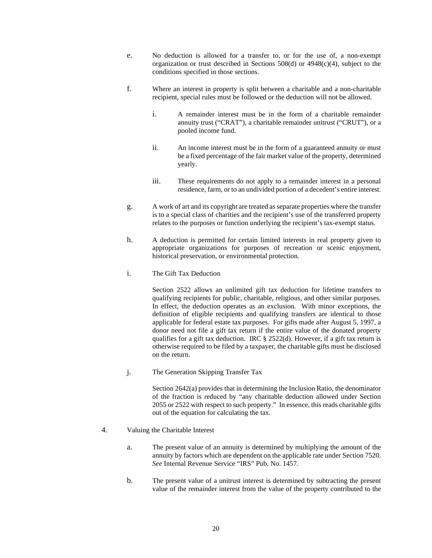- e. No deduction is allowed for a transfer to, or for the use of, a non-exempt organization or trust described in Sections 508(d) or 4948(c)(4), subject to the conditions specified in those sections.
- f. Where an interest in property is split between a charitable and a non-charitable recipient, special rules must be followed or the deduction will not be allowed.
	- i. A remainder interest must be in the form of a charitable remainder annuity trust ("CRAT"), a charitable remainder unitrust ("CRUT"), or a pooled income fund.
	- ii. An income interest must be in the form of a guaranteed annuity or must be a fixed percentage of the fair market value of the property, determined yearly.
	- iii. These requirements do not apply to a remainder interest in a personal residence, farm, or to an undivided portion of a decedent's entire interest.
- g. A work of art and its copyright are treated as separate properties where the transfer is to a special class of charities and the recipient's use of the transferred property relates to the purposes or function underlying the recipient's tax-exempt status.
- h. A deduction is permitted for certain limited interests in real property given to appropriate organizations for purposes of recreation or scenic enjoyment, historical preservation, or environmental protection.
- i. The Gift Tax Deduction

Section 2522 allows an unlimited gift tax deduction for lifetime transfers to qualifying recipients for public, charitable, religious, and other similar purposes. In effect, the deduction operates as an exclusion. With minor exceptions, the definition of eligible recipients and qualifying transfers are identical to those applicable for federal estate tax purposes. For gifts made after August 5, 1997, a donor need not file a gift tax return if the entire value of the donated property qualifies for a gift tax deduction. IRC  $\S$  2522(d). However, if a gift tax return is otherwise required to be filed by a taxpayer, the charitable gifts must be disclosed on the return.

j. The Generation Skipping Transfer Tax

Section 2642(a) provides that in determining the Inclusion Ratio, the denominator of the fraction is reduced by "any charitable deduction allowed under Section 2055 or 2522 with respect to such property." In essence, this reads charitable gifts out of the equation for calculating the tax.

## 4. Valuing the Charitable Interest

- a. The present value of an annuity is determined by multiplying the amount of the annuity by factors which are dependent on the applicable rate under Section 7520. *See* Internal Revenue Service "IRS" Pub. No. 1457.
- b. The present value of a unitrust interest is determined by subtracting the present value of the remainder interest from the value of the property contributed to the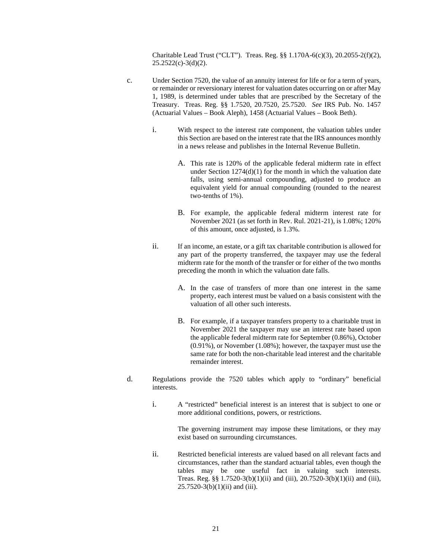Charitable Lead Trust ("CLT"). Treas. Reg. §§ 1.170A-6(c)(3), 20.2055-2(f)(2),  $25.2522(c)-3(d)(2)$ .

- c. Under Section 7520, the value of an annuity interest for life or for a term of years, or remainder or reversionary interest for valuation dates occurring on or after May 1, 1989, is determined under tables that are prescribed by the Secretary of the Treasury. Treas. Reg. §§ 1.7520, 20.7520, 25.7520. *See* IRS Pub. No. 1457 (Actuarial Values – Book Aleph), 1458 (Actuarial Values – Book Beth).
	- i. With respect to the interest rate component, the valuation tables under this Section are based on the interest rate that the IRS announces monthly in a news release and publishes in the Internal Revenue Bulletin.
		- A. This rate is 120% of the applicable federal midterm rate in effect under Section  $1274(d)(1)$  for the month in which the valuation date falls, using semi-annual compounding, adjusted to produce an equivalent yield for annual compounding (rounded to the nearest two-tenths of 1%).
		- B. For example, the applicable federal midterm interest rate for November 2021 (as set forth in Rev. Rul. 2021-21), is 1.08%; 120% of this amount, once adjusted, is 1.3%.
	- ii. If an income, an estate, or a gift tax charitable contribution is allowed for any part of the property transferred, the taxpayer may use the federal midterm rate for the month of the transfer or for either of the two months preceding the month in which the valuation date falls.
		- A. In the case of transfers of more than one interest in the same property, each interest must be valued on a basis consistent with the valuation of all other such interests.
		- B. For example, if a taxpayer transfers property to a charitable trust in November 2021 the taxpayer may use an interest rate based upon the applicable federal midterm rate for September (0.86%), October (0.91%), or November (1.08%); however, the taxpayer must use the same rate for both the non-charitable lead interest and the charitable remainder interest.
- d. Regulations provide the 7520 tables which apply to "ordinary" beneficial interests.
	- i. A "restricted" beneficial interest is an interest that is subject to one or more additional conditions, powers, or restrictions.

The governing instrument may impose these limitations, or they may exist based on surrounding circumstances.

ii. Restricted beneficial interests are valued based on all relevant facts and circumstances, rather than the standard actuarial tables, even though the tables may be one useful fact in valuing such interests. Treas. Reg. §§  $1.7520-3(b)(1)(ii)$  and (iii),  $20.7520-3(b)(1)(ii)$  and (iii),  $25.7520 - 3(b)(1)(ii)$  and (iii).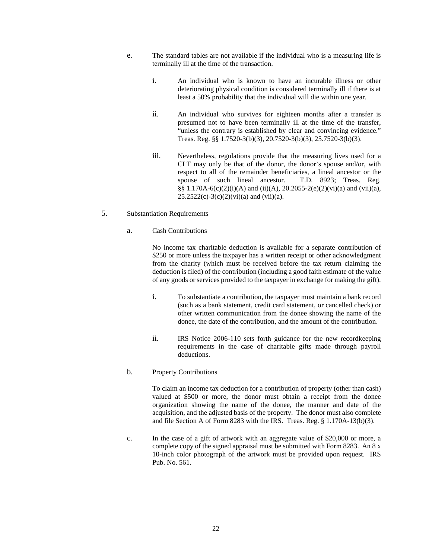- e. The standard tables are not available if the individual who is a measuring life is terminally ill at the time of the transaction.
	- i. An individual who is known to have an incurable illness or other deteriorating physical condition is considered terminally ill if there is at least a 50% probability that the individual will die within one year.
	- ii. An individual who survives for eighteen months after a transfer is presumed not to have been terminally ill at the time of the transfer, "unless the contrary is established by clear and convincing evidence." Treas. Reg. §§ 1.7520-3(b)(3), 20.7520-3(b)(3), 25.7520-3(b)(3).
	- iii. Nevertheless, regulations provide that the measuring lives used for a CLT may only be that of the donor, the donor's spouse and/or, with respect to all of the remainder beneficiaries, a lineal ancestor or the spouse of such lineal ancestor. T.D. 8923; Treas. Reg. spouse of such lineal ancestor. §§ 1.170A-6(c)(2)(i)(A) and (ii)(A), 20.2055-2(e)(2)(vi)(a) and (vii)(a),  $25.2522(c)-3(c)(2)(vi)(a)$  and (vii)(a).

## 5. Substantiation Requirements

#### a. Cash Contributions

No income tax charitable deduction is available for a separate contribution of \$250 or more unless the taxpayer has a written receipt or other acknowledgment from the charity (which must be received before the tax return claiming the deduction is filed) of the contribution (including a good faith estimate of the value of any goods or services provided to the taxpayer in exchange for making the gift).

- i. To substantiate a contribution, the taxpayer must maintain a bank record (such as a bank statement, credit card statement, or cancelled check) or other written communication from the donee showing the name of the donee, the date of the contribution, and the amount of the contribution.
- ii. IRS Notice 2006-110 sets forth guidance for the new recordkeeping requirements in the case of charitable gifts made through payroll deductions.

#### b. Property Contributions

To claim an income tax deduction for a contribution of property (other than cash) valued at \$500 or more, the donor must obtain a receipt from the donee organization showing the name of the donee, the manner and date of the acquisition, and the adjusted basis of the property. The donor must also complete and file Section A of Form 8283 with the IRS. Treas. Reg. § 1.170A-13(b)(3).

c. In the case of a gift of artwork with an aggregate value of \$20,000 or more, a complete copy of the signed appraisal must be submitted with Form 8283. An 8 x 10-inch color photograph of the artwork must be provided upon request. IRS Pub. No. 561.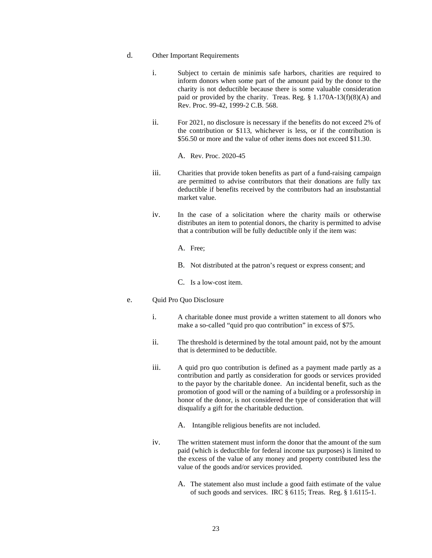## d. Other Important Requirements

- i. Subject to certain de minimis safe harbors, charities are required to inform donors when some part of the amount paid by the donor to the charity is not deductible because there is some valuable consideration paid or provided by the charity. Treas. Reg.  $\S$  1.170A-13(f)(8)(A) and Rev. Proc. 99-42, 1999-2 C.B. 568.
- ii. For 2021, no disclosure is necessary if the benefits do not exceed 2% of the contribution or \$113, whichever is less, or if the contribution is \$56.50 or more and the value of other items does not exceed \$11.30.
	- A. Rev. Proc. 2020-45
- iii. Charities that provide token benefits as part of a fund-raising campaign are permitted to advise contributors that their donations are fully tax deductible if benefits received by the contributors had an insubstantial market value.
- iv. In the case of a solicitation where the charity mails or otherwise distributes an item to potential donors, the charity is permitted to advise that a contribution will be fully deductible only if the item was:
	- A. Free;
	- B. Not distributed at the patron's request or express consent; and
	- C. Is a low-cost item.

#### e. Quid Pro Quo Disclosure

- i. A charitable donee must provide a written statement to all donors who make a so-called "quid pro quo contribution" in excess of \$75.
- ii. The threshold is determined by the total amount paid, not by the amount that is determined to be deductible.
- iii. A quid pro quo contribution is defined as a payment made partly as a contribution and partly as consideration for goods or services provided to the payor by the charitable donee. An incidental benefit, such as the promotion of good will or the naming of a building or a professorship in honor of the donor, is not considered the type of consideration that will disqualify a gift for the charitable deduction.
	- A. Intangible religious benefits are not included.
- iv. The written statement must inform the donor that the amount of the sum paid (which is deductible for federal income tax purposes) is limited to the excess of the value of any money and property contributed less the value of the goods and/or services provided.
	- A. The statement also must include a good faith estimate of the value of such goods and services. IRC § 6115; Treas. Reg. § 1.6115-1.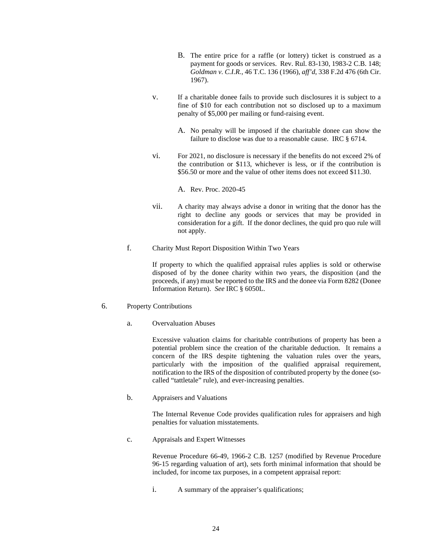- B. The entire price for a raffle (or lottery) ticket is construed as a payment for goods or services. Rev. Rul. 83-130, 1983-2 C.B. 148; *Goldman v. C.I.R.*, 46 T.C. 136 (1966), *aff'd*, 338 F.2d 476 (6th Cir. 1967).
- v. If a charitable donee fails to provide such disclosures it is subject to a fine of \$10 for each contribution not so disclosed up to a maximum penalty of \$5,000 per mailing or fund-raising event.
	- A. No penalty will be imposed if the charitable donee can show the failure to disclose was due to a reasonable cause. IRC § 6714.
- vi. For 2021, no disclosure is necessary if the benefits do not exceed 2% of the contribution or \$113, whichever is less, or if the contribution is \$56.50 or more and the value of other items does not exceed \$11.30.

A. Rev. Proc. 2020-45

- vii. A charity may always advise a donor in writing that the donor has the right to decline any goods or services that may be provided in consideration for a gift. If the donor declines, the quid pro quo rule will not apply.
- f. Charity Must Report Disposition Within Two Years

If property to which the qualified appraisal rules applies is sold or otherwise disposed of by the donee charity within two years, the disposition (and the proceeds, if any) must be reported to the IRS and the donee via Form 8282 (Donee Information Return). *See* IRC § 6050L.

- 6. Property Contributions
	- a. Overvaluation Abuses

Excessive valuation claims for charitable contributions of property has been a potential problem since the creation of the charitable deduction. It remains a concern of the IRS despite tightening the valuation rules over the years, particularly with the imposition of the qualified appraisal requirement, notification to the IRS of the disposition of contributed property by the donee (socalled "tattletale" rule), and ever-increasing penalties.

b. Appraisers and Valuations

The Internal Revenue Code provides qualification rules for appraisers and high penalties for valuation misstatements.

c. Appraisals and Expert Witnesses

Revenue Procedure 66-49, 1966-2 C.B. 1257 (modified by Revenue Procedure 96-15 regarding valuation of art), sets forth minimal information that should be included, for income tax purposes, in a competent appraisal report:

i. A summary of the appraiser's qualifications;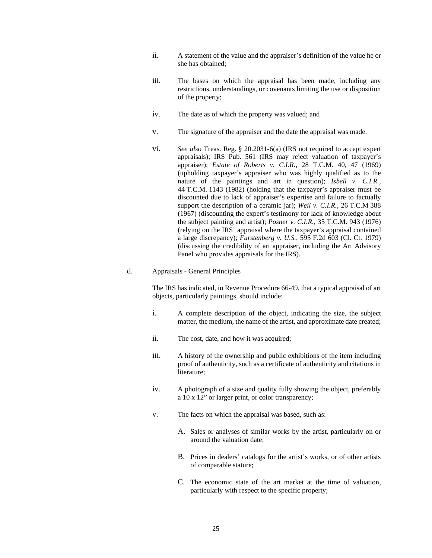- ii. A statement of the value and the appraiser's definition of the value he or she has obtained;
- iii. The bases on which the appraisal has been made, including any restrictions, understandings, or covenants limiting the use or disposition of the property;
- iv. The date as of which the property was valued; and
- v. The signature of the appraiser and the date the appraisal was made.
- vi. *See also* Treas. Reg. § 20.2031-6(a) (IRS not required to accept expert appraisals); IRS Pub. 561 (IRS may reject valuation of taxpayer's appraiser); *Estate of Roberts v. C.I.R.*, 28 T.C.M. 40, 47 (1969) (upholding taxpayer's appraiser who was highly qualified as to the nature of the paintings and art in question); *Isbell v. C.I.R.*, 44 T.C.M. 1143 (1982) (holding that the taxpayer's appraiser must be discounted due to lack of appraiser's expertise and failure to factually support the description of a ceramic jar); *Weil v. C.I.R.*, 26 T.C.M 388 (1967) (discounting the expert's testimony for lack of knowledge about the subject painting and artist); *Posner v. C.I.R.*, 35 T.C.M. 943 (1976) (relying on the IRS' appraisal where the taxpayer's appraisal contained a large discrepancy); *Furstenberg v. U.S.*, 595 F.2d 603 (Cl. Ct. 1979) (discussing the credibility of art appraiser, including the Art Advisory Panel who provides appraisals for the IRS).

## d. Appraisals - General Principles

The IRS has indicated, in Revenue Procedure 66-49, that a typical appraisal of art objects, particularly paintings, should include:

- i. A complete description of the object, indicating the size, the subject matter, the medium, the name of the artist, and approximate date created;
- ii. The cost, date, and how it was acquired;
- iii. A history of the ownership and public exhibitions of the item including proof of authenticity, such as a certificate of authenticity and citations in literature;
- iv. A photograph of a size and quality fully showing the object, preferably a 10 x 12" or larger print, or color transparency;
- v. The facts on which the appraisal was based, such as:
	- A. Sales or analyses of similar works by the artist, particularly on or around the valuation date;
	- B. Prices in dealers' catalogs for the artist's works, or of other artists of comparable stature;
	- C. The economic state of the art market at the time of valuation, particularly with respect to the specific property;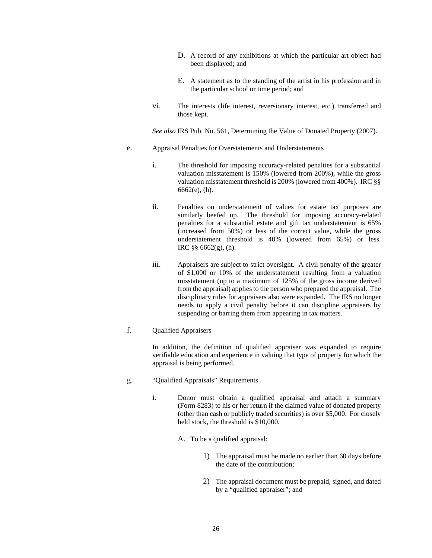- D. A record of any exhibitions at which the particular art object had been displayed; and
- E. A statement as to the standing of the artist in his profession and in the particular school or time period; and
- vi. The interests (life interest, reversionary interest, etc.) transferred and those kept.

*See also* IRS Pub. No. 561, Determining the Value of Donated Property (2007).

- e. Appraisal Penalties for Overstatements and Understatements
	- i. The threshold for imposing accuracy-related penalties for a substantial valuation misstatement is 150% (lowered from 200%), while the gross valuation misstatement threshold is 200% (lowered from 400%). IRC §§ 6662(e), (h).
	- ii. Penalties on understatement of values for estate tax purposes are similarly beefed up. The threshold for imposing accuracy-related penalties for a substantial estate and gift tax understatement is 65% (increased from 50%) or less of the correct value, while the gross understatement threshold is 40% (lowered from 65%) or less. IRC §§ 6662(g), (h).
	- iii. Appraisers are subject to strict oversight. A civil penalty of the greater of \$1,000 or 10% of the understatement resulting from a valuation misstatement (up to a maximum of 125% of the gross income derived from the appraisal) applies to the person who prepared the appraisal. The disciplinary rules for appraisers also were expanded. The IRS no longer needs to apply a civil penalty before it can discipline appraisers by suspending or barring them from appearing in tax matters.
- f. Qualified Appraisers

In addition, the definition of qualified appraiser was expanded to require verifiable education and experience in valuing that type of property for which the appraisal is being performed.

- g. "Qualified Appraisals" Requirements
	- i. Donor must obtain a qualified appraisal and attach a summary (Form 8283) to his or her return if the claimed value of donated property (other than cash or publicly traded securities) is over \$5,000. For closely held stock, the threshold is \$10,000.
		- A. To be a qualified appraisal:
			- 1) The appraisal must be made no earlier than 60 days before the date of the contribution;
			- 2) The appraisal document must be prepaid, signed, and dated by a "qualified appraiser"; and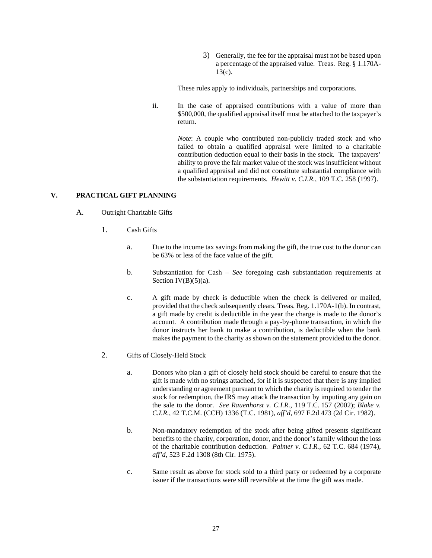3) Generally, the fee for the appraisal must not be based upon a percentage of the appraised value. Treas. Reg. § 1.170A-13(c).

These rules apply to individuals, partnerships and corporations.

ii. In the case of appraised contributions with a value of more than \$500,000, the qualified appraisal itself must be attached to the taxpayer's return.

> *Note*: A couple who contributed non-publicly traded stock and who failed to obtain a qualified appraisal were limited to a charitable contribution deduction equal to their basis in the stock. The taxpayers' ability to prove the fair market value of the stock was insufficient without a qualified appraisal and did not constitute substantial compliance with the substantiation requirements. *Hewitt v. C.I.R.*, 109 T.C. 258 (1997).

## <span id="page-30-1"></span><span id="page-30-0"></span>**V. PRACTICAL GIFT PLANNING**

- A. Outright Charitable Gifts
	- 1. Cash Gifts
		- a. Due to the income tax savings from making the gift, the true cost to the donor can be 63% or less of the face value of the gift.
		- b. Substantiation for Cash *See* foregoing cash substantiation requirements at Section  $IV(B)(5)(a)$ .
		- c. A gift made by check is deductible when the check is delivered or mailed, provided that the check subsequently clears. Treas. Reg. 1.170A-1(b). In contrast, a gift made by credit is deductible in the year the charge is made to the donor's account. A contribution made through a pay-by-phone transaction, in which the donor instructs her bank to make a contribution, is deductible when the bank makes the payment to the charity as shown on the statement provided to the donor.
	- 2. Gifts of Closely-Held Stock
		- a. Donors who plan a gift of closely held stock should be careful to ensure that the gift is made with no strings attached, for if it is suspected that there is any implied understanding or agreement pursuant to which the charity is required to tender the stock for redemption, the IRS may attack the transaction by imputing any gain on the sale to the donor. *See Rauenhorst v. C.I.R.*, 119 T.C. 157 (2002); *Blake v. C.I.R.*, 42 T.C.M. (CCH) 1336 (T.C. 1981), *aff'd*, 697 F.2d 473 (2d Cir. 1982).
		- b. Non-mandatory redemption of the stock after being gifted presents significant benefits to the charity, corporation, donor, and the donor's family without the loss of the charitable contribution deduction. *Palmer v. C.I.R.*, 62 T.C. 684 (1974), *aff'd*, 523 F.2d 1308 (8th Cir. 1975).
		- c. Same result as above for stock sold to a third party or redeemed by a corporate issuer if the transactions were still reversible at the time the gift was made.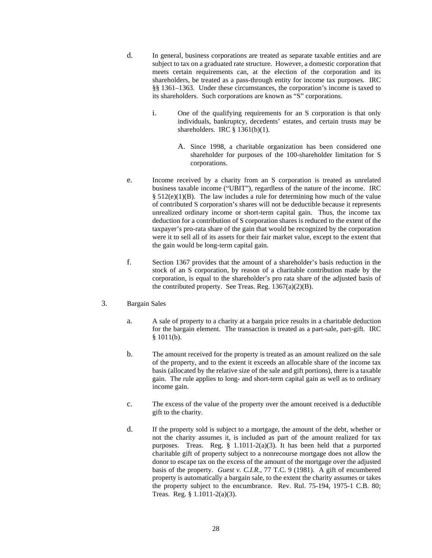- d. In general, business corporations are treated as separate taxable entities and are subject to tax on a graduated rate structure. However, a domestic corporation that meets certain requirements can, at the election of the corporation and its shareholders, be treated as a pass-through entity for income tax purposes. IRC §§ 1361–1363. Under these circumstances, the corporation's income is taxed to its shareholders. Such corporations are known as "S" corporations.
	- i. One of the qualifying requirements for an S corporation is that only individuals, bankruptcy, decedents' estates, and certain trusts may be shareholders. IRC § 1361(b)(1).
		- A. Since 1998, a charitable organization has been considered one shareholder for purposes of the 100-shareholder limitation for S corporations.
- e. Income received by a charity from an S corporation is treated as unrelated business taxable income ("UBIT"), regardless of the nature of the income. IRC  $§ 512(e)(1)(B)$ . The law includes a rule for determining how much of the value of contributed S corporation's shares will not be deductible because it represents unrealized ordinary income or short-term capital gain. Thus, the income tax deduction for a contribution of S corporation shares is reduced to the extent of the taxpayer's pro-rata share of the gain that would be recognized by the corporation were it to sell all of its assets for their fair market value, except to the extent that the gain would be long-term capital gain.
- f. Section 1367 provides that the amount of a shareholder's basis reduction in the stock of an S corporation, by reason of a charitable contribution made by the corporation, is equal to the shareholder's pro rata share of the adjusted basis of the contributed property. See Treas. Reg.  $1367(a)(2)(B)$ .

#### 3. Bargain Sales

- a. A sale of property to a charity at a bargain price results in a charitable deduction for the bargain element. The transaction is treated as a part-sale, part-gift. IRC  $§ 1011(b).$
- b. The amount received for the property is treated as an amount realized on the sale of the property, and to the extent it exceeds an allocable share of the income tax basis (allocated by the relative size of the sale and gift portions), there is a taxable gain. The rule applies to long- and short-term capital gain as well as to ordinary income gain.
- c. The excess of the value of the property over the amount received is a deductible gift to the charity.
- d. If the property sold is subject to a mortgage, the amount of the debt, whether or not the charity assumes it, is included as part of the amount realized for tax purposes. Treas. Reg. § 1.1011-2(a)(3). It has been held that a purported charitable gift of property subject to a nonrecourse mortgage does not allow the donor to escape tax on the excess of the amount of the mortgage over the adjusted basis of the property. *Guest v. C.I.R.*, 77 T.C. 9 (1981). A gift of encumbered property is automatically a bargain sale, to the extent the charity assumes or takes the property subject to the encumbrance. Rev. Rul. 75-194, 1975-1 C.B. 80; Treas. Reg. § 1.1011-2(a)(3).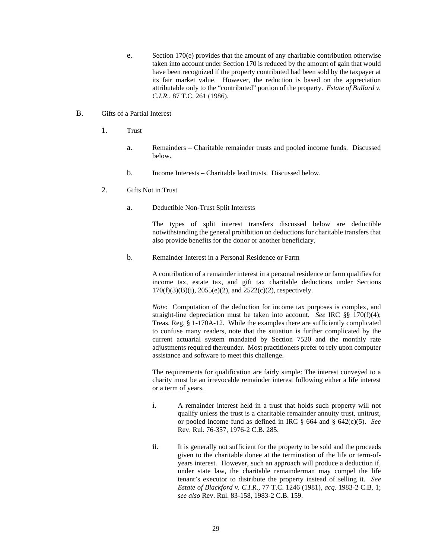e. Section 170(e) provides that the amount of any charitable contribution otherwise taken into account under Section 170 is reduced by the amount of gain that would have been recognized if the property contributed had been sold by the taxpayer at its fair market value. However, the reduction is based on the appreciation attributable only to the "contributed" portion of the property. *Estate of Bullard v. C.I.R.*, 87 T.C. 261 (1986).

## <span id="page-32-0"></span>B. Gifts of a Partial Interest

- 1. Trust
	- a. Remainders Charitable remainder trusts and pooled income funds. Discussed below.
	- b. Income Interests Charitable lead trusts. Discussed below.
- 2. Gifts Not in Trust
	- a. Deductible Non-Trust Split Interests

The types of split interest transfers discussed below are deductible notwithstanding the general prohibition on deductions for charitable transfers that also provide benefits for the donor or another beneficiary.

b. Remainder Interest in a Personal Residence or Farm

A contribution of a remainder interest in a personal residence or farm qualifies for income tax, estate tax, and gift tax charitable deductions under Sections  $170(f)(3)(B)(i)$ ,  $2055(e)(2)$ , and  $2522(c)(2)$ , respectively.

*Note*: Computation of the deduction for income tax purposes is complex, and straight-line depreciation must be taken into account. *See* IRC §§ 170(f)(4); Treas. Reg. § 1-170A-12. While the examples there are sufficiently complicated to confuse many readers, note that the situation is further complicated by the current actuarial system mandated by Section 7520 and the monthly rate adjustments required thereunder. Most practitioners prefer to rely upon computer assistance and software to meet this challenge.

The requirements for qualification are fairly simple: The interest conveyed to a charity must be an irrevocable remainder interest following either a life interest or a term of years.

- i. A remainder interest held in a trust that holds such property will not qualify unless the trust is a charitable remainder annuity trust, unitrust, or pooled income fund as defined in IRC § 664 and § 642(c)(5). *See* Rev. Rul. 76-357, 1976-2 C.B. 285.
- ii. It is generally not sufficient for the property to be sold and the proceeds given to the charitable donee at the termination of the life or term-ofyears interest. However, such an approach will produce a deduction if, under state law, the charitable remainderman may compel the life tenant's executor to distribute the property instead of selling it. *See Estate of Blackford v. C.I.R.*, 77 T.C. 1246 (1981), *acq.* 1983-2 C.B. 1; *see also* Rev. Rul. 83-158, 1983-2 C.B. 159.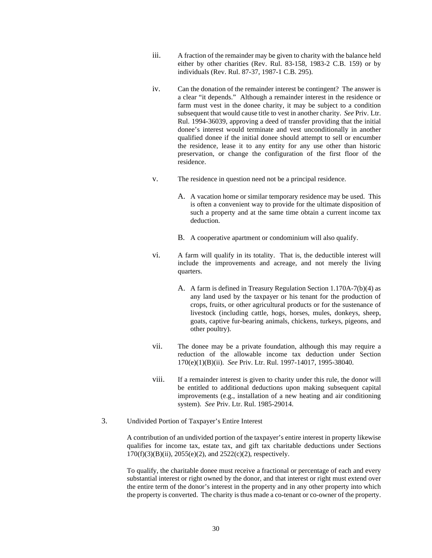- iii. A fraction of the remainder may be given to charity with the balance held either by other charities (Rev. Rul. 83-158, 1983-2 C.B. 159) or by individuals (Rev. Rul. 87-37, 1987-1 C.B. 295).
- iv. Can the donation of the remainder interest be contingent? The answer is a clear "it depends." Although a remainder interest in the residence or farm must vest in the donee charity, it may be subject to a condition subsequent that would cause title to vest in another charity. *See* Priv. Ltr. Rul. 1994-36039, approving a deed of transfer providing that the initial donee's interest would terminate and vest unconditionally in another qualified donee if the initial donee should attempt to sell or encumber the residence, lease it to any entity for any use other than historic preservation, or change the configuration of the first floor of the residence.
- v. The residence in question need not be a principal residence.
	- A. A vacation home or similar temporary residence may be used. This is often a convenient way to provide for the ultimate disposition of such a property and at the same time obtain a current income tax deduction.
	- B. A cooperative apartment or condominium will also qualify.
- vi. A farm will qualify in its totality. That is, the deductible interest will include the improvements and acreage, and not merely the living quarters.
	- A. A farm is defined in Treasury Regulation Section 1.170A-7(b)(4) as any land used by the taxpayer or his tenant for the production of crops, fruits, or other agricultural products or for the sustenance of livestock (including cattle, hogs, horses, mules, donkeys, sheep, goats, captive fur-bearing animals, chickens, turkeys, pigeons, and other poultry).
- vii. The donee may be a private foundation, although this may require a reduction of the allowable income tax deduction under Section 170(e)(1)(B)(ii). *See* Priv. Ltr. Rul. 1997-14017, 1995-38040.
- viii. If a remainder interest is given to charity under this rule, the donor will be entitled to additional deductions upon making subsequent capital improvements (e.g., installation of a new heating and air conditioning system). *See* Priv. Ltr. Rul. 1985-29014.
- 3. Undivided Portion of Taxpayer's Entire Interest

A contribution of an undivided portion of the taxpayer's entire interest in property likewise qualifies for income tax, estate tax, and gift tax charitable deductions under Sections 170(f)(3)(B)(ii), 2055(e)(2), and 2522(c)(2), respectively.

To qualify, the charitable donee must receive a fractional or percentage of each and every substantial interest or right owned by the donor, and that interest or right must extend over the entire term of the donor's interest in the property and in any other property into which the property is converted. The charity is thus made a co-tenant or co-owner of the property.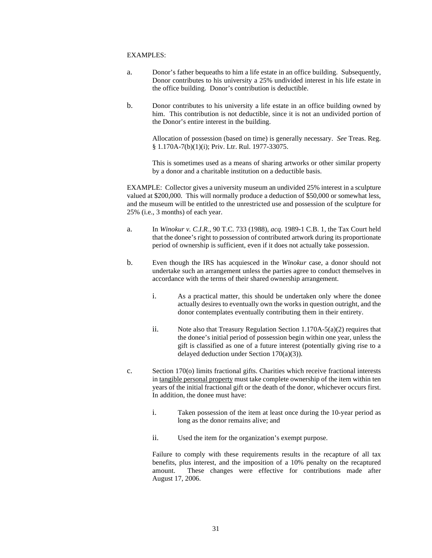## EXAMPLES:

- a. Donor's father bequeaths to him a life estate in an office building. Subsequently, Donor contributes to his university a 25% undivided interest in his life estate in the office building. Donor's contribution is deductible.
- b. Donor contributes to his university a life estate in an office building owned by him. This contribution is not deductible, since it is not an undivided portion of the Donor's entire interest in the building.

Allocation of possession (based on time) is generally necessary. *See* Treas. Reg. § 1.170A-7(b)(1)(i); Priv. Ltr. Rul. 1977-33075.

This is sometimes used as a means of sharing artworks or other similar property by a donor and a charitable institution on a deductible basis.

EXAMPLE: Collector gives a university museum an undivided 25% interest in a sculpture valued at \$200,000. This will normally produce a deduction of \$50,000 or somewhat less, and the museum will be entitled to the unrestricted use and possession of the sculpture for 25% (i.e., 3 months) of each year.

- a. In *Winokur v. C.I.R.*, 90 T.C. 733 (1988), *acq.* 1989-1 C.B. 1, the Tax Court held that the donee's right to possession of contributed artwork during its proportionate period of ownership is sufficient, even if it does not actually take possession.
- b. Even though the IRS has acquiesced in the *Winokur* case, a donor should not undertake such an arrangement unless the parties agree to conduct themselves in accordance with the terms of their shared ownership arrangement.
	- i. As a practical matter, this should be undertaken only where the donee actually desires to eventually own the works in question outright, and the donor contemplates eventually contributing them in their entirety.
	- ii. Note also that Treasury Regulation Section 1.170A-5(a)(2) requires that the donee's initial period of possession begin within one year, unless the gift is classified as one of a future interest (potentially giving rise to a delayed deduction under Section 170(a)(3)).
- c. Section 170(o) limits fractional gifts. Charities which receive fractional interests in tangible personal property must take complete ownership of the item within ten years of the initial fractional gift or the death of the donor, whichever occurs first. In addition, the donee must have:
	- i. Taken possession of the item at least once during the 10-year period as long as the donor remains alive; and
	- ii. Used the item for the organization's exempt purpose.

Failure to comply with these requirements results in the recapture of all tax benefits, plus interest, and the imposition of a 10% penalty on the recaptured amount. These changes were effective for contributions made after August 17, 2006.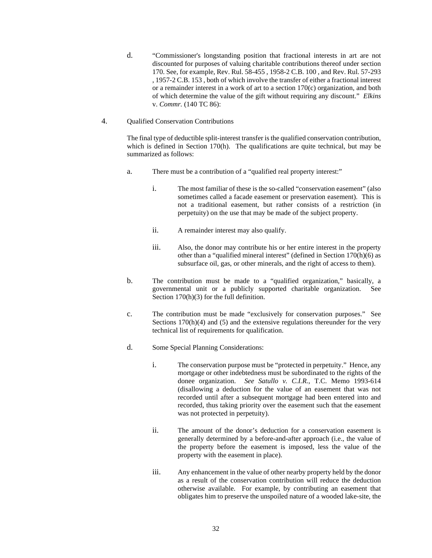d. "Commissioner's longstanding position that fractional interests in art are not discounted for purposes of valuing charitable contributions thereof under section 170. See, for example, Rev. Rul. 58-455 , 1958-2 C.B. 100 , and Rev. Rul. 57-293 , 1957-2 C.B. 153 , both of which involve the transfer of either a fractional interest or a remainder interest in a work of art to a section 170(c) organization, and both of which determine the value of the gift without requiring any discount." *Elkins* v. *Commr.* (140 TC 86):

### 4. Qualified Conservation Contributions

The final type of deductible split-interest transfer is the qualified conservation contribution, which is defined in Section 170(h). The qualifications are quite technical, but may be summarized as follows:

- a. There must be a contribution of a "qualified real property interest:"
	- i. The most familiar of these is the so-called "conservation easement" (also sometimes called a facade easement or preservation easement). This is not a traditional easement, but rather consists of a restriction (in perpetuity) on the use that may be made of the subject property.
	- ii. A remainder interest may also qualify.
	- iii. Also, the donor may contribute his or her entire interest in the property other than a "qualified mineral interest" (defined in Section 170(h)(6) as subsurface oil, gas, or other minerals, and the right of access to them).
- b. The contribution must be made to a "qualified organization," basically, a governmental unit or a publicly supported charitable organization. See Section  $170(h)(3)$  for the full definition.
- c. The contribution must be made "exclusively for conservation purposes." See Sections 170(h)(4) and (5) and the extensive regulations thereunder for the very technical list of requirements for qualification.
- d. Some Special Planning Considerations:
	- i. The conservation purpose must be "protected in perpetuity." Hence, any mortgage or other indebtedness must be subordinated to the rights of the donee organization. *See Satullo v. C.I.R.*, T.C. Memo 1993-614 (disallowing a deduction for the value of an easement that was not recorded until after a subsequent mortgage had been entered into and recorded, thus taking priority over the easement such that the easement was not protected in perpetuity).
	- ii. The amount of the donor's deduction for a conservation easement is generally determined by a before-and-after approach (i.e., the value of the property before the easement is imposed, less the value of the property with the easement in place).
	- iii. Any enhancement in the value of other nearby property held by the donor as a result of the conservation contribution will reduce the deduction otherwise available. For example, by contributing an easement that obligates him to preserve the unspoiled nature of a wooded lake-site, the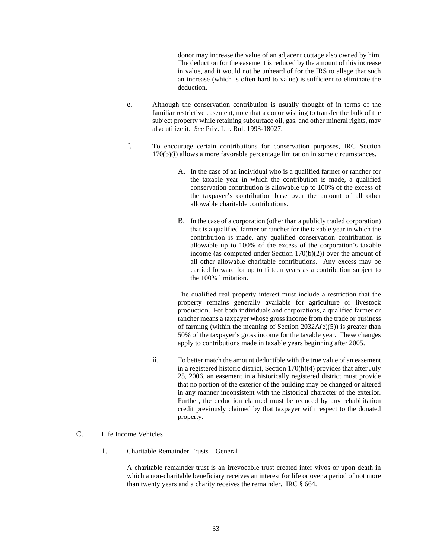donor may increase the value of an adjacent cottage also owned by him. The deduction for the easement is reduced by the amount of this increase in value, and it would not be unheard of for the IRS to allege that such an increase (which is often hard to value) is sufficient to eliminate the deduction.

- e. Although the conservation contribution is usually thought of in terms of the familiar restrictive easement, note that a donor wishing to transfer the bulk of the subject property while retaining subsurface oil, gas, and other mineral rights, may also utilize it. *See* Priv. Ltr. Rul. 1993-18027.
- f. To encourage certain contributions for conservation purposes, IRC Section 170(b)(i) allows a more favorable percentage limitation in some circumstances.
	- A. In the case of an individual who is a qualified farmer or rancher for the taxable year in which the contribution is made, a qualified conservation contribution is allowable up to 100% of the excess of the taxpayer's contribution base over the amount of all other allowable charitable contributions.
	- B. In the case of a corporation (other than a publicly traded corporation) that is a qualified farmer or rancher for the taxable year in which the contribution is made, any qualified conservation contribution is allowable up to 100% of the excess of the corporation's taxable income (as computed under Section 170(b)(2)) over the amount of all other allowable charitable contributions. Any excess may be carried forward for up to fifteen years as a contribution subject to the 100% limitation.

The qualified real property interest must include a restriction that the property remains generally available for agriculture or livestock production. For both individuals and corporations, a qualified farmer or rancher means a taxpayer whose gross income from the trade or business of farming (within the meaning of Section 2032A(e)(5)) is greater than 50% of the taxpayer's gross income for the taxable year. These changes apply to contributions made in taxable years beginning after 2005.

ii. To better match the amount deductible with the true value of an easement in a registered historic district, Section 170(h)(4) provides that after July 25, 2006, an easement in a historically registered district must provide that no portion of the exterior of the building may be changed or altered in any manner inconsistent with the historical character of the exterior. Further, the deduction claimed must be reduced by any rehabilitation credit previously claimed by that taxpayer with respect to the donated property.

# C. Life Income Vehicles

1. Charitable Remainder Trusts – General

A charitable remainder trust is an irrevocable trust created inter vivos or upon death in which a non-charitable beneficiary receives an interest for life or over a period of not more than twenty years and a charity receives the remainder. IRC § 664.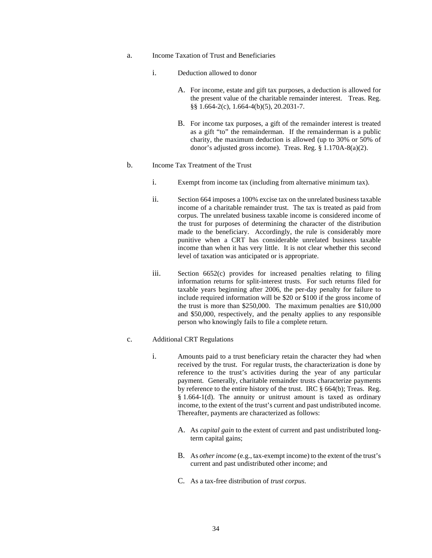- a. Income Taxation of Trust and Beneficiaries
	- i. Deduction allowed to donor
		- A. For income, estate and gift tax purposes, a deduction is allowed for the present value of the charitable remainder interest. Treas. Reg. §§ 1.664-2(c), 1.664-4(b)(5), 20.2031-7.
		- B. For income tax purposes, a gift of the remainder interest is treated as a gift "to" the remainderman. If the remainderman is a public charity, the maximum deduction is allowed (up to 30% or 50% of donor's adjusted gross income). Treas. Reg. § 1.170A-8(a)(2).
- b. Income Tax Treatment of the Trust
	- i. Exempt from income tax (including from alternative minimum tax).
	- ii. Section 664 imposes a 100% excise tax on the unrelated business taxable income of a charitable remainder trust. The tax is treated as paid from corpus. The unrelated business taxable income is considered income of the trust for purposes of determining the character of the distribution made to the beneficiary. Accordingly, the rule is considerably more punitive when a CRT has considerable unrelated business taxable income than when it has very little. It is not clear whether this second level of taxation was anticipated or is appropriate.
	- iii. Section 6652(c) provides for increased penalties relating to filing information returns for split-interest trusts. For such returns filed for taxable years beginning after 2006, the per-day penalty for failure to include required information will be \$20 or \$100 if the gross income of the trust is more than \$250,000. The maximum penalties are \$10,000 and \$50,000, respectively, and the penalty applies to any responsible person who knowingly fails to file a complete return.

#### c. Additional CRT Regulations

- i. Amounts paid to a trust beneficiary retain the character they had when received by the trust. For regular trusts, the characterization is done by reference to the trust's activities during the year of any particular payment. Generally, charitable remainder trusts characterize payments by reference to the entire history of the trust. IRC § 664(b); Treas. Reg. § 1.664-1(d). The annuity or unitrust amount is taxed as ordinary income, to the extent of the trust's current and past undistributed income. Thereafter, payments are characterized as follows:
	- A. As *capital gain* to the extent of current and past undistributed longterm capital gains;
	- B. As *other income* (e.g., tax-exempt income) to the extent of the trust's current and past undistributed other income; and
	- C. As a tax-free distribution of *trust corpus*.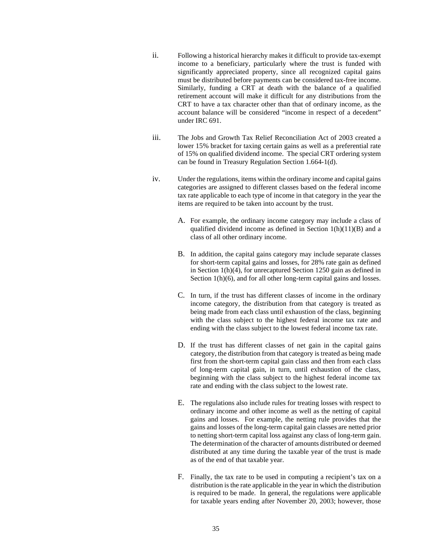- ii. Following a historical hierarchy makes it difficult to provide tax-exempt income to a beneficiary, particularly where the trust is funded with significantly appreciated property, since all recognized capital gains must be distributed before payments can be considered tax-free income. Similarly, funding a CRT at death with the balance of a qualified retirement account will make it difficult for any distributions from the CRT to have a tax character other than that of ordinary income, as the account balance will be considered "income in respect of a decedent" under IRC 691.
- iii. The Jobs and Growth Tax Relief Reconciliation Act of 2003 created a lower 15% bracket for taxing certain gains as well as a preferential rate of 15% on qualified dividend income. The special CRT ordering system can be found in Treasury Regulation Section 1.664-1(d).
- iv. Under the regulations, items within the ordinary income and capital gains categories are assigned to different classes based on the federal income tax rate applicable to each type of income in that category in the year the items are required to be taken into account by the trust.
	- A. For example, the ordinary income category may include a class of qualified dividend income as defined in Section 1(h)(11)(B) and a class of all other ordinary income.
	- B. In addition, the capital gains category may include separate classes for short-term capital gains and losses, for 28% rate gain as defined in Section 1(h)(4), for unrecaptured Section 1250 gain as defined in Section 1(h)(6), and for all other long-term capital gains and losses.
	- C. In turn, if the trust has different classes of income in the ordinary income category, the distribution from that category is treated as being made from each class until exhaustion of the class, beginning with the class subject to the highest federal income tax rate and ending with the class subject to the lowest federal income tax rate.
	- D. If the trust has different classes of net gain in the capital gains category, the distribution from that category is treated as being made first from the short-term capital gain class and then from each class of long-term capital gain, in turn, until exhaustion of the class, beginning with the class subject to the highest federal income tax rate and ending with the class subject to the lowest rate.
	- E. The regulations also include rules for treating losses with respect to ordinary income and other income as well as the netting of capital gains and losses. For example, the netting rule provides that the gains and losses of the long-term capital gain classes are netted prior to netting short-term capital loss against any class of long-term gain. The determination of the character of amounts distributed or deemed distributed at any time during the taxable year of the trust is made as of the end of that taxable year.
	- F. Finally, the tax rate to be used in computing a recipient's tax on a distribution is the rate applicable in the year in which the distribution is required to be made. In general, the regulations were applicable for taxable years ending after November 20, 2003; however, those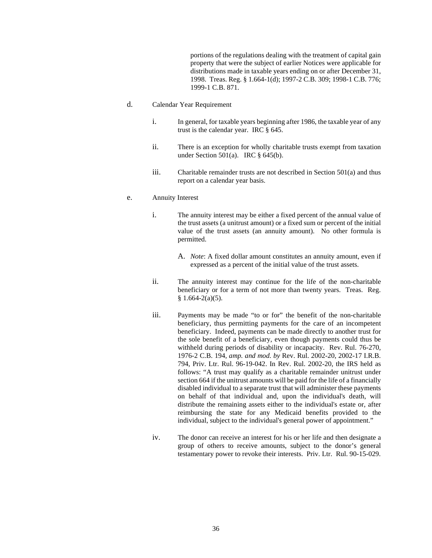portions of the regulations dealing with the treatment of capital gain property that were the subject of earlier Notices were applicable for distributions made in taxable years ending on or after December 31, 1998. Treas. Reg. § 1.664-1(d); 1997-2 C.B. 309; 1998-1 C.B. 776; 1999-1 C.B. 871.

- d. Calendar Year Requirement
	- i. In general, for taxable years beginning after 1986, the taxable year of any trust is the calendar year. IRC § 645.
	- ii. There is an exception for wholly charitable trusts exempt from taxation under Section 501(a). IRC  $\S$  645(b).
	- iii. Charitable remainder trusts are not described in Section  $501(a)$  and thus report on a calendar year basis.

# e. Annuity Interest

- i. The annuity interest may be either a fixed percent of the annual value of the trust assets (a unitrust amount) or a fixed sum or percent of the initial value of the trust assets (an annuity amount). No other formula is permitted.
	- A. *Note*: A fixed dollar amount constitutes an annuity amount, even if expressed as a percent of the initial value of the trust assets.
- ii. The annuity interest may continue for the life of the non-charitable beneficiary or for a term of not more than twenty years. Treas. Reg.  $§ 1.664-2(a)(5).$
- iii. Payments may be made "to or for" the benefit of the non-charitable beneficiary, thus permitting payments for the care of an incompetent beneficiary. Indeed, payments can be made directly to another trust for the sole benefit of a beneficiary, even though payments could thus be withheld during periods of disability or incapacity. Rev. Rul. 76-270, 1976-2 C.B. 194, *amp. and mod. by* Rev. Rul. 2002-20, 2002-17 I.R.B. 794, Priv. Ltr. Rul. 96-19-042. In Rev. Rul. 2002-20, the IRS held as follows: "A trust may qualify as a charitable remainder unitrust under section 664 if the unitrust amounts will be paid for the life of a financially disabled individual to a separate trust that will administer these payments on behalf of that individual and, upon the individual's death, will distribute the remaining assets either to the individual's estate or, after reimbursing the state for any Medicaid benefits provided to the individual, subject to the individual's general power of appointment."
- iv. The donor can receive an interest for his or her life and then designate a group of others to receive amounts, subject to the donor's general testamentary power to revoke their interests. Priv. Ltr. Rul. 90-15-029.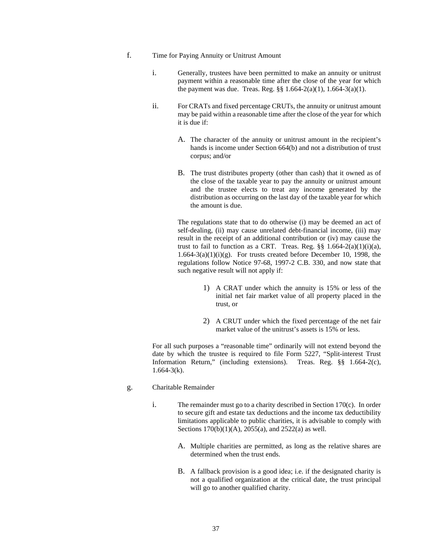- f. Time for Paying Annuity or Unitrust Amount
	- i. Generally, trustees have been permitted to make an annuity or unitrust payment within a reasonable time after the close of the year for which the payment was due. Treas. Reg. §§ 1.664-2(a)(1), 1.664-3(a)(1).
	- ii. For CRATs and fixed percentage CRUTs, the annuity or unitrust amount may be paid within a reasonable time after the close of the year for which it is due if:
		- A. The character of the annuity or unitrust amount in the recipient's hands is income under Section 664(b) and not a distribution of trust corpus; and/or
		- B. The trust distributes property (other than cash) that it owned as of the close of the taxable year to pay the annuity or unitrust amount and the trustee elects to treat any income generated by the distribution as occurring on the last day of the taxable year for which the amount is due.

The regulations state that to do otherwise (i) may be deemed an act of self-dealing, (ii) may cause unrelated debt-financial income, (iii) may result in the receipt of an additional contribution or (iv) may cause the trust to fail to function as a CRT. Treas. Reg.  $\S\S 1.664-2(a)(1)(i)(a)$ ,  $1.664-3(a)(1)(i)(g)$ . For trusts created before December 10, 1998, the regulations follow Notice 97-68, 1997-2 C.B. 330, and now state that such negative result will not apply if:

- 1) A CRAT under which the annuity is 15% or less of the initial net fair market value of all property placed in the trust, or
- 2) A CRUT under which the fixed percentage of the net fair market value of the unitrust's assets is 15% or less.

For all such purposes a "reasonable time" ordinarily will not extend beyond the date by which the trustee is required to file Form 5227, "Split-interest Trust Information Return," (including extensions). Treas. Reg. §§ 1.664-2(c),  $1.664 - 3(k)$ .

- g. Charitable Remainder
	- i. The remainder must go to a charity described in Section 170(c). In order to secure gift and estate tax deductions and the income tax deductibility limitations applicable to public charities, it is advisable to comply with Sections 170(b)(1)(A), 2055(a), and 2522(a) as well.
		- A. Multiple charities are permitted, as long as the relative shares are determined when the trust ends.
		- B. A fallback provision is a good idea; i.e. if the designated charity is not a qualified organization at the critical date, the trust principal will go to another qualified charity.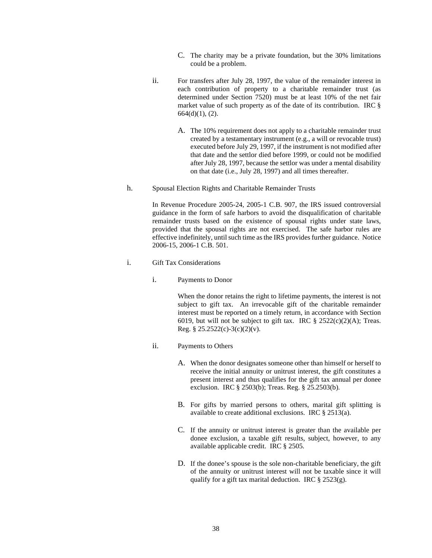- C. The charity may be a private foundation, but the 30% limitations could be a problem.
- ii. For transfers after July 28, 1997, the value of the remainder interest in each contribution of property to a charitable remainder trust (as determined under Section 7520) must be at least 10% of the net fair market value of such property as of the date of its contribution. IRC § 664(d)(1), (2).
	- A. The 10% requirement does not apply to a charitable remainder trust created by a testamentary instrument (e.g., a will or revocable trust) executed before July 29, 1997, if the instrument is not modified after that date and the settlor died before 1999, or could not be modified after July 28, 1997, because the settlor was under a mental disability on that date (i.e., July 28, 1997) and all times thereafter.
- h. Spousal Election Rights and Charitable Remainder Trusts

In Revenue Procedure 2005-24, 2005-1 C.B. 907, the IRS issued controversial guidance in the form of safe harbors to avoid the disqualification of charitable remainder trusts based on the existence of spousal rights under state laws, provided that the spousal rights are not exercised. The safe harbor rules are effective indefinitely, until such time as the IRS provides further guidance. Notice 2006-15, 2006-1 C.B. 501.

- i. Gift Tax Considerations
	- i. Payments to Donor

When the donor retains the right to lifetime payments, the interest is not subject to gift tax. An irrevocable gift of the charitable remainder interest must be reported on a timely return, in accordance with Section 6019, but will not be subject to gift tax. IRC  $\S$  2522(c)(2)(A); Treas. Reg. §  $25.2522(c)-3(c)(2)(v)$ .

- ii. Payments to Others
	- A. When the donor designates someone other than himself or herself to receive the initial annuity or unitrust interest, the gift constitutes a present interest and thus qualifies for the gift tax annual per donee exclusion. IRC § 2503(b); Treas. Reg. § 25.2503(b).
	- B. For gifts by married persons to others, marital gift splitting is available to create additional exclusions. IRC § 2513(a).
	- C. If the annuity or unitrust interest is greater than the available per donee exclusion, a taxable gift results, subject, however, to any available applicable credit. IRC § 2505.
	- D. If the donee's spouse is the sole non-charitable beneficiary, the gift of the annuity or unitrust interest will not be taxable since it will qualify for a gift tax marital deduction. IRC  $\S$  2523(g).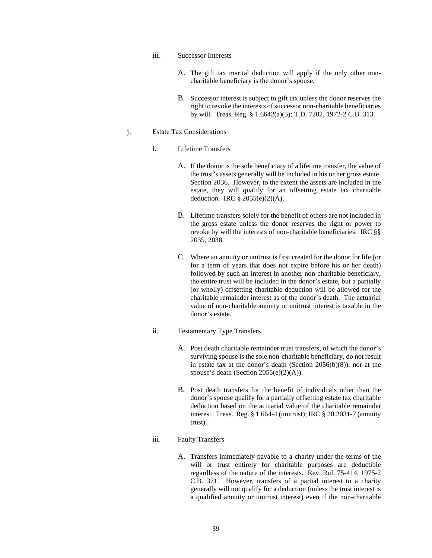- iii. Successor Interests
	- A. The gift tax marital deduction will apply if the only other noncharitable beneficiary is the donor's spouse.
	- B. Successor interest is subject to gift tax unless the donor reserves the right to revoke the interests of successor non-charitable beneficiaries by will. Treas. Reg. § 1.6642(a)(5); T.D. 7202, 1972-2 C.B. 313.

#### j. Estate Tax Considerations

- i. Lifetime Transfers
	- A. If the donor is the sole beneficiary of a lifetime transfer, the value of the trust's assets generally will be included in his or her gross estate. Section 2036. However, to the extent the assets are included in the estate, they will qualify for an offsetting estate tax charitable deduction. IRC  $\S$  2055(e)(2)(A).
	- B. Lifetime transfers solely for the benefit of others are not included in the gross estate unless the donor reserves the right or power to revoke by will the interests of non-charitable beneficiaries. IRC §§ 2035, 2038.
	- C. Where an annuity or unitrust is first created for the donor for life (or for a term of years that does not expire before his or her death) followed by such an interest in another non-charitable beneficiary, the entire trust will be included in the donor's estate, but a partially (or wholly) offsetting charitable deduction will be allowed for the charitable remainder interest as of the donor's death. The actuarial value of non-charitable annuity or unitrust interest is taxable in the donor's estate.
- ii. Testamentary Type Transfers
	- A. Post death charitable remainder trust transfers, of which the donor's surviving spouse is the sole non-charitable beneficiary, do not result in estate tax at the donor's death (Section 2056(b)(8)), nor at the spouse's death (Section 2055(e)(2)(A)).
	- B. Post death transfers for the benefit of individuals other than the donor's spouse qualify for a partially offsetting estate tax charitable deduction based on the actuarial value of the charitable remainder interest. Treas. Reg. § 1.664-4 (unitrust); IRC § 20.2031-7 (annuity trust).

# iii. Faulty Transfers

A. Transfers immediately payable to a charity under the terms of the will or trust entirely for charitable purposes are deductible regardless of the nature of the interests. Rev. Rul. 75-414, 1975-2 C.B. 371. However, transfers of a partial interest to a charity generally will not qualify for a deduction (unless the trust interest is a qualified annuity or unitrust interest) even if the non-charitable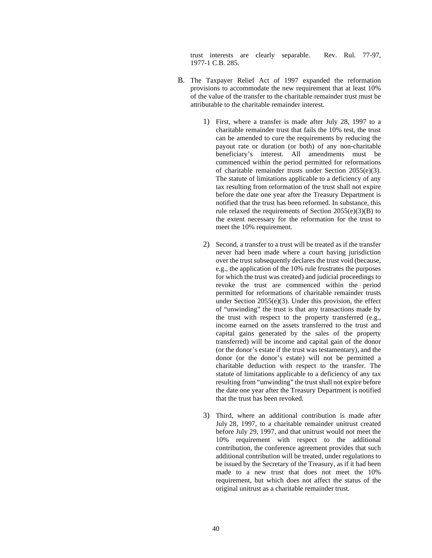trust interests are clearly separable. Rev. Rul. 77-97, 1977-1 C.B. 285.

- B. The Taxpayer Relief Act of 1997 expanded the reformation provisions to accommodate the new requirement that at least 10% of the value of the transfer to the charitable remainder trust must be attributable to the charitable remainder interest.
	- 1) First, where a transfer is made after July 28, 1997 to a charitable remainder trust that fails the 10% test, the trust can be amended to cure the requirements by reducing the payout rate or duration (or both) of any non-charitable beneficiary's interest. All amendments must be commenced within the period permitted for reformations of charitable remainder trusts under Section 2055(e)(3). The statute of limitations applicable to a deficiency of any tax resulting from reformation of the trust shall not expire before the date one year after the Treasury Department is notified that the trust has been reformed. In substance, this rule relaxed the requirements of Section 2055(e)(3)(B) to the extent necessary for the reformation for the trust to meet the 10% requirement.
	- 2) Second, a transfer to a trust will be treated as if the transfer never had been made where a court having jurisdiction over the trust subsequently declares the trust void (because, e.g., the application of the 10% rule frustrates the purposes for which the trust was created) and judicial proceedings to revoke the trust are commenced within the period permitted for reformations of charitable remainder trusts under Section 2055(e)(3). Under this provision, the effect of "unwinding" the trust is that any transactions made by the trust with respect to the property transferred (e.g., income earned on the assets transferred to the trust and capital gains generated by the sales of the property transferred) will be income and capital gain of the donor (or the donor's estate if the trust was testamentary), and the donor (or the donor's estate) will not be permitted a charitable deduction with respect to the transfer. The statute of limitations applicable to a deficiency of any tax resulting from "unwinding" the trust shall not expire before the date one year after the Treasury Department is notified that the trust has been revoked.
	- 3) Third, where an additional contribution is made after July 28, 1997, to a charitable remainder unitrust created before July 29, 1997, and that unitrust would not meet the 10% requirement with respect to the additional contribution, the conference agreement provides that such additional contribution will be treated, under regulations to be issued by the Secretary of the Treasury, as if it had been made to a new trust that does not meet the 10% requirement, but which does not affect the status of the original unitrust as a charitable remainder trust.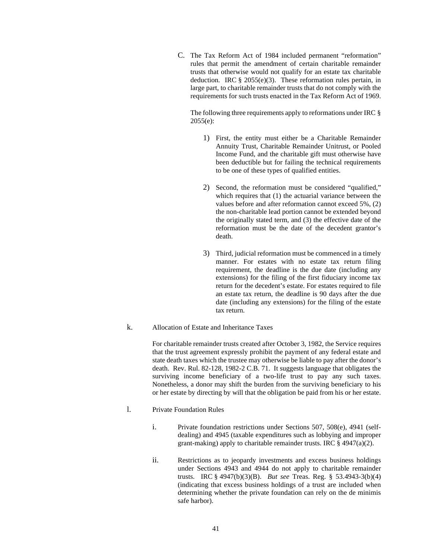C. The Tax Reform Act of 1984 included permanent "reformation" rules that permit the amendment of certain charitable remainder trusts that otherwise would not qualify for an estate tax charitable deduction. IRC § 2055(e)(3). These reformation rules pertain, in large part, to charitable remainder trusts that do not comply with the requirements for such trusts enacted in the Tax Reform Act of 1969.

The following three requirements apply to reformations under IRC  $\S$ 2055(e):

- 1) First, the entity must either be a Charitable Remainder Annuity Trust, Charitable Remainder Unitrust, or Pooled Income Fund, and the charitable gift must otherwise have been deductible but for failing the technical requirements to be one of these types of qualified entities.
- 2) Second, the reformation must be considered "qualified," which requires that (1) the actuarial variance between the values before and after reformation cannot exceed 5%, (2) the non-charitable lead portion cannot be extended beyond the originally stated term, and (3) the effective date of the reformation must be the date of the decedent grantor's death.
- 3) Third, judicial reformation must be commenced in a timely manner. For estates with no estate tax return filing requirement, the deadline is the due date (including any extensions) for the filing of the first fiduciary income tax return for the decedent's estate. For estates required to file an estate tax return, the deadline is 90 days after the due date (including any extensions) for the filing of the estate tax return.
- k. Allocation of Estate and Inheritance Taxes

For charitable remainder trusts created after October 3, 1982, the Service requires that the trust agreement expressly prohibit the payment of any federal estate and state death taxes which the trustee may otherwise be liable to pay after the donor's death. Rev. Rul. 82-128, 1982-2 C.B. 71. It suggests language that obligates the surviving income beneficiary of a two-life trust to pay any such taxes. Nonetheless, a donor may shift the burden from the surviving beneficiary to his or her estate by directing by will that the obligation be paid from his or her estate.

- l. Private Foundation Rules
	- i. Private foundation restrictions under Sections 507, 508(e), 4941 (selfdealing) and 4945 (taxable expenditures such as lobbying and improper grant-making) apply to charitable remainder trusts. IRC  $\S$  4947(a)(2).
	- ii. Restrictions as to jeopardy investments and excess business holdings under Sections 4943 and 4944 do not apply to charitable remainder trusts. IRC § 4947(b)(3)(B). *But see* Treas. Reg. § 53.4943-3(b)(4) (indicating that excess business holdings of a trust are included when determining whether the private foundation can rely on the de minimis safe harbor).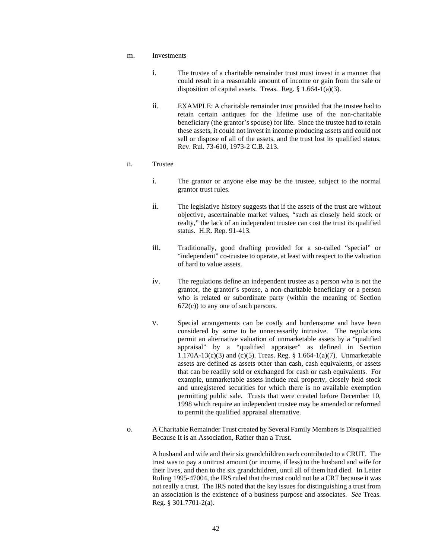- m. Investments
	- i. The trustee of a charitable remainder trust must invest in a manner that could result in a reasonable amount of income or gain from the sale or disposition of capital assets. Treas. Reg. § 1.664-1(a)(3).
	- ii. EXAMPLE: A charitable remainder trust provided that the trustee had to retain certain antiques for the lifetime use of the non-charitable beneficiary (the grantor's spouse) for life. Since the trustee had to retain these assets, it could not invest in income producing assets and could not sell or dispose of all of the assets, and the trust lost its qualified status. Rev. Rul. 73-610, 1973-2 C.B. 213.

## n. Trustee

- i. The grantor or anyone else may be the trustee, subject to the normal grantor trust rules.
- ii. The legislative history suggests that if the assets of the trust are without objective, ascertainable market values, "such as closely held stock or realty," the lack of an independent trustee can cost the trust its qualified status. H.R. Rep. 91-413.
- iii. Traditionally, good drafting provided for a so-called "special" or "independent" co-trustee to operate, at least with respect to the valuation of hard to value assets.
- iv. The regulations define an independent trustee as a person who is not the grantor, the grantor's spouse, a non-charitable beneficiary or a person who is related or subordinate party (within the meaning of Section  $672(c)$ ) to any one of such persons.
- v. Special arrangements can be costly and burdensome and have been considered by some to be unnecessarily intrusive. The regulations permit an alternative valuation of unmarketable assets by a "qualified appraisal" by a "qualified appraiser" as defined in Section 1.170A-13(c)(3) and (c)(5). Treas. Reg. § 1.664-1(a)(7). Unmarketable assets are defined as assets other than cash, cash equivalents, or assets that can be readily sold or exchanged for cash or cash equivalents. For example, unmarketable assets include real property, closely held stock and unregistered securities for which there is no available exemption permitting public sale. Trusts that were created before December 10, 1998 which require an independent trustee may be amended or reformed to permit the qualified appraisal alternative.
- o. A Charitable Remainder Trust created by Several Family Members is Disqualified Because It is an Association, Rather than a Trust.

A husband and wife and their six grandchildren each contributed to a CRUT. The trust was to pay a unitrust amount (or income, if less) to the husband and wife for their lives, and then to the six grandchildren, until all of them had died. In Letter Ruling 1995-47004, the IRS ruled that the trust could not be a CRT because it was not really a trust. The IRS noted that the key issues for distinguishing a trust from an association is the existence of a business purpose and associates. *See* Treas. Reg. § 301.7701-2(a).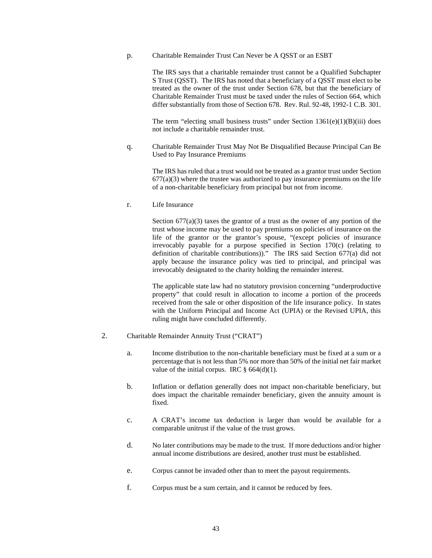p. Charitable Remainder Trust Can Never be A QSST or an ESBT

The IRS says that a charitable remainder trust cannot be a Qualified Subchapter S Trust (QSST). The IRS has noted that a beneficiary of a QSST must elect to be treated as the owner of the trust under Section 678, but that the beneficiary of Charitable Remainder Trust must be taxed under the rules of Section 664, which differ substantially from those of Section 678. Rev. Rul. 92-48, 1992-1 C.B. 301.

The term "electing small business trusts" under Section  $1361(e)(1)(B)(iii)$  does not include a charitable remainder trust.

q. Charitable Remainder Trust May Not Be Disqualified Because Principal Can Be Used to Pay Insurance Premiums

The IRS has ruled that a trust would not be treated as a grantor trust under Section  $677(a)(3)$  where the trustee was authorized to pay insurance premiums on the life of a non-charitable beneficiary from principal but not from income.

r. Life Insurance

Section  $677(a)(3)$  taxes the grantor of a trust as the owner of any portion of the trust whose income may be used to pay premiums on policies of insurance on the life of the grantor or the grantor's spouse, "(except policies of insurance irrevocably payable for a purpose specified in Section 170(c) (relating to definition of charitable contributions))." The IRS said Section 677(a) did not apply because the insurance policy was tied to principal, and principal was irrevocably designated to the charity holding the remainder interest.

The applicable state law had no statutory provision concerning "underproductive property" that could result in allocation to income a portion of the proceeds received from the sale or other disposition of the life insurance policy. In states with the Uniform Principal and Income Act (UPIA) or the Revised UPIA, this ruling might have concluded differently.

- 2. Charitable Remainder Annuity Trust ("CRAT")
	- a. Income distribution to the non-charitable beneficiary must be fixed at a sum or a percentage that is not less than 5% nor more than 50% of the initial net fair market value of the initial corpus. IRC  $\S$  664(d)(1).
	- b. Inflation or deflation generally does not impact non-charitable beneficiary, but does impact the charitable remainder beneficiary, given the annuity amount is fixed.
	- c. A CRAT's income tax deduction is larger than would be available for a comparable unitrust if the value of the trust grows.
	- d. No later contributions may be made to the trust. If more deductions and/or higher annual income distributions are desired, another trust must be established.
	- e. Corpus cannot be invaded other than to meet the payout requirements.
	- f. Corpus must be a sum certain, and it cannot be reduced by fees.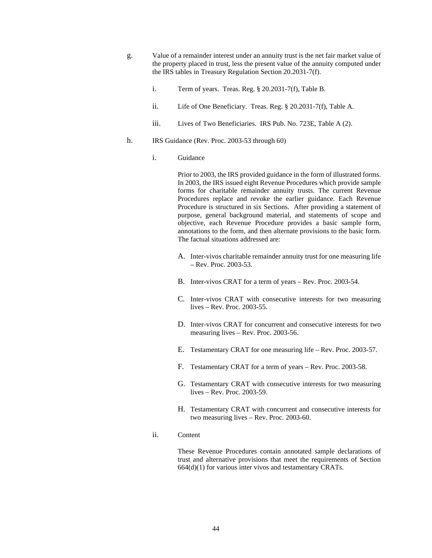- g. Value of a remainder interest under an annuity trust is the net fair market value of the property placed in trust, less the present value of the annuity computed under the IRS tables in Treasury Regulation Section 20.2031-7(f).
	- i. Term of years. Treas. Reg. § 20.2031-7(f), Table B.
	- ii. Life of One Beneficiary. Treas. Reg. § 20.2031-7(f), Table A.
	- iii. Lives of Two Beneficiaries. IRS Pub. No. 723E, Table A (2).
- h. IRS Guidance (Rev. Proc. 2003-53 through 60)
	- i. Guidance

Prior to 2003, the IRS provided guidance in the form of illustrated forms. In 2003, the IRS issued eight Revenue Procedures which provide sample forms for charitable remainder annuity trusts. The current Revenue Procedures replace and revoke the earlier guidance. Each Revenue Procedure is structured in six Sections. After providing a statement of purpose, general background material, and statements of scope and objective, each Revenue Procedure provides a basic sample form, annotations to the form, and then alternate provisions to the basic form. The factual situations addressed are:

- A. Inter-vivos charitable remainder annuity trust for one measuring life – Rev. Proc. 2003-53.
- B. Inter-vivos CRAT for a term of years Rev. Proc. 2003-54.
- C. Inter-vivos CRAT with consecutive interests for two measuring lives – Rev. Proc. 2003-55.
- D. Inter-vivos CRAT for concurrent and consecutive interests for two measuring lives – Rev. Proc. 2003-56.
- E. Testamentary CRAT for one measuring life Rev. Proc. 2003-57.
- F. Testamentary CRAT for a term of years Rev. Proc. 2003-58.
- G. Testamentary CRAT with consecutive interests for two measuring lives – Rev. Proc. 2003-59.
- H. Testamentary CRAT with concurrent and consecutive interests for two measuring lives – Rev. Proc. 2003-60.
- ii. Content

These Revenue Procedures contain annotated sample declarations of trust and alternative provisions that meet the requirements of Section 664(d)(1) for various inter vivos and testamentary CRATs.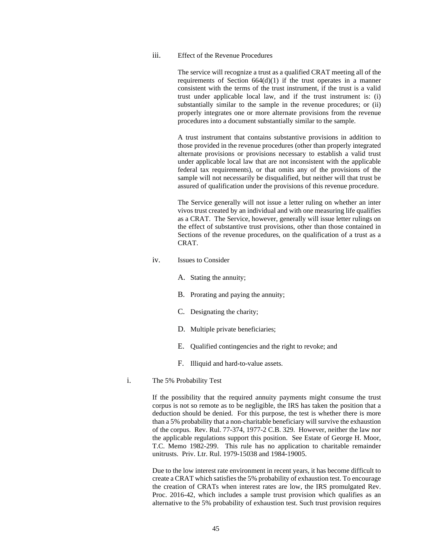iii. Effect of the Revenue Procedures

The service will recognize a trust as a qualified CRAT meeting all of the requirements of Section 664(d)(1) if the trust operates in a manner consistent with the terms of the trust instrument, if the trust is a valid trust under applicable local law, and if the trust instrument is: (i) substantially similar to the sample in the revenue procedures; or (ii) properly integrates one or more alternate provisions from the revenue procedures into a document substantially similar to the sample.

A trust instrument that contains substantive provisions in addition to those provided in the revenue procedures (other than properly integrated alternate provisions or provisions necessary to establish a valid trust under applicable local law that are not inconsistent with the applicable federal tax requirements), or that omits any of the provisions of the sample will not necessarily be disqualified, but neither will that trust be assured of qualification under the provisions of this revenue procedure.

The Service generally will not issue a letter ruling on whether an inter vivos trust created by an individual and with one measuring life qualifies as a CRAT. The Service, however, generally will issue letter rulings on the effect of substantive trust provisions, other than those contained in Sections of the revenue procedures, on the qualification of a trust as a CRAT.

- iv. Issues to Consider
	- A. Stating the annuity;
	- B. Prorating and paying the annuity;
	- C. Designating the charity;
	- D. Multiple private beneficiaries;
	- E. Qualified contingencies and the right to revoke; and
	- F. Illiquid and hard-to-value assets.
- i. The 5% Probability Test

If the possibility that the required annuity payments might consume the trust corpus is not so remote as to be negligible, the IRS has taken the position that a deduction should be denied. For this purpose, the test is whether there is more than a 5% probability that a non-charitable beneficiary will survive the exhaustion of the corpus. Rev. Rul. 77-374, 1977-2 C.B. 329. However, neither the law nor the applicable regulations support this position. See Estate of George H. Moor, T.C. Memo 1982-299. This rule has no application to charitable remainder unitrusts. Priv. Ltr. Rul. 1979-15038 and 1984-19005.

Due to the low interest rate environment in recent years, it has become difficult to create a CRAT which satisfies the 5% probability of exhaustion test. To encourage the creation of CRATs when interest rates are low, the IRS promulgated Rev. Proc. 2016-42, which includes a sample trust provision which qualifies as an alternative to the 5% probability of exhaustion test. Such trust provision requires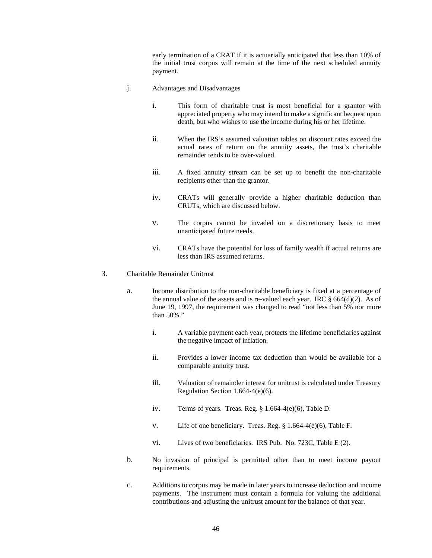early termination of a CRAT if it is actuarially anticipated that less than 10% of the initial trust corpus will remain at the time of the next scheduled annuity payment.

- j. Advantages and Disadvantages
	- i. This form of charitable trust is most beneficial for a grantor with appreciated property who may intend to make a significant bequest upon death, but who wishes to use the income during his or her lifetime.
	- ii. When the IRS's assumed valuation tables on discount rates exceed the actual rates of return on the annuity assets, the trust's charitable remainder tends to be over-valued.
	- iii. A fixed annuity stream can be set up to benefit the non-charitable recipients other than the grantor.
	- iv. CRATs will generally provide a higher charitable deduction than CRUTs, which are discussed below.
	- v. The corpus cannot be invaded on a discretionary basis to meet unanticipated future needs.
	- vi. CRATs have the potential for loss of family wealth if actual returns are less than IRS assumed returns.
- 3. Charitable Remainder Unitrust
	- a. Income distribution to the non-charitable beneficiary is fixed at a percentage of the annual value of the assets and is re-valued each year. IRC  $\S 664(d)(2)$ . As of June 19, 1997, the requirement was changed to read "not less than 5% nor more than 50%."
		- i. A variable payment each year, protects the lifetime beneficiaries against the negative impact of inflation.
		- ii. Provides a lower income tax deduction than would be available for a comparable annuity trust.
		- iii. Valuation of remainder interest for unitrust is calculated under Treasury Regulation Section 1.664-4(e)(6).
		- iv. Terms of years. Treas. Reg. § 1.664-4(e)(6), Table D.
		- v. Life of one beneficiary. Treas. Reg. § 1.664-4(e)(6), Table F.
		- vi. Lives of two beneficiaries. IRS Pub. No. 723C, Table E (2).
	- b. No invasion of principal is permitted other than to meet income payout requirements.
	- c. Additions to corpus may be made in later years to increase deduction and income payments. The instrument must contain a formula for valuing the additional contributions and adjusting the unitrust amount for the balance of that year.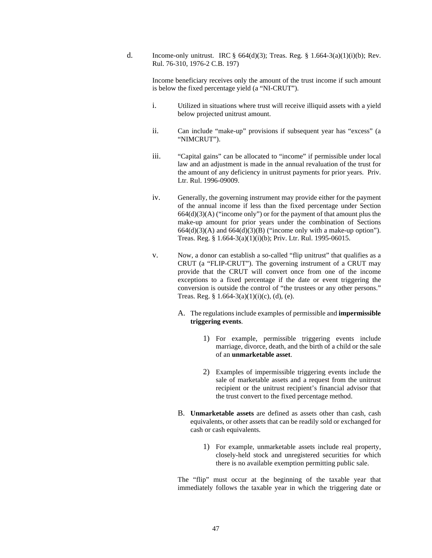d. Income-only unitrust. IRC §  $664(d)(3)$ ; Treas. Reg. § 1.664-3(a)(1)(i)(b); Rev. Rul. 76-310, 1976-2 C.B. 197)

Income beneficiary receives only the amount of the trust income if such amount is below the fixed percentage yield (a "NI-CRUT").

- i. Utilized in situations where trust will receive illiquid assets with a yield below projected unitrust amount.
- ii. Can include "make-up" provisions if subsequent year has "excess" (a "NIMCRUT").
- iii. "Capital gains" can be allocated to "income" if permissible under local law and an adjustment is made in the annual revaluation of the trust for the amount of any deficiency in unitrust payments for prior years. Priv. Ltr. Rul. 1996-09009.
- iv. Generally, the governing instrument may provide either for the payment of the annual income if less than the fixed percentage under Section  $664(d)(3)(A)$  ("income only") or for the payment of that amount plus the make-up amount for prior years under the combination of Sections  $664(d)(3)(A)$  and  $664(d)(3)(B)$  ("income only with a make-up option"). Treas. Reg. § 1.664-3(a)(1)(i)(b); Priv. Ltr. Rul. 1995-06015.
- v. Now, a donor can establish a so-called "flip unitrust" that qualifies as a CRUT (a "FLIP-CRUT"). The governing instrument of a CRUT may provide that the CRUT will convert once from one of the income exceptions to a fixed percentage if the date or event triggering the conversion is outside the control of "the trustees or any other persons." Treas. Reg. §  $1.664-3(a)(1)(i)(c)$ , (d), (e).
	- A. The regulations include examples of permissible and **impermissible triggering events**.
		- 1) For example, permissible triggering events include marriage, divorce, death, and the birth of a child or the sale of an **unmarketable asset**.
		- 2) Examples of impermissible triggering events include the sale of marketable assets and a request from the unitrust recipient or the unitrust recipient's financial advisor that the trust convert to the fixed percentage method.
	- B. **Unmarketable assets** are defined as assets other than cash, cash equivalents, or other assets that can be readily sold or exchanged for cash or cash equivalents.
		- 1) For example, unmarketable assets include real property, closely-held stock and unregistered securities for which there is no available exemption permitting public sale.

The "flip" must occur at the beginning of the taxable year that immediately follows the taxable year in which the triggering date or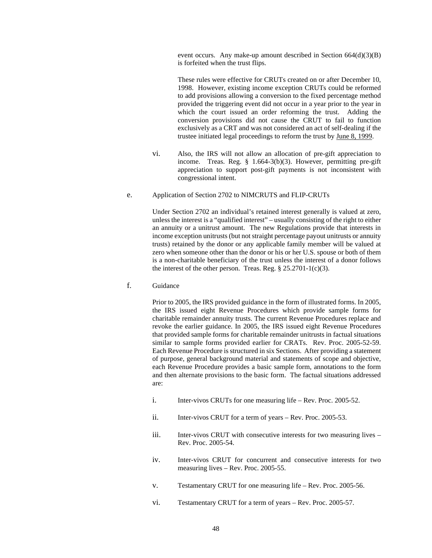event occurs. Any make-up amount described in Section 664(d)(3)(B) is forfeited when the trust flips.

These rules were effective for CRUTs created on or after December 10, 1998. However, existing income exception CRUTs could be reformed to add provisions allowing a conversion to the fixed percentage method provided the triggering event did not occur in a year prior to the year in which the court issued an order reforming the trust. Adding the conversion provisions did not cause the CRUT to fail to function exclusively as a CRT and was not considered an act of self-dealing if the trustee initiated legal proceedings to reform the trust by June 8, 1999.

- vi. Also, the IRS will not allow an allocation of pre-gift appreciation to income. Treas. Reg. § 1.664-3(b)(3). However, permitting pre-gift appreciation to support post-gift payments is not inconsistent with congressional intent.
- e. Application of Section 2702 to NIMCRUTS and FLIP-CRUTs

Under Section 2702 an individual's retained interest generally is valued at zero, unless the interest is a "qualified interest" – usually consisting of the right to either an annuity or a unitrust amount. The new Regulations provide that interests in income exception unitrusts (but not straight percentage payout unitrusts or annuity trusts) retained by the donor or any applicable family member will be valued at zero when someone other than the donor or his or her U.S. spouse or both of them is a non-charitable beneficiary of the trust unless the interest of a donor follows the interest of the other person. Treas. Reg.  $\S 25.2701-1(c)(3)$ .

f. Guidance

Prior to 2005, the IRS provided guidance in the form of illustrated forms. In 2005, the IRS issued eight Revenue Procedures which provide sample forms for charitable remainder annuity trusts. The current Revenue Procedures replace and revoke the earlier guidance. In 2005, the IRS issued eight Revenue Procedures that provided sample forms for charitable remainder unitrusts in factual situations similar to sample forms provided earlier for CRATs. Rev. Proc. 2005-52-59. Each Revenue Procedure is structured in six Sections. After providing a statement of purpose, general background material and statements of scope and objective, each Revenue Procedure provides a basic sample form, annotations to the form and then alternate provisions to the basic form. The factual situations addressed are:

- i. Inter-vivos CRUTs for one measuring life Rev. Proc. 2005-52.
- ii. Inter-vivos CRUT for a term of years Rev. Proc. 2005-53.
- iii. Inter-vivos CRUT with consecutive interests for two measuring lives Rev. Proc. 2005-54.
- iv. Inter-vivos CRUT for concurrent and consecutive interests for two measuring lives – Rev. Proc. 2005-55.
- v. Testamentary CRUT for one measuring life Rev. Proc. 2005-56.
- vi. Testamentary CRUT for a term of years Rev. Proc. 2005-57.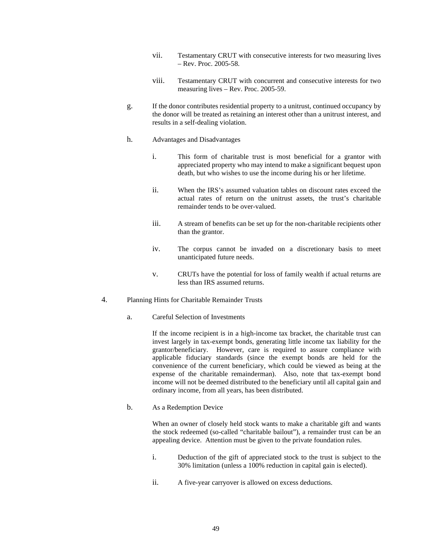- vii. Testamentary CRUT with consecutive interests for two measuring lives – Rev. Proc. 2005-58.
- viii. Testamentary CRUT with concurrent and consecutive interests for two measuring lives – Rev. Proc. 2005-59.
- g. If the donor contributes residential property to a unitrust, continued occupancy by the donor will be treated as retaining an interest other than a unitrust interest, and results in a self-dealing violation.
- h. Advantages and Disadvantages
	- i. This form of charitable trust is most beneficial for a grantor with appreciated property who may intend to make a significant bequest upon death, but who wishes to use the income during his or her lifetime.
	- ii. When the IRS's assumed valuation tables on discount rates exceed the actual rates of return on the unitrust assets, the trust's charitable remainder tends to be over-valued.
	- iii. A stream of benefits can be set up for the non-charitable recipients other than the grantor.
	- iv. The corpus cannot be invaded on a discretionary basis to meet unanticipated future needs.
	- v. CRUTs have the potential for loss of family wealth if actual returns are less than IRS assumed returns.
- 4. Planning Hints for Charitable Remainder Trusts
	- a. Careful Selection of Investments

If the income recipient is in a high-income tax bracket, the charitable trust can invest largely in tax-exempt bonds, generating little income tax liability for the grantor/beneficiary. However, care is required to assure compliance with applicable fiduciary standards (since the exempt bonds are held for the convenience of the current beneficiary, which could be viewed as being at the expense of the charitable remainderman). Also, note that tax-exempt bond income will not be deemed distributed to the beneficiary until all capital gain and ordinary income, from all years, has been distributed.

b. As a Redemption Device

When an owner of closely held stock wants to make a charitable gift and wants the stock redeemed (so-called "charitable bailout"), a remainder trust can be an appealing device. Attention must be given to the private foundation rules.

- i. Deduction of the gift of appreciated stock to the trust is subject to the 30% limitation (unless a 100% reduction in capital gain is elected).
- ii. A five-year carryover is allowed on excess deductions.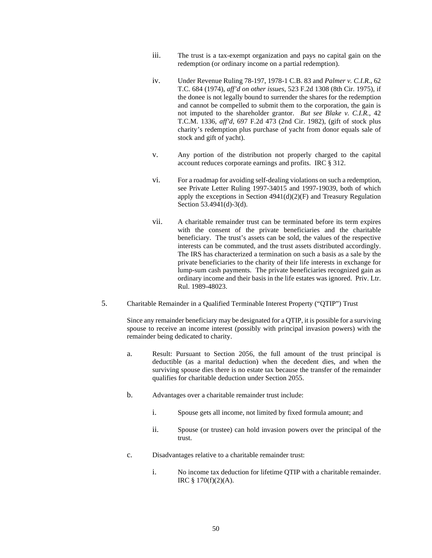- iii. The trust is a tax-exempt organization and pays no capital gain on the redemption (or ordinary income on a partial redemption).
- iv. Under Revenue Ruling 78-197, 1978-1 C.B. 83 and *Palmer v. C.I.R.*, 62 T.C. 684 (1974), *aff'd on other issues*, 523 F.2d 1308 (8th Cir. 1975), if the donee is not legally bound to surrender the shares for the redemption and cannot be compelled to submit them to the corporation, the gain is not imputed to the shareholder grantor. *But see Blake v. C.I.R.*, 42 T.C.M. 1336, *aff'd*, 697 F.2d 473 (2nd Cir. 1982), (gift of stock plus charity's redemption plus purchase of yacht from donor equals sale of stock and gift of yacht).
- v. Any portion of the distribution not properly charged to the capital account reduces corporate earnings and profits. IRC § 312.
- vi. For a roadmap for avoiding self-dealing violations on such a redemption, see Private Letter Ruling 1997-34015 and 1997-19039, both of which apply the exceptions in Section  $4941(d)(2)(F)$  and Treasury Regulation Section 53.4941(d)-3(d).
- vii. A charitable remainder trust can be terminated before its term expires with the consent of the private beneficiaries and the charitable beneficiary. The trust's assets can be sold, the values of the respective interests can be commuted, and the trust assets distributed accordingly. The IRS has characterized a termination on such a basis as a sale by the private beneficiaries to the charity of their life interests in exchange for lump-sum cash payments. The private beneficiaries recognized gain as ordinary income and their basis in the life estates was ignored. Priv. Ltr. Rul. 1989-48023.
- 5. Charitable Remainder in a Qualified Terminable Interest Property ("QTIP") Trust

Since any remainder beneficiary may be designated for a QTIP, it is possible for a surviving spouse to receive an income interest (possibly with principal invasion powers) with the remainder being dedicated to charity.

- a. Result: Pursuant to Section 2056, the full amount of the trust principal is deductible (as a marital deduction) when the decedent dies, and when the surviving spouse dies there is no estate tax because the transfer of the remainder qualifies for charitable deduction under Section 2055.
- b. Advantages over a charitable remainder trust include:
	- i. Spouse gets all income, not limited by fixed formula amount; and
	- ii. Spouse (or trustee) can hold invasion powers over the principal of the trust.
- c. Disadvantages relative to a charitable remainder trust:
	- i. No income tax deduction for lifetime QTIP with a charitable remainder. IRC § 170(f)(2)(A).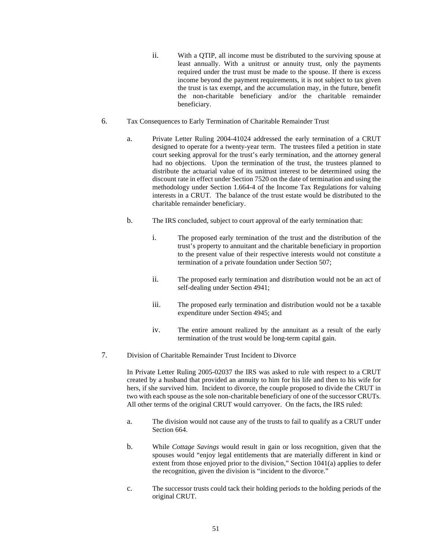- ii. With a QTIP, all income must be distributed to the surviving spouse at least annually. With a unitrust or annuity trust, only the payments required under the trust must be made to the spouse. If there is excess income beyond the payment requirements, it is not subject to tax given the trust is tax exempt, and the accumulation may, in the future, benefit the non-charitable beneficiary and/or the charitable remainder beneficiary.
- 6. Tax Consequences to Early Termination of Charitable Remainder Trust
	- a. Private Letter Ruling 2004-41024 addressed the early termination of a CRUT designed to operate for a twenty-year term. The trustees filed a petition in state court seeking approval for the trust's early termination, and the attorney general had no objections. Upon the termination of the trust, the trustees planned to distribute the actuarial value of its unitrust interest to be determined using the discount rate in effect under Section 7520 on the date of termination and using the methodology under Section 1.664-4 of the Income Tax Regulations for valuing interests in a CRUT. The balance of the trust estate would be distributed to the charitable remainder beneficiary.
	- b. The IRS concluded, subject to court approval of the early termination that:
		- i. The proposed early termination of the trust and the distribution of the trust's property to annuitant and the charitable beneficiary in proportion to the present value of their respective interests would not constitute a termination of a private foundation under Section 507;
		- ii. The proposed early termination and distribution would not be an act of self-dealing under Section 4941;
		- iii. The proposed early termination and distribution would not be a taxable expenditure under Section 4945; and
		- iv. The entire amount realized by the annuitant as a result of the early termination of the trust would be long-term capital gain.
- 7. Division of Charitable Remainder Trust Incident to Divorce

In Private Letter Ruling 2005-02037 the IRS was asked to rule with respect to a CRUT created by a husband that provided an annuity to him for his life and then to his wife for hers, if she survived him. Incident to divorce, the couple proposed to divide the CRUT in two with each spouse as the sole non-charitable beneficiary of one of the successor CRUTs. All other terms of the original CRUT would carryover. On the facts, the IRS ruled:

- a. The division would not cause any of the trusts to fail to qualify as a CRUT under Section 664.
- b. While *Cottage Savings* would result in gain or loss recognition, given that the spouses would "enjoy legal entitlements that are materially different in kind or extent from those enjoyed prior to the division," Section 1041(a) applies to defer the recognition, given the division is "incident to the divorce."
- c. The successor trusts could tack their holding periods to the holding periods of the original CRUT.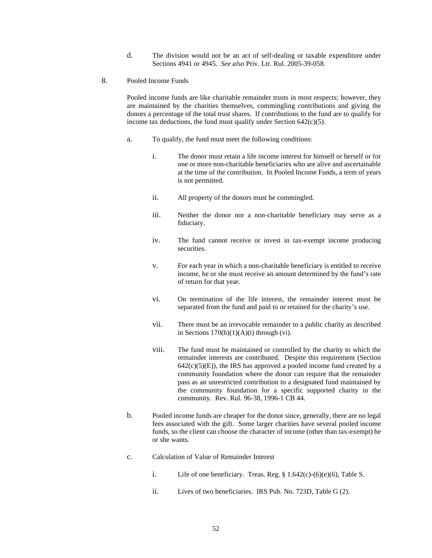- d. The division would not be an act of self-dealing or taxable expenditure under Sections 4941 or 4945. *See also* Priv. Ltr. Rul. 2005-39-058.
- 8. Pooled Income Funds

Pooled income funds are like charitable remainder trusts in most respects; however, they are maintained by the charities themselves, commingling contributions and giving the donors a percentage of the total trust shares. If contributions to the fund are to qualify for income tax deductions, the fund must qualify under Section  $642(c)(5)$ .

- a. To qualify, the fund must meet the following conditions:
	- i. The donor must retain a life income interest for himself or herself or for one or more non-charitable beneficiaries who are alive and ascertainable at the time of the contribution. In Pooled Income Funds, a term of years is not permitted.
	- ii. All property of the donors must be commingled.
	- iii. Neither the donor nor a non-charitable beneficiary may serve as a fiduciary.
	- iv. The fund cannot receive or invest in tax-exempt income producing securities.
	- v. For each year in which a non-charitable beneficiary is entitled to receive income, he or she must receive an amount determined by the fund's rate of return for that year.
	- vi. On termination of the life interest, the remainder interest must be separated from the fund and paid to or retained for the charity's use.
	- vii. There must be an irrevocable remainder to a public charity as described in Sections  $170(b)(1)(A)(i)$  through (vi).
	- viii. The fund must be maintained or controlled by the charity to which the remainder interests are contributed. Despite this requirement (Section  $642(c)(5)(E)$ , the IRS has approved a pooled income fund created by a community foundation where the donor can require that the remainder pass as an unrestricted contribution to a designated fund maintained by the community foundation for a specific supported charity in the community. Rev. Rul. 96-38, 1996-1 CB 44.
- b. Pooled income funds are cheaper for the donor since, generally, there are no legal fees associated with the gift. Some larger charities have several pooled income funds, so the client can choose the character of income (other than tax-exempt) he or she wants.
- c. Calculation of Value of Remainder Interest
	- i. Life of one beneficiary. Treas. Reg.  $\S 1.642(c)-(6)(e)(6)$ , Table S.
	- ii. Lives of two beneficiaries. IRS Pub. No. 723D, Table G (2).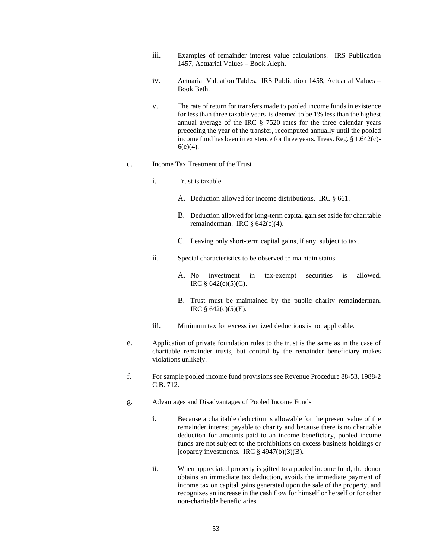- iii. Examples of remainder interest value calculations. IRS Publication 1457, Actuarial Values – Book Aleph.
- iv. Actuarial Valuation Tables. IRS Publication 1458, Actuarial Values Book Beth.
- v. The rate of return for transfers made to pooled income funds in existence for less than three taxable years is deemed to be 1% less than the highest annual average of the IRC § 7520 rates for the three calendar years preceding the year of the transfer, recomputed annually until the pooled income fund has been in existence for three years. Treas. Reg. § 1.642(c)-  $6(e)(4)$ .
- d. Income Tax Treatment of the Trust
	- i. Trust is taxable
		- A. Deduction allowed for income distributions. IRC § 661.
		- B. Deduction allowed for long-term capital gain set aside for charitable remainderman. IRC  $\S$  642(c)(4).
		- C. Leaving only short-term capital gains, if any, subject to tax.
	- ii. Special characteristics to be observed to maintain status.
		- A. No investment in tax-exempt securities is allowed. IRC § 642(c)(5)(C).
		- B. Trust must be maintained by the public charity remainderman. IRC  $§$  642(c)(5)(E).
	- iii. Minimum tax for excess itemized deductions is not applicable.
- e. Application of private foundation rules to the trust is the same as in the case of charitable remainder trusts, but control by the remainder beneficiary makes violations unlikely.
- f. For sample pooled income fund provisions see Revenue Procedure 88-53, 1988-2 C.B. 712.
- g. Advantages and Disadvantages of Pooled Income Funds
	- i. Because a charitable deduction is allowable for the present value of the remainder interest payable to charity and because there is no charitable deduction for amounts paid to an income beneficiary, pooled income funds are not subject to the prohibitions on excess business holdings or jeopardy investments. IRC § 4947(b)(3)(B).
	- ii. When appreciated property is gifted to a pooled income fund, the donor obtains an immediate tax deduction, avoids the immediate payment of income tax on capital gains generated upon the sale of the property, and recognizes an increase in the cash flow for himself or herself or for other non-charitable beneficiaries.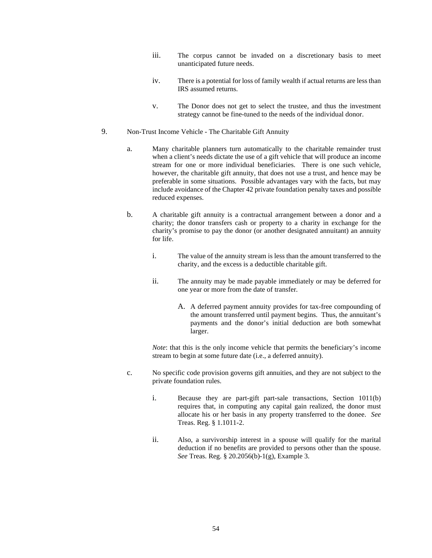- iii. The corpus cannot be invaded on a discretionary basis to meet unanticipated future needs.
- iv. There is a potential for loss of family wealth if actual returns are less than IRS assumed returns.
- v. The Donor does not get to select the trustee, and thus the investment strategy cannot be fine-tuned to the needs of the individual donor.
- 9. Non-Trust Income Vehicle The Charitable Gift Annuity
	- a. Many charitable planners turn automatically to the charitable remainder trust when a client's needs dictate the use of a gift vehicle that will produce an income stream for one or more individual beneficiaries. There is one such vehicle, however, the charitable gift annuity, that does not use a trust, and hence may be preferable in some situations. Possible advantages vary with the facts, but may include avoidance of the Chapter 42 private foundation penalty taxes and possible reduced expenses.
	- b. A charitable gift annuity is a contractual arrangement between a donor and a charity; the donor transfers cash or property to a charity in exchange for the charity's promise to pay the donor (or another designated annuitant) an annuity for life.
		- i. The value of the annuity stream is less than the amount transferred to the charity, and the excess is a deductible charitable gift.
		- ii. The annuity may be made payable immediately or may be deferred for one year or more from the date of transfer.
			- A. A deferred payment annuity provides for tax-free compounding of the amount transferred until payment begins. Thus, the annuitant's payments and the donor's initial deduction are both somewhat larger.

*Note*: that this is the only income vehicle that permits the beneficiary's income stream to begin at some future date (i.e., a deferred annuity).

- c. No specific code provision governs gift annuities, and they are not subject to the private foundation rules.
	- i. Because they are part-gift part-sale transactions, Section 1011(b) requires that, in computing any capital gain realized, the donor must allocate his or her basis in any property transferred to the donee. *See* Treas. Reg. § 1.1011-2.
	- ii. Also, a survivorship interest in a spouse will qualify for the marital deduction if no benefits are provided to persons other than the spouse. *See* Treas. Reg. § 20.2056(b)-1(g), Example 3.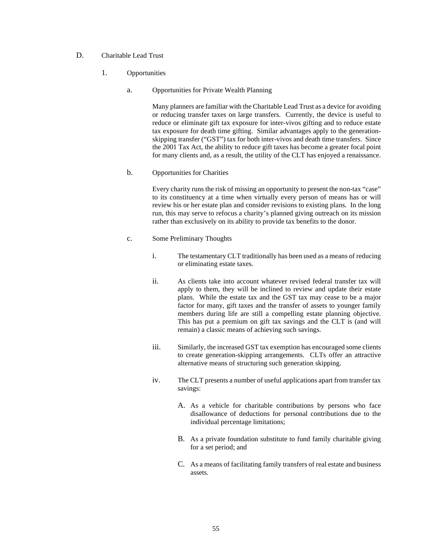# D. Charitable Lead Trust

- 1. Opportunities
	- a. Opportunities for Private Wealth Planning

Many planners are familiar with the Charitable Lead Trust as a device for avoiding or reducing transfer taxes on large transfers. Currently, the device is useful to reduce or eliminate gift tax exposure for inter-vivos gifting and to reduce estate tax exposure for death time gifting. Similar advantages apply to the generationskipping transfer ("GST") tax for both inter-vivos and death time transfers. Since the 2001 Tax Act, the ability to reduce gift taxes has become a greater focal point for many clients and, as a result, the utility of the CLT has enjoyed a renaissance.

b. Opportunities for Charities

Every charity runs the risk of missing an opportunity to present the non-tax "case" to its constituency at a time when virtually every person of means has or will review his or her estate plan and consider revisions to existing plans. In the long run, this may serve to refocus a charity's planned giving outreach on its mission rather than exclusively on its ability to provide tax benefits to the donor.

- c. Some Preliminary Thoughts
	- i. The testamentary CLT traditionally has been used as a means of reducing or eliminating estate taxes.
	- ii. As clients take into account whatever revised federal transfer tax will apply to them, they will be inclined to review and update their estate plans. While the estate tax and the GST tax may cease to be a major factor for many, gift taxes and the transfer of assets to younger family members during life are still a compelling estate planning objective. This has put a premium on gift tax savings and the CLT is (and will remain) a classic means of achieving such savings.
	- iii. Similarly, the increased GST tax exemption has encouraged some clients to create generation-skipping arrangements. CLTs offer an attractive alternative means of structuring such generation skipping.
	- iv. The CLT presents a number of useful applications apart from transfer tax savings:
		- A. As a vehicle for charitable contributions by persons who face disallowance of deductions for personal contributions due to the individual percentage limitations;
		- B. As a private foundation substitute to fund family charitable giving for a set period; and
		- C. As a means of facilitating family transfers of real estate and business assets.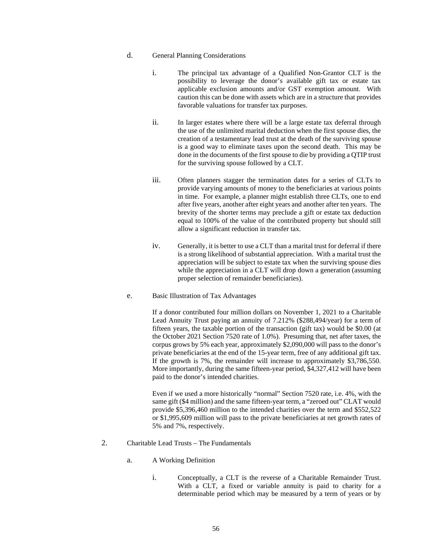# d. General Planning Considerations

- i. The principal tax advantage of a Qualified Non-Grantor CLT is the possibility to leverage the donor's available gift tax or estate tax applicable exclusion amounts and/or GST exemption amount. With caution this can be done with assets which are in a structure that provides favorable valuations for transfer tax purposes.
- ii. In larger estates where there will be a large estate tax deferral through the use of the unlimited marital deduction when the first spouse dies, the creation of a testamentary lead trust at the death of the surviving spouse is a good way to eliminate taxes upon the second death. This may be done in the documents of the first spouse to die by providing a QTIP trust for the surviving spouse followed by a CLT.
- iii. Often planners stagger the termination dates for a series of CLTs to provide varying amounts of money to the beneficiaries at various points in time. For example, a planner might establish three CLTs, one to end after five years, another after eight years and another after ten years. The brevity of the shorter terms may preclude a gift or estate tax deduction equal to 100% of the value of the contributed property but should still allow a significant reduction in transfer tax.
- iv. Generally, it is better to use a CLT than a marital trust for deferral if there is a strong likelihood of substantial appreciation. With a marital trust the appreciation will be subject to estate tax when the surviving spouse dies while the appreciation in a CLT will drop down a generation (assuming proper selection of remainder beneficiaries).
- e. Basic Illustration of Tax Advantages

If a donor contributed four million dollars on November 1, 2021 to a Charitable Lead Annuity Trust paying an annuity of 7.212% (\$288,494/year) for a term of fifteen years, the taxable portion of the transaction (gift tax) would be \$0.00 (at the October 2021 Section 7520 rate of 1.0%). Presuming that, net after taxes, the corpus grows by 5% each year, approximately \$2,090,000 will pass to the donor's private beneficiaries at the end of the 15-year term, free of any additional gift tax. If the growth is 7%, the remainder will increase to approximately \$3,786,550. More importantly, during the same fifteen-year period, \$4,327,412 will have been paid to the donor's intended charities.

Even if we used a more historically "normal" Section 7520 rate, i.e. 4%, with the same gift (\$4 million) and the same fifteen-year term, a "zeroed out" CLAT would provide \$5,396,460 million to the intended charities over the term and \$552,522 or \$1,995,609 million will pass to the private beneficiaries at net growth rates of 5% and 7%, respectively.

- 2. Charitable Lead Trusts The Fundamentals
	- a. A Working Definition
		- i. Conceptually, a CLT is the reverse of a Charitable Remainder Trust. With a CLT, a fixed or variable annuity is paid to charity for a determinable period which may be measured by a term of years or by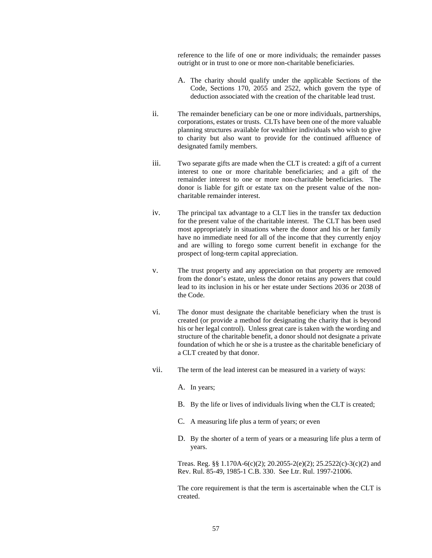reference to the life of one or more individuals; the remainder passes outright or in trust to one or more non-charitable beneficiaries.

- A. The charity should qualify under the applicable Sections of the Code, Sections 170, 2055 and 2522, which govern the type of deduction associated with the creation of the charitable lead trust.
- ii. The remainder beneficiary can be one or more individuals, partnerships, corporations, estates or trusts. CLTs have been one of the more valuable planning structures available for wealthier individuals who wish to give to charity but also want to provide for the continued affluence of designated family members.
- iii. Two separate gifts are made when the CLT is created: a gift of a current interest to one or more charitable beneficiaries; and a gift of the remainder interest to one or more non-charitable beneficiaries. The donor is liable for gift or estate tax on the present value of the noncharitable remainder interest.
- iv. The principal tax advantage to a CLT lies in the transfer tax deduction for the present value of the charitable interest. The CLT has been used most appropriately in situations where the donor and his or her family have no immediate need for all of the income that they currently enjoy and are willing to forego some current benefit in exchange for the prospect of long-term capital appreciation.
- v. The trust property and any appreciation on that property are removed from the donor's estate, unless the donor retains any powers that could lead to its inclusion in his or her estate under Sections 2036 or 2038 of the Code.
- vi. The donor must designate the charitable beneficiary when the trust is created (or provide a method for designating the charity that is beyond his or her legal control). Unless great care is taken with the wording and structure of the charitable benefit, a donor should not designate a private foundation of which he or she is a trustee as the charitable beneficiary of a CLT created by that donor.
- vii. The term of the lead interest can be measured in a variety of ways:
	- A. In years;
	- B. By the life or lives of individuals living when the CLT is created;
	- C. A measuring life plus a term of years; or even
	- D. By the shorter of a term of years or a measuring life plus a term of years.

Treas. Reg. §§ 1.170A-6(c)(2); 20.2055-2(e)(2); 25.2522(c)-3(c)(2) and Rev. Rul. 85-49, 1985-1 C.B. 330. See Ltr. Rul. 1997-21006.

The core requirement is that the term is ascertainable when the CLT is created.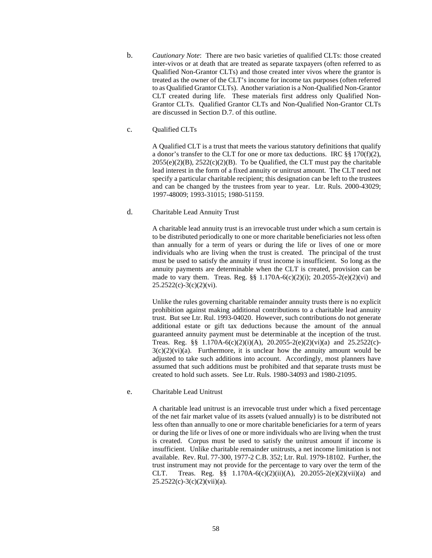b. *Cautionary Note*: There are two basic varieties of qualified CLTs: those created inter-vivos or at death that are treated as separate taxpayers (often referred to as Qualified Non-Grantor CLTs) and those created inter vivos where the grantor is treated as the owner of the CLT's income for income tax purposes (often referred to as Qualified Grantor CLTs). Another variation is a Non-Qualified Non-Grantor CLT created during life. These materials first address only Qualified Non-Grantor CLTs. Qualified Grantor CLTs and Non-Qualified Non-Grantor CLTs are discussed in Section D.7. of this outline.

#### c. Qualified CLTs

A Qualified CLT is a trust that meets the various statutory definitions that qualify a donor's transfer to the CLT for one or more tax deductions. IRC  $\S$ § 170(f)(2),  $2055(e)(2)(B)$ ,  $2522(c)(2)(B)$ . To be Qualified, the CLT must pay the charitable lead interest in the form of a fixed annuity or unitrust amount. The CLT need not specify a particular charitable recipient; this designation can be left to the trustees and can be changed by the trustees from year to year. Ltr. Ruls. 2000-43029; 1997-48009; 1993-31015; 1980-51159.

# d. Charitable Lead Annuity Trust

A charitable lead annuity trust is an irrevocable trust under which a sum certain is to be distributed periodically to one or more charitable beneficiaries not less often than annually for a term of years or during the life or lives of one or more individuals who are living when the trust is created. The principal of the trust must be used to satisfy the annuity if trust income is insufficient. So long as the annuity payments are determinable when the CLT is created, provision can be made to vary them. Treas. Reg. §§ 1.170A-6(c)(2)(i); 20.2055-2(e)(2)(vi) and 25.2522(c)-3(c)(2)(vi).

Unlike the rules governing charitable remainder annuity trusts there is no explicit prohibition against making additional contributions to a charitable lead annuity trust. But see Ltr. Rul. 1993-04020. However, such contributions do not generate additional estate or gift tax deductions because the amount of the annual guaranteed annuity payment must be determinable at the inception of the trust. Treas. Reg. §§  $1.170A-6(c)(2)(i)(A)$ ,  $20.2055-2(e)(2)(vi)(a)$  and  $25.2522(c)$ - $3(c)(2)(vi)(a)$ . Furthermore, it is unclear how the annuity amount would be adjusted to take such additions into account. Accordingly, most planners have assumed that such additions must be prohibited and that separate trusts must be created to hold such assets. See Ltr. Ruls. 1980-34093 and 1980-21095.

#### e. Charitable Lead Unitrust

A charitable lead unitrust is an irrevocable trust under which a fixed percentage of the net fair market value of its assets (valued annually) is to be distributed not less often than annually to one or more charitable beneficiaries for a term of years or during the life or lives of one or more individuals who are living when the trust is created. Corpus must be used to satisfy the unitrust amount if income is insufficient. Unlike charitable remainder unitrusts, a net income limitation is not available. Rev. Rul. 77-300, 1977-2 C.B. 352; Ltr. Rul. 1979-18102. Further, the trust instrument may not provide for the percentage to vary over the term of the CLT. Treas. Reg. §§  $1.170A-6(c)(2)(ii)(A)$ ,  $20.2055-2(e)(2)(vii)(a)$  and  $25.2522(c)-3(c)(2)(vii)(a)$ .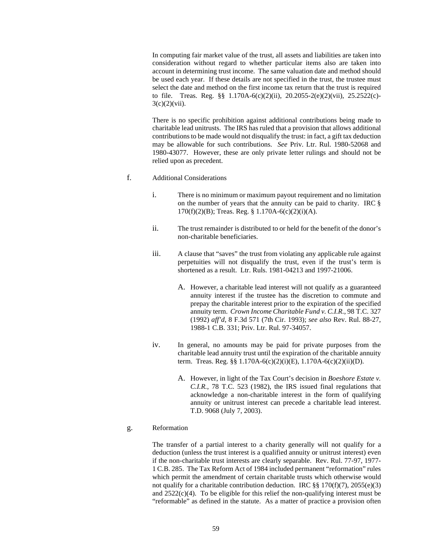In computing fair market value of the trust, all assets and liabilities are taken into consideration without regard to whether particular items also are taken into account in determining trust income. The same valuation date and method should be used each year. If these details are not specified in the trust, the trustee must select the date and method on the first income tax return that the trust is required to file. Treas. Reg. §§ 1.170A-6(c)(2)(ii), 20.2055-2(e)(2)(vii), 25.2522(c)-  $3(c)(2)(vii)$ .

There is no specific prohibition against additional contributions being made to charitable lead unitrusts. The IRS has ruled that a provision that allows additional contributions to be made would not disqualify the trust: in fact, a gift tax deduction may be allowable for such contributions. *See* Priv. Ltr. Rul. 1980-52068 and 1980-43077. However, these are only private letter rulings and should not be relied upon as precedent.

#### f. Additional Considerations

- i. There is no minimum or maximum payout requirement and no limitation on the number of years that the annuity can be paid to charity. IRC §  $170(f)(2)(B)$ ; Treas. Reg. § 1.170A-6(c)(2)(i)(A).
- ii. The trust remainder is distributed to or held for the benefit of the donor's non-charitable beneficiaries.
- iii. A clause that "saves" the trust from violating any applicable rule against perpetuities will not disqualify the trust, even if the trust's term is shortened as a result. Ltr. Ruls. 1981-04213 and 1997-21006.
	- A. However, a charitable lead interest will not qualify as a guaranteed annuity interest if the trustee has the discretion to commute and prepay the charitable interest prior to the expiration of the specified annuity term. *Crown Income Charitable Fund v. C.I.R.*, 98 T.C. 327 (1992) *aff'd*, 8 F.3d 571 (7th Cir. 1993); *see also* Rev. Rul. 88-27, 1988-1 C.B. 331; Priv. Ltr. Rul. 97-34057.
- iv. In general, no amounts may be paid for private purposes from the charitable lead annuity trust until the expiration of the charitable annuity term. Treas. Reg. §§ 1.170A-6(c)(2)(i)(E), 1.170A-6(c)(2)(ii)(D).
	- A. However, in light of the Tax Court's decision in *Boeshore Estate v. C.I.R.*, 78 T.C. 523 (1982), the IRS issued final regulations that acknowledge a non-charitable interest in the form of qualifying annuity or unitrust interest can precede a charitable lead interest. T.D. 9068 (July 7, 2003).

#### g. Reformation

The transfer of a partial interest to a charity generally will not qualify for a deduction (unless the trust interest is a qualified annuity or unitrust interest) even if the non-charitable trust interests are clearly separable. Rev. Rul. 77-97, 1977- 1 C.B. 285. The Tax Reform Act of 1984 included permanent "reformation" rules which permit the amendment of certain charitable trusts which otherwise would not qualify for a charitable contribution deduction. IRC  $\S$ § 170(f)(7), 2055(e)(3) and 2522(c)(4). To be eligible for this relief the non-qualifying interest must be "reformable" as defined in the statute. As a matter of practice a provision often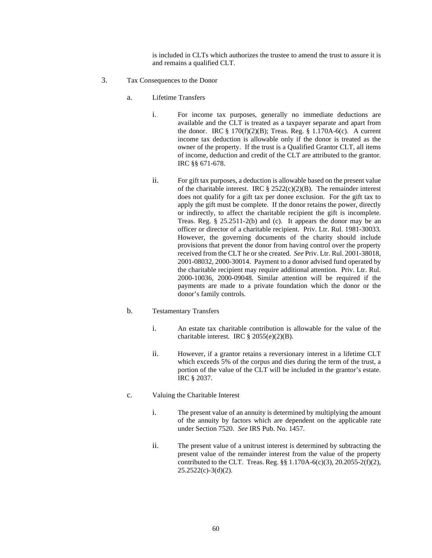is included in CLTs which authorizes the trustee to amend the trust to assure it is and remains a qualified CLT.

- 3. Tax Consequences to the Donor
	- a. Lifetime Transfers
		- i. For income tax purposes, generally no immediate deductions are available and the CLT is treated as a taxpayer separate and apart from the donor. IRC  $\S 170(f)(2)(B)$ ; Treas. Reg.  $\S 1.170A-6(c)$ . A current income tax deduction is allowable only if the donor is treated as the owner of the property. If the trust is a Qualified Grantor CLT, all items of income, deduction and credit of the CLT are attributed to the grantor. IRC §§ 671-678.
		- ii. For gift tax purposes, a deduction is allowable based on the present value of the charitable interest. IRC  $\S$  2522(c)(2)(B). The remainder interest does not qualify for a gift tax per donee exclusion. For the gift tax to apply the gift must be complete. If the donor retains the power, directly or indirectly, to affect the charitable recipient the gift is incomplete. Treas. Reg. § 25.2511-2(b) and (c). It appears the donor may be an officer or director of a charitable recipient. Priv. Ltr. Rul. 1981-30033. However, the governing documents of the charity should include provisions that prevent the donor from having control over the property received from the CLT he or she created. *See* Priv. Ltr. Rul. 2001-38018, 2001-08032, 2000-30014. Payment to a donor advised fund operated by the charitable recipient may require additional attention. Priv. Ltr. Rul. 2000-10036, 2000-09048. Similar attention will be required if the payments are made to a private foundation which the donor or the donor's family controls.

# b. Testamentary Transfers

- i. An estate tax charitable contribution is allowable for the value of the charitable interest. IRC § 2055(e)(2)(B).
- ii. However, if a grantor retains a reversionary interest in a lifetime CLT which exceeds 5% of the corpus and dies during the term of the trust, a portion of the value of the CLT will be included in the grantor's estate. IRC § 2037.
- c. Valuing the Charitable Interest
	- i. The present value of an annuity is determined by multiplying the amount of the annuity by factors which are dependent on the applicable rate under Section 7520. *See* IRS Pub. No. 1457.
	- ii. The present value of a unitrust interest is determined by subtracting the present value of the remainder interest from the value of the property contributed to the CLT. Treas. Reg. §§ 1.170A-6(c)(3), 20.2055-2(f)(2),  $25.2522(c)-3(d)(2)$ .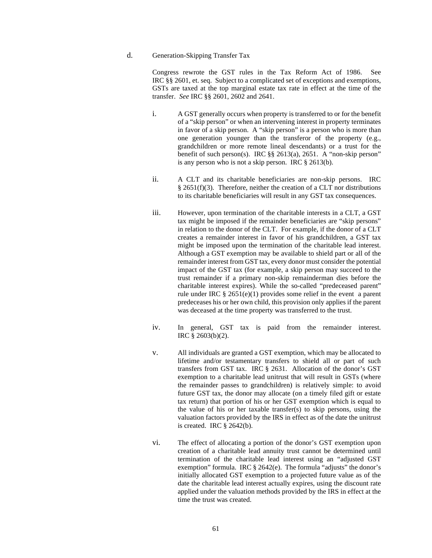#### d. Generation-Skipping Transfer Tax

Congress rewrote the GST rules in the Tax Reform Act of 1986. See IRC §§ 2601, et. seq. Subject to a complicated set of exceptions and exemptions, GSTs are taxed at the top marginal estate tax rate in effect at the time of the transfer. *See* IRC §§ 2601, 2602 and 2641.

- i. A GST generally occurs when property is transferred to or for the benefit of a "skip person" or when an intervening interest in property terminates in favor of a skip person. A "skip person" is a person who is more than one generation younger than the transferor of the property (e.g., grandchildren or more remote lineal descendants) or a trust for the benefit of such person(s). IRC §§ 2613(a), 2651. A "non-skip person" is any person who is not a skip person. IRC § 2613(b).
- ii. A CLT and its charitable beneficiaries are non-skip persons. IRC § 2651(f)(3). Therefore, neither the creation of a CLT nor distributions to its charitable beneficiaries will result in any GST tax consequences.
- iii. However, upon termination of the charitable interests in a CLT, a GST tax might be imposed if the remainder beneficiaries are "skip persons" in relation to the donor of the CLT. For example, if the donor of a CLT creates a remainder interest in favor of his grandchildren, a GST tax might be imposed upon the termination of the charitable lead interest. Although a GST exemption may be available to shield part or all of the remainder interest from GST tax, every donor must consider the potential impact of the GST tax (for example, a skip person may succeed to the trust remainder if a primary non-skip remainderman dies before the charitable interest expires). While the so-called "predeceased parent" rule under IRC § 2651(e)(1) provides some relief in the event a parent predeceases his or her own child, this provision only applies if the parent was deceased at the time property was transferred to the trust.
- iv. In general, GST tax is paid from the remainder interest. IRC § 2603(b)(2).
- v. All individuals are granted a GST exemption, which may be allocated to lifetime and/or testamentary transfers to shield all or part of such transfers from GST tax. IRC § 2631. Allocation of the donor's GST exemption to a charitable lead unitrust that will result in GSTs (where the remainder passes to grandchildren) is relatively simple: to avoid future GST tax, the donor may allocate (on a timely filed gift or estate tax return) that portion of his or her GST exemption which is equal to the value of his or her taxable transfer(s) to skip persons, using the valuation factors provided by the IRS in effect as of the date the unitrust is created. IRC § 2642(b).
- vi. The effect of allocating a portion of the donor's GST exemption upon creation of a charitable lead annuity trust cannot be determined until termination of the charitable lead interest using an "adjusted GST exemption" formula. IRC § 2642(e). The formula "adjusts" the donor's initially allocated GST exemption to a projected future value as of the date the charitable lead interest actually expires, using the discount rate applied under the valuation methods provided by the IRS in effect at the time the trust was created.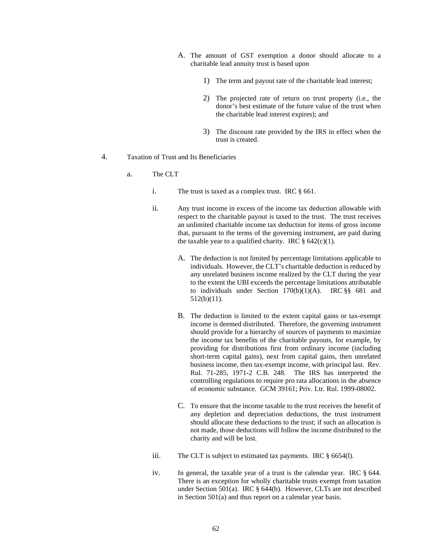- A. The amount of GST exemption a donor should allocate to a charitable lead annuity trust is based upon
	- 1) The term and payout rate of the charitable lead interest;
	- 2) The projected rate of return on trust property (i.e., the donor's best estimate of the future value of the trust when the charitable lead interest expires); and
	- 3) The discount rate provided by the IRS in effect when the trust is created.
- 4. Taxation of Trust and Its Beneficiaries
	- a. The CLT
		- i. The trust is taxed as a complex trust. IRC § 661.
		- ii. Any trust income in excess of the income tax deduction allowable with respect to the charitable payout is taxed to the trust. The trust receives an unlimited charitable income tax deduction for items of gross income that, pursuant to the terms of the governing instrument, are paid during the taxable year to a qualified charity. IRC  $\S$  642(c)(1).
			- A. The deduction is not limited by percentage limitations applicable to individuals. However, the CLT's charitable deduction is reduced by any unrelated business income realized by the CLT during the year to the extent the UBI exceeds the percentage limitations attributable to individuals under Section  $170(b)(1)(A)$ . IRC §§ 681 and 512(b)(11).
			- B. The deduction is limited to the extent capital gains or tax-exempt income is deemed distributed. Therefore, the governing instrument should provide for a hierarchy of sources of payments to maximize the income tax benefits of the charitable payouts, for example, by providing for distributions first from ordinary income (including short-term capital gains), next from capital gains, then unrelated business income, then tax-exempt income, with principal last. Rev. Rul. 71-285, 1971-2 C.B. 248. The IRS has interpreted the controlling regulations to require pro rata allocations in the absence of economic substance. GCM 39161; Priv. Ltr. Rul. 1999-08002.
			- C. To ensure that the income taxable to the trust receives the benefit of any depletion and depreciation deductions, the trust instrument should allocate these deductions to the trust; if such an allocation is not made, those deductions will follow the income distributed to the charity and will be lost.
		- iii. The CLT is subject to estimated tax payments. IRC § 6654(l).
		- iv. In general, the taxable year of a trust is the calendar year. IRC § 644. There is an exception for wholly charitable trusts exempt from taxation under Section 501(a). IRC § 644(b). However, CLTs are not described in Section 501(a) and thus report on a calendar year basis.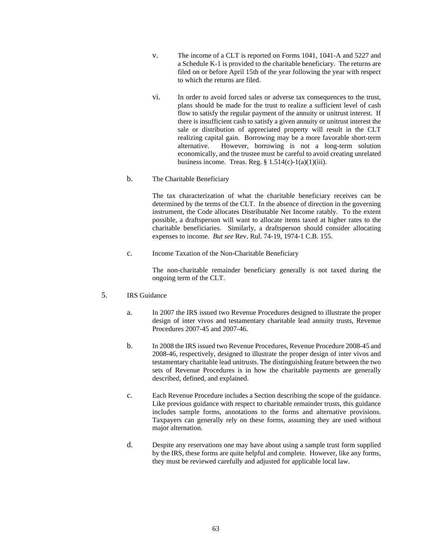- v. The income of a CLT is reported on Forms 1041, 1041-A and 5227 and a Schedule K-1 is provided to the charitable beneficiary. The returns are filed on or before April 15th of the year following the year with respect to which the returns are filed.
- vi. In order to avoid forced sales or adverse tax consequences to the trust, plans should be made for the trust to realize a sufficient level of cash flow to satisfy the regular payment of the annuity or unitrust interest. If there is insufficient cash to satisfy a given annuity or unitrust interest the sale or distribution of appreciated property will result in the CLT realizing capital gain. Borrowing may be a more favorable short-term alternative. However, borrowing is not a long-term solution economically, and the trustee must be careful to avoid creating unrelated business income. Treas. Reg.  $\S 1.514(c)-1(a)(1)(iii)$ .
- b. The Charitable Beneficiary

The tax characterization of what the charitable beneficiary receives can be determined by the terms of the CLT. In the absence of direction in the governing instrument, the Code allocates Distributable Net Income ratably. To the extent possible, a draftsperson will want to allocate items taxed at higher rates to the charitable beneficiaries. Similarly, a draftsperson should consider allocating expenses to income. *But see* Rev. Rul. 74-19, 1974-1 C.B. 155.

c. Income Taxation of the Non-Charitable Beneficiary

The non-charitable remainder beneficiary generally is not taxed during the ongoing term of the CLT.

- 5. IRS Guidance
	- a. In 2007 the IRS issued two Revenue Procedures designed to illustrate the proper design of inter vivos and testamentary charitable lead annuity trusts, Revenue Procedures 2007-45 and 2007-46.
	- b. In 2008 the IRS issued two Revenue Procedures, Revenue Procedure 2008-45 and 2008-46, respectively, designed to illustrate the proper design of inter vivos and testamentary charitable lead unitrusts. The distinguishing feature between the two sets of Revenue Procedures is in how the charitable payments are generally described, defined, and explained.
	- c. Each Revenue Procedure includes a Section describing the scope of the guidance. Like previous guidance with respect to charitable remainder trusts, this guidance includes sample forms, annotations to the forms and alternative provisions. Taxpayers can generally rely on these forms, assuming they are used without major alternation.
	- d. Despite any reservations one may have about using a sample trust form supplied by the IRS, these forms are quite helpful and complete. However, like any forms, they must be reviewed carefully and adjusted for applicable local law.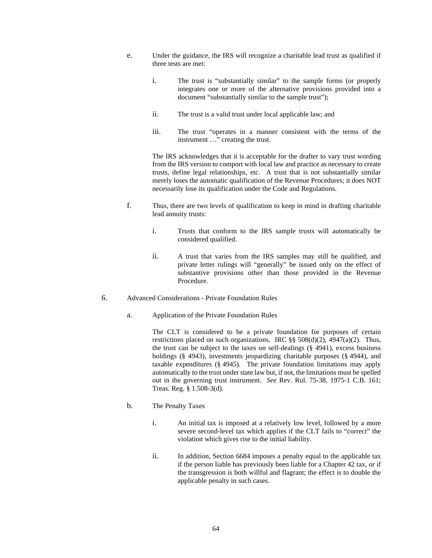- e. Under the guidance, the IRS will recognize a charitable lead trust as qualified if three tests are met:
	- i. The trust is "substantially similar" to the sample forms (or properly integrates one or more of the alternative provisions provided into a document "substantially similar to the sample trust");
	- ii. The trust is a valid trust under local applicable law; and
	- iii. The trust "operates in a manner consistent with the terms of the instrument …" creating the trust.

The IRS acknowledges that it is acceptable for the drafter to vary trust wording from the IRS version to comport with local law and practice as necessary to create trusts, define legal relationships, etc. A trust that is not substantially similar merely loses the automatic qualification of the Revenue Procedures; it does NOT necessarily lose its qualification under the Code and Regulations.

- f. Thus, there are two levels of qualification to keep in mind in drafting charitable lead annuity trusts:
	- i. Trusts that conform to the IRS sample trusts will automatically be considered qualified.
	- ii. A trust that varies from the IRS samples may still be qualified, and private letter rulings will "generally" be issued only on the effect of substantive provisions other than those provided in the Revenue Procedure.
- 6. Advanced Considerations Private Foundation Rules
	- a. Application of the Private Foundation Rules

The CLT is considered to be a private foundation for purposes of certain restrictions placed on such organizations. IRC  $\S$ § 508(d)(2), 4947(a)(2). Thus, the trust can be subject to the taxes on self-dealings (§ 4941), excess business holdings (§ 4943), investments jeopardizing charitable purposes (§ 4944), and taxable expenditures (§ 4945). The private foundation limitations may apply automatically to the trust under state law but, if not, the limitations must be spelled out in the governing trust instrument. *See* Rev. Rul. 75-38, 1975-1 C.B. 161; Treas. Reg. § 1.508-3(d).

- b. The Penalty Taxes
	- i. An initial tax is imposed at a relatively low level, followed by a more severe second-level tax which applies if the CLT fails to "correct" the violation which gives rise to the initial liability.
	- ii. In addition, Section 6684 imposes a penalty equal to the applicable tax if the person liable has previously been liable for a Chapter 42 tax, or if the transgression is both willful and flagrant; the effect is to double the applicable penalty in such cases.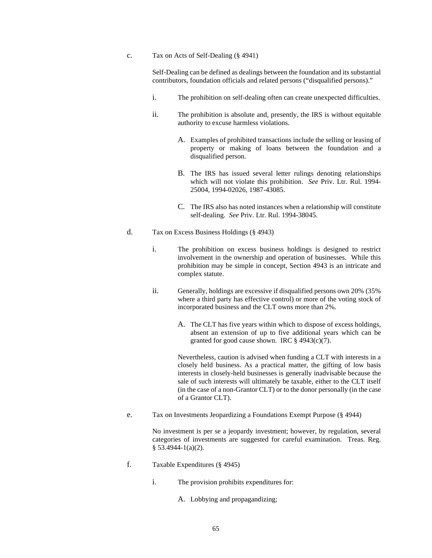c. Tax on Acts of Self-Dealing (§ 4941)

Self-Dealing can be defined as dealings between the foundation and its substantial contributors, foundation officials and related persons ("disqualified persons)."

- i. The prohibition on self-dealing often can create unexpected difficulties.
- ii. The prohibition is absolute and, presently, the IRS is without equitable authority to excuse harmless violations.
	- A. Examples of prohibited transactions include the selling or leasing of property or making of loans between the foundation and a disqualified person.
	- B. The IRS has issued several letter rulings denoting relationships which will not violate this prohibition. *See* Priv. Ltr. Rul. 1994- 25004, 1994-02026, 1987-43085.
	- C. The IRS also has noted instances when a relationship will constitute self-dealing. *See* Priv. Ltr. Rul. 1994-38045.
- d. Tax on Excess Business Holdings (§ 4943)
	- i. The prohibition on excess business holdings is designed to restrict involvement in the ownership and operation of businesses. While this prohibition may be simple in concept, Section 4943 is an intricate and complex statute.
	- ii. Generally, holdings are excessive if disqualified persons own 20% (35% where a third party has effective control) or more of the voting stock of incorporated business and the CLT owns more than 2%.
		- A. The CLT has five years within which to dispose of excess holdings, absent an extension of up to five additional years which can be granted for good cause shown. IRC  $\S$  4943(c)(7).

Nevertheless, caution is advised when funding a CLT with interests in a closely held business. As a practical matter, the gifting of low basis interests in closely-held businesses is generally inadvisable because the sale of such interests will ultimately be taxable, either to the CLT itself (in the case of a non-Grantor CLT) or to the donor personally (in the case of a Grantor CLT).

e. Tax on Investments Jeopardizing a Foundations Exempt Purpose (§ 4944)

No investment is per se a jeopardy investment; however, by regulation, several categories of investments are suggested for careful examination. Treas. Reg. § 53.4944-1(a)(2).

- f. Taxable Expenditures (§ 4945)
	- i. The provision prohibits expenditures for:
		- A. Lobbying and propagandizing;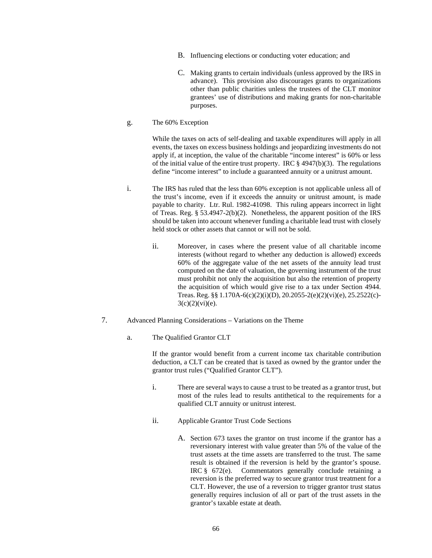- B. Influencing elections or conducting voter education; and
- C. Making grants to certain individuals (unless approved by the IRS in advance). This provision also discourages grants to organizations other than public charities unless the trustees of the CLT monitor grantees' use of distributions and making grants for non-charitable purposes.
- g. The 60% Exception

While the taxes on acts of self-dealing and taxable expenditures will apply in all events, the taxes on excess business holdings and jeopardizing investments do not apply if, at inception, the value of the charitable "income interest" is 60% or less of the initial value of the entire trust property. IRC  $\S$  4947(b)(3). The regulations define "income interest" to include a guaranteed annuity or a unitrust amount.

- i. The IRS has ruled that the less than 60% exception is not applicable unless all of the trust's income, even if it exceeds the annuity or unitrust amount, is made payable to charity. Ltr. Rul. 1982-41098. This ruling appears incorrect in light of Treas. Reg. § 53.4947-2(b)(2). Nonetheless, the apparent position of the IRS should be taken into account whenever funding a charitable lead trust with closely held stock or other assets that cannot or will not be sold.
	- ii. Moreover, in cases where the present value of all charitable income interests (without regard to whether any deduction is allowed) exceeds 60% of the aggregate value of the net assets of the annuity lead trust computed on the date of valuation, the governing instrument of the trust must prohibit not only the acquisition but also the retention of property the acquisition of which would give rise to a tax under Section 4944. Treas. Reg. §§ 1.170A-6(c)(2)(i)(D), 20.2055-2(e)(2)(vi)(e), 25.2522(c)-  $3(c)(2)(vi)(e)$ .
- 7. Advanced Planning Considerations Variations on the Theme
	- a. The Qualified Grantor CLT

If the grantor would benefit from a current income tax charitable contribution deduction, a CLT can be created that is taxed as owned by the grantor under the grantor trust rules ("Qualified Grantor CLT").

- i. There are several ways to cause a trust to be treated as a grantor trust, but most of the rules lead to results antithetical to the requirements for a qualified CLT annuity or unitrust interest.
- ii. Applicable Grantor Trust Code Sections
	- A. Section 673 taxes the grantor on trust income if the grantor has a reversionary interest with value greater than 5% of the value of the trust assets at the time assets are transferred to the trust. The same result is obtained if the reversion is held by the grantor's spouse. IRC § 672(e). Commentators generally conclude retaining a reversion is the preferred way to secure grantor trust treatment for a CLT. However, the use of a reversion to trigger grantor trust status generally requires inclusion of all or part of the trust assets in the grantor's taxable estate at death.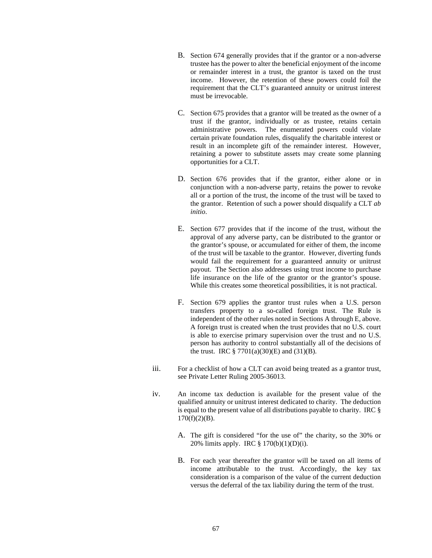- B. Section 674 generally provides that if the grantor or a non-adverse trustee has the power to alter the beneficial enjoyment of the income or remainder interest in a trust, the grantor is taxed on the trust income. However, the retention of these powers could foil the requirement that the CLT's guaranteed annuity or unitrust interest must be irrevocable.
- C. Section 675 provides that a grantor will be treated as the owner of a trust if the grantor, individually or as trustee, retains certain administrative powers. The enumerated powers could violate certain private foundation rules, disqualify the charitable interest or result in an incomplete gift of the remainder interest. However, retaining a power to substitute assets may create some planning opportunities for a CLT.
- D. Section 676 provides that if the grantor, either alone or in conjunction with a non-adverse party, retains the power to revoke all or a portion of the trust, the income of the trust will be taxed to the grantor. Retention of such a power should disqualify a CLT *ab initio*.
- E. Section 677 provides that if the income of the trust, without the approval of any adverse party, can be distributed to the grantor or the grantor's spouse, or accumulated for either of them, the income of the trust will be taxable to the grantor. However, diverting funds would fail the requirement for a guaranteed annuity or unitrust payout. The Section also addresses using trust income to purchase life insurance on the life of the grantor or the grantor's spouse. While this creates some theoretical possibilities, it is not practical.
- F. Section 679 applies the grantor trust rules when a U.S. person transfers property to a so-called foreign trust. The Rule is independent of the other rules noted in Sections A through E, above. A foreign trust is created when the trust provides that no U.S. court is able to exercise primary supervision over the trust and no U.S. person has authority to control substantially all of the decisions of the trust. IRC  $\S 7701(a)(30)$ (E) and  $(31)(B)$ .
- iii. For a checklist of how a CLT can avoid being treated as a grantor trust, see Private Letter Ruling 2005-36013.
- iv. An income tax deduction is available for the present value of the qualified annuity or unitrust interest dedicated to charity. The deduction is equal to the present value of all distributions payable to charity. IRC §  $170(f)(2)(B)$ .
	- A. The gift is considered "for the use of" the charity, so the 30% or 20% limits apply. IRC § 170(b)(1)(D)(i).
	- B. For each year thereafter the grantor will be taxed on all items of income attributable to the trust. Accordingly, the key tax consideration is a comparison of the value of the current deduction versus the deferral of the tax liability during the term of the trust.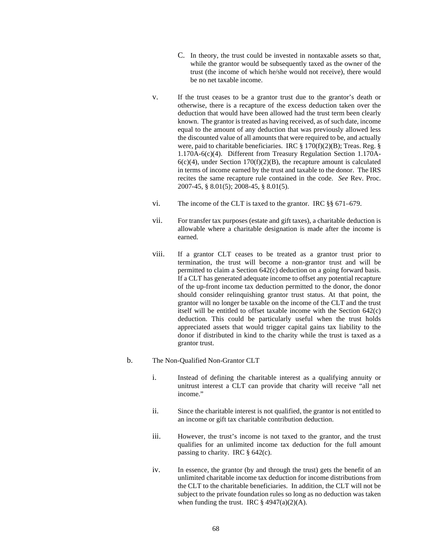- C. In theory, the trust could be invested in nontaxable assets so that, while the grantor would be subsequently taxed as the owner of the trust (the income of which he/she would not receive), there would be no net taxable income.
- v. If the trust ceases to be a grantor trust due to the grantor's death or otherwise, there is a recapture of the excess deduction taken over the deduction that would have been allowed had the trust term been clearly known. The grantor is treated as having received, as of such date, income equal to the amount of any deduction that was previously allowed less the discounted value of all amounts that were required to be, and actually were, paid to charitable beneficiaries. IRC § 170(f)(2)(B); Treas. Reg. § 1.170A-6(c)(4). Different from Treasury Regulation Section 1.170A- $6(c)(4)$ , under Section 170(f)(2)(B), the recapture amount is calculated in terms of income earned by the trust and taxable to the donor. The IRS recites the same recapture rule contained in the code. *See* Rev. Proc. 2007-45, § 8.01(5); 2008-45, § 8.01(5).
- vi. The income of the CLT is taxed to the grantor. IRC §§ 671–679.
- vii. For transfer tax purposes (estate and gift taxes), a charitable deduction is allowable where a charitable designation is made after the income is earned.
- viii. If a grantor CLT ceases to be treated as a grantor trust prior to termination, the trust will become a non-grantor trust and will be permitted to claim a Section 642(c) deduction on a going forward basis. If a CLT has generated adequate income to offset any potential recapture of the up-front income tax deduction permitted to the donor, the donor should consider relinquishing grantor trust status. At that point, the grantor will no longer be taxable on the income of the CLT and the trust itself will be entitled to offset taxable income with the Section 642(c) deduction. This could be particularly useful when the trust holds appreciated assets that would trigger capital gains tax liability to the donor if distributed in kind to the charity while the trust is taxed as a grantor trust.
- b. The Non-Qualified Non-Grantor CLT
	- i. Instead of defining the charitable interest as a qualifying annuity or unitrust interest a CLT can provide that charity will receive "all net income."
	- ii. Since the charitable interest is not qualified, the grantor is not entitled to an income or gift tax charitable contribution deduction.
	- iii. However, the trust's income is not taxed to the grantor, and the trust qualifies for an unlimited income tax deduction for the full amount passing to charity. IRC § 642(c).
	- iv. In essence, the grantor (by and through the trust) gets the benefit of an unlimited charitable income tax deduction for income distributions from the CLT to the charitable beneficiaries. In addition, the CLT will not be subject to the private foundation rules so long as no deduction was taken when funding the trust. IRC  $\S$  4947(a)(2)(A).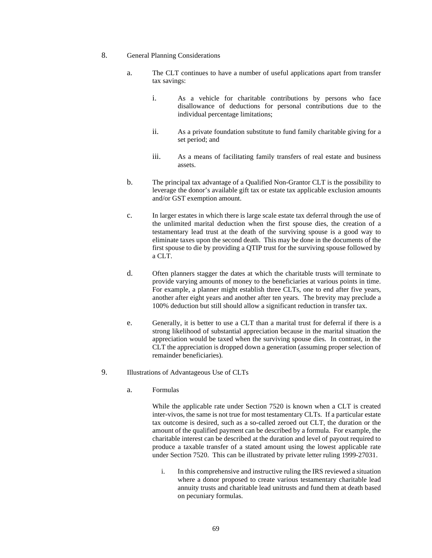- 8. General Planning Considerations
	- a. The CLT continues to have a number of useful applications apart from transfer tax savings:
		- i. As a vehicle for charitable contributions by persons who face disallowance of deductions for personal contributions due to the individual percentage limitations;
		- ii. As a private foundation substitute to fund family charitable giving for a set period; and
		- iii. As a means of facilitating family transfers of real estate and business assets.
	- b. The principal tax advantage of a Qualified Non-Grantor CLT is the possibility to leverage the donor's available gift tax or estate tax applicable exclusion amounts and/or GST exemption amount.
	- c. In larger estates in which there is large scale estate tax deferral through the use of the unlimited marital deduction when the first spouse dies, the creation of a testamentary lead trust at the death of the surviving spouse is a good way to eliminate taxes upon the second death. This may be done in the documents of the first spouse to die by providing a QTIP trust for the surviving spouse followed by a CLT.
	- d. Often planners stagger the dates at which the charitable trusts will terminate to provide varying amounts of money to the beneficiaries at various points in time. For example, a planner might establish three CLTs, one to end after five years, another after eight years and another after ten years. The brevity may preclude a 100% deduction but still should allow a significant reduction in transfer tax.
	- e. Generally, it is better to use a CLT than a marital trust for deferral if there is a strong likelihood of substantial appreciation because in the marital situation the appreciation would be taxed when the surviving spouse dies. In contrast, in the CLT the appreciation is dropped down a generation (assuming proper selection of remainder beneficiaries).
- 9. Illustrations of Advantageous Use of CLTs
	- a. Formulas

While the applicable rate under Section 7520 is known when a CLT is created inter-vivos, the same is not true for most testamentary CLTs. If a particular estate tax outcome is desired, such as a so-called zeroed out CLT, the duration or the amount of the qualified payment can be described by a formula. For example, the charitable interest can be described at the duration and level of payout required to produce a taxable transfer of a stated amount using the lowest applicable rate under Section 7520. This can be illustrated by private letter ruling 1999-27031.

i. In this comprehensive and instructive ruling the IRS reviewed a situation where a donor proposed to create various testamentary charitable lead annuity trusts and charitable lead unitrusts and fund them at death based on pecuniary formulas.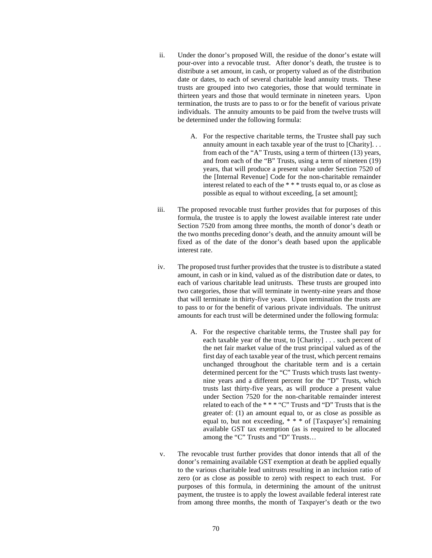- ii. Under the donor's proposed Will, the residue of the donor's estate will pour-over into a revocable trust. After donor's death, the trustee is to distribute a set amount, in cash, or property valued as of the distribution date or dates, to each of several charitable lead annuity trusts. These trusts are grouped into two categories, those that would terminate in thirteen years and those that would terminate in nineteen years. Upon termination, the trusts are to pass to or for the benefit of various private individuals. The annuity amounts to be paid from the twelve trusts will be determined under the following formula:
	- A. For the respective charitable terms, the Trustee shall pay such annuity amount in each taxable year of the trust to [Charity]. . . from each of the "A" Trusts, using a term of thirteen (13) years, and from each of the "B" Trusts, using a term of nineteen (19) years, that will produce a present value under Section 7520 of the [Internal Revenue] Code for the non-charitable remainder interest related to each of the \* \* \* trusts equal to, or as close as possible as equal to without exceeding, [a set amount];
- iii. The proposed revocable trust further provides that for purposes of this formula, the trustee is to apply the lowest available interest rate under Section 7520 from among three months, the month of donor's death or the two months preceding donor's death, and the annuity amount will be fixed as of the date of the donor's death based upon the applicable interest rate.
- iv. The proposed trust further provides that the trustee is to distribute a stated amount, in cash or in kind, valued as of the distribution date or dates, to each of various charitable lead unitrusts. These trusts are grouped into two categories, those that will terminate in twenty-nine years and those that will terminate in thirty-five years. Upon termination the trusts are to pass to or for the benefit of various private individuals. The unitrust amounts for each trust will be determined under the following formula:
	- A. For the respective charitable terms, the Trustee shall pay for each taxable year of the trust, to [Charity] . . . such percent of the net fair market value of the trust principal valued as of the first day of each taxable year of the trust, which percent remains unchanged throughout the charitable term and is a certain determined percent for the "C" Trusts which trusts last twentynine years and a different percent for the "D" Trusts, which trusts last thirty-five years, as will produce a present value under Section 7520 for the non-charitable remainder interest related to each of the \* \* \* "C" Trusts and "D" Trusts that is the greater of: (1) an amount equal to, or as close as possible as equal to, but not exceeding, \* \* \* of [Taxpayer's] remaining available GST tax exemption (as is required to be allocated among the "C" Trusts and "D" Trusts…
- v. The revocable trust further provides that donor intends that all of the donor's remaining available GST exemption at death be applied equally to the various charitable lead unitrusts resulting in an inclusion ratio of zero (or as close as possible to zero) with respect to each trust. For purposes of this formula, in determining the amount of the unitrust payment, the trustee is to apply the lowest available federal interest rate from among three months, the month of Taxpayer's death or the two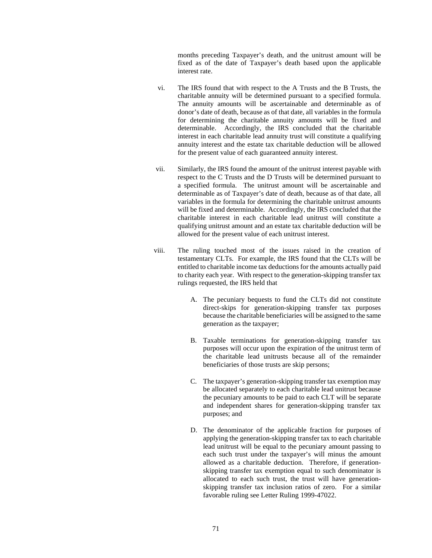months preceding Taxpayer's death, and the unitrust amount will be fixed as of the date of Taxpayer's death based upon the applicable interest rate.

- vi. The IRS found that with respect to the A Trusts and the B Trusts, the charitable annuity will be determined pursuant to a specified formula. The annuity amounts will be ascertainable and determinable as of donor's date of death, because as of that date, all variables in the formula for determining the charitable annuity amounts will be fixed and determinable. Accordingly, the IRS concluded that the charitable interest in each charitable lead annuity trust will constitute a qualifying annuity interest and the estate tax charitable deduction will be allowed for the present value of each guaranteed annuity interest.
- vii. Similarly, the IRS found the amount of the unitrust interest payable with respect to the C Trusts and the D Trusts will be determined pursuant to a specified formula. The unitrust amount will be ascertainable and determinable as of Taxpayer's date of death, because as of that date, all variables in the formula for determining the charitable unitrust amounts will be fixed and determinable. Accordingly, the IRS concluded that the charitable interest in each charitable lead unitrust will constitute a qualifying unitrust amount and an estate tax charitable deduction will be allowed for the present value of each unitrust interest.
- viii. The ruling touched most of the issues raised in the creation of testamentary CLTs. For example, the IRS found that the CLTs will be entitled to charitable income tax deductions for the amounts actually paid to charity each year. With respect to the generation-skipping transfer tax rulings requested, the IRS held that
	- A. The pecuniary bequests to fund the CLTs did not constitute direct-skips for generation-skipping transfer tax purposes because the charitable beneficiaries will be assigned to the same generation as the taxpayer;
	- B. Taxable terminations for generation-skipping transfer tax purposes will occur upon the expiration of the unitrust term of the charitable lead unitrusts because all of the remainder beneficiaries of those trusts are skip persons;
	- C. The taxpayer's generation-skipping transfer tax exemption may be allocated separately to each charitable lead unitrust because the pecuniary amounts to be paid to each CLT will be separate and independent shares for generation-skipping transfer tax purposes; and
	- D. The denominator of the applicable fraction for purposes of applying the generation-skipping transfer tax to each charitable lead unitrust will be equal to the pecuniary amount passing to each such trust under the taxpayer's will minus the amount allowed as a charitable deduction. Therefore, if generationskipping transfer tax exemption equal to such denominator is allocated to each such trust, the trust will have generationskipping transfer tax inclusion ratios of zero. For a similar favorable ruling see Letter Ruling 1999-47022.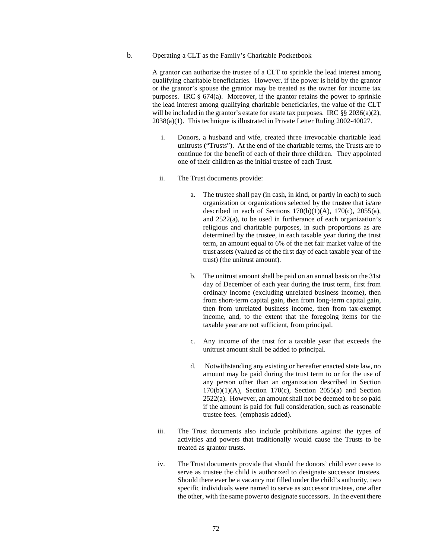## b. Operating a CLT as the Family's Charitable Pocketbook

A grantor can authorize the trustee of a CLT to sprinkle the lead interest among qualifying charitable beneficiaries. However, if the power is held by the grantor or the grantor's spouse the grantor may be treated as the owner for income tax purposes. IRC § 674(a). Moreover, if the grantor retains the power to sprinkle the lead interest among qualifying charitable beneficiaries, the value of the CLT will be included in the grantor's estate for estate tax purposes. IRC §§ 2036(a)(2), 2038(a)(1). This technique is illustrated in Private Letter Ruling 2002-40027.

- i. Donors, a husband and wife, created three irrevocable charitable lead unitrusts ("Trusts"). At the end of the charitable terms, the Trusts are to continue for the benefit of each of their three children. They appointed one of their children as the initial trustee of each Trust.
- ii. The Trust documents provide:
	- a. The trustee shall pay (in cash, in kind, or partly in each) to such organization or organizations selected by the trustee that is/are described in each of Sections  $170(b)(1)(A)$ ,  $170(c)$ ,  $2055(a)$ , and 2522(a), to be used in furtherance of each organization's religious and charitable purposes, in such proportions as are determined by the trustee, in each taxable year during the trust term, an amount equal to 6% of the net fair market value of the trust assets (valued as of the first day of each taxable year of the trust) (the unitrust amount).
	- b. The unitrust amount shall be paid on an annual basis on the 31st day of December of each year during the trust term, first from ordinary income (excluding unrelated business income), then from short-term capital gain, then from long-term capital gain, then from unrelated business income, then from tax-exempt income, and, to the extent that the foregoing items for the taxable year are not sufficient, from principal.
	- c. Any income of the trust for a taxable year that exceeds the unitrust amount shall be added to principal.
	- d. Notwithstanding any existing or hereafter enacted state law, no amount may be paid during the trust term to or for the use of any person other than an organization described in Section  $170(b)(1)(A)$ , Section  $170(c)$ , Section  $2055(a)$  and Section 2522(a). However, an amount shall not be deemed to be so paid if the amount is paid for full consideration, such as reasonable trustee fees. (emphasis added).
- iii. The Trust documents also include prohibitions against the types of activities and powers that traditionally would cause the Trusts to be treated as grantor trusts.
- iv. The Trust documents provide that should the donors' child ever cease to serve as trustee the child is authorized to designate successor trustees. Should there ever be a vacancy not filled under the child's authority, two specific individuals were named to serve as successor trustees, one after the other, with the same power to designate successors. In the event there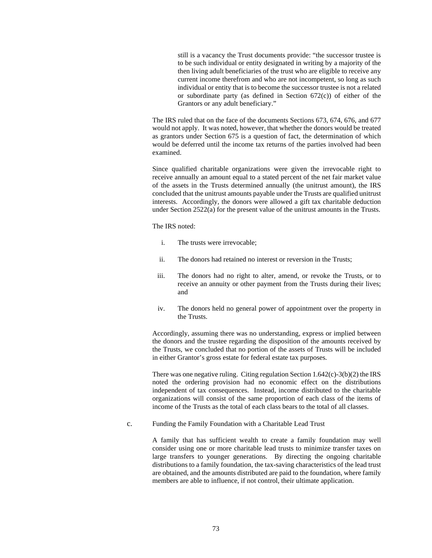still is a vacancy the Trust documents provide: "the successor trustee is to be such individual or entity designated in writing by a majority of the then living adult beneficiaries of the trust who are eligible to receive any current income therefrom and who are not incompetent, so long as such individual or entity that is to become the successor trustee is not a related or subordinate party (as defined in Section  $672(c)$ ) of either of the Grantors or any adult beneficiary."

The IRS ruled that on the face of the documents Sections 673, 674, 676, and 677 would not apply. It was noted, however, that whether the donors would be treated as grantors under Section 675 is a question of fact, the determination of which would be deferred until the income tax returns of the parties involved had been examined.

Since qualified charitable organizations were given the irrevocable right to receive annually an amount equal to a stated percent of the net fair market value of the assets in the Trusts determined annually (the unitrust amount), the IRS concluded that the unitrust amounts payable under the Trusts are qualified unitrust interests. Accordingly, the donors were allowed a gift tax charitable deduction under Section 2522(a) for the present value of the unitrust amounts in the Trusts.

The IRS noted:

- i. The trusts were irrevocable;
- ii. The donors had retained no interest or reversion in the Trusts;
- iii. The donors had no right to alter, amend, or revoke the Trusts, or to receive an annuity or other payment from the Trusts during their lives; and
- iv. The donors held no general power of appointment over the property in the Trusts.

Accordingly, assuming there was no understanding, express or implied between the donors and the trustee regarding the disposition of the amounts received by the Trusts, we concluded that no portion of the assets of Trusts will be included in either Grantor's gross estate for federal estate tax purposes.

There was one negative ruling. Citing regulation Section 1.642(c)-3(b)(2) the IRS noted the ordering provision had no economic effect on the distributions independent of tax consequences. Instead, income distributed to the charitable organizations will consist of the same proportion of each class of the items of income of the Trusts as the total of each class bears to the total of all classes.

c. Funding the Family Foundation with a Charitable Lead Trust

A family that has sufficient wealth to create a family foundation may well consider using one or more charitable lead trusts to minimize transfer taxes on large transfers to younger generations. By directing the ongoing charitable distributions to a family foundation, the tax-saving characteristics of the lead trust are obtained, and the amounts distributed are paid to the foundation, where family members are able to influence, if not control, their ultimate application.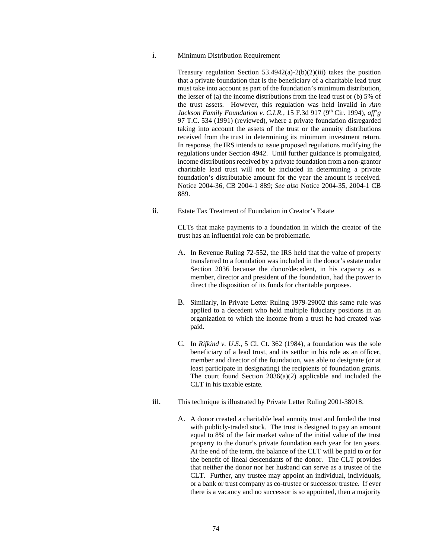i. Minimum Distribution Requirement

Treasury regulation Section  $53.4942(a)-2(b)(2)(iii)$  takes the position that a private foundation that is the beneficiary of a charitable lead trust must take into account as part of the foundation's minimum distribution, the lesser of (a) the income distributions from the lead trust or (b) 5% of the trust assets. However, this regulation was held invalid in *Ann Jackson Family Foundation v. C.I.R.*, 15 F.3d 917 (9<sup>th</sup> Cir. 1994), *aff'g* 97 T.C. 534 (1991) (reviewed), where a private foundation disregarded taking into account the assets of the trust or the annuity distributions received from the trust in determining its minimum investment return. In response, the IRS intends to issue proposed regulations modifying the regulations under Section 4942. Until further guidance is promulgated, income distributions received by a private foundation from a non-grantor charitable lead trust will not be included in determining a private foundation's distributable amount for the year the amount is received. Notice 2004-36, CB 2004-1 889; *See also* Notice 2004-35, 2004-1 CB 889.

ii. Estate Tax Treatment of Foundation in Creator's Estate

CLTs that make payments to a foundation in which the creator of the trust has an influential role can be problematic.

- A. In Revenue Ruling 72-552, the IRS held that the value of property transferred to a foundation was included in the donor's estate under Section 2036 because the donor/decedent, in his capacity as a member, director and president of the foundation, had the power to direct the disposition of its funds for charitable purposes.
- B. Similarly, in Private Letter Ruling 1979-29002 this same rule was applied to a decedent who held multiple fiduciary positions in an organization to which the income from a trust he had created was paid.
- C. In *Rifkind v. U.S.*, 5 Cl. Ct. 362 (1984), a foundation was the sole beneficiary of a lead trust, and its settlor in his role as an officer, member and director of the foundation, was able to designate (or at least participate in designating) the recipients of foundation grants. The court found Section 2036(a)(2) applicable and included the CLT in his taxable estate.
- iii. This technique is illustrated by Private Letter Ruling 2001-38018.
	- A. A donor created a charitable lead annuity trust and funded the trust with publicly-traded stock. The trust is designed to pay an amount equal to 8% of the fair market value of the initial value of the trust property to the donor's private foundation each year for ten years. At the end of the term, the balance of the CLT will be paid to or for the benefit of lineal descendants of the donor. The CLT provides that neither the donor nor her husband can serve as a trustee of the CLT. Further, any trustee may appoint an individual, individuals, or a bank or trust company as co-trustee or successor trustee. If ever there is a vacancy and no successor is so appointed, then a majority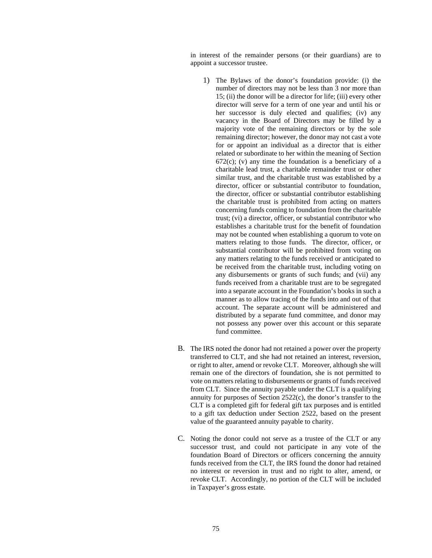in interest of the remainder persons (or their guardians) are to appoint a successor trustee.

- 1) The Bylaws of the donor's foundation provide: (i) the number of directors may not be less than 3 nor more than 15; (ii) the donor will be a director for life; (iii) every other director will serve for a term of one year and until his or her successor is duly elected and qualifies; (iv) any vacancy in the Board of Directors may be filled by a majority vote of the remaining directors or by the sole remaining director; however, the donor may not cast a vote for or appoint an individual as a director that is either related or subordinate to her within the meaning of Section  $672(c)$ ; (v) any time the foundation is a beneficiary of a charitable lead trust, a charitable remainder trust or other similar trust, and the charitable trust was established by a director, officer or substantial contributor to foundation, the director, officer or substantial contributor establishing the charitable trust is prohibited from acting on matters concerning funds coming to foundation from the charitable trust; (vi) a director, officer, or substantial contributor who establishes a charitable trust for the benefit of foundation may not be counted when establishing a quorum to vote on matters relating to those funds. The director, officer, or substantial contributor will be prohibited from voting on any matters relating to the funds received or anticipated to be received from the charitable trust, including voting on any disbursements or grants of such funds; and (vii) any funds received from a charitable trust are to be segregated into a separate account in the Foundation's books in such a manner as to allow tracing of the funds into and out of that account. The separate account will be administered and distributed by a separate fund committee, and donor may not possess any power over this account or this separate fund committee.
- B. The IRS noted the donor had not retained a power over the property transferred to CLT, and she had not retained an interest, reversion, or right to alter, amend or revoke CLT. Moreover, although she will remain one of the directors of foundation, she is not permitted to vote on matters relating to disbursements or grants of funds received from CLT. Since the annuity payable under the CLT is a qualifying annuity for purposes of Section 2522(c), the donor's transfer to the CLT is a completed gift for federal gift tax purposes and is entitled to a gift tax deduction under Section 2522, based on the present value of the guaranteed annuity payable to charity.
- C. Noting the donor could not serve as a trustee of the CLT or any successor trust, and could not participate in any vote of the foundation Board of Directors or officers concerning the annuity funds received from the CLT, the IRS found the donor had retained no interest or reversion in trust and no right to alter, amend, or revoke CLT. Accordingly, no portion of the CLT will be included in Taxpayer's gross estate.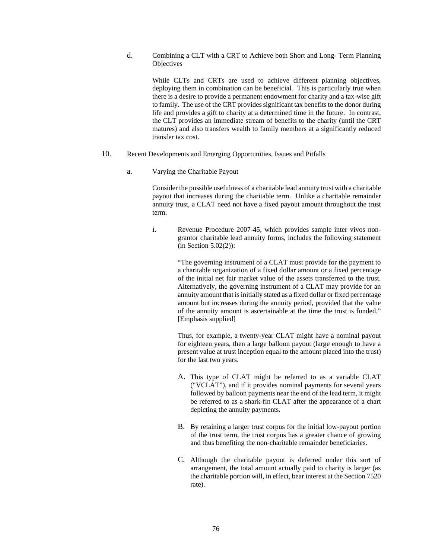d. Combining a CLT with a CRT to Achieve both Short and Long- Term Planning **Objectives** 

While CLTs and CRTs are used to achieve different planning objectives, deploying them in combination can be beneficial. This is particularly true when there is a desire to provide a permanent endowment for charity and a tax-wise gift to family. The use of the CRT provides significant tax benefits to the donor during life and provides a gift to charity at a determined time in the future. In contrast, the CLT provides an immediate stream of benefits to the charity (until the CRT matures) and also transfers wealth to family members at a significantly reduced transfer tax cost.

- 10. Recent Developments and Emerging Opportunities, Issues and Pitfalls
	- a. Varying the Charitable Payout

Consider the possible usefulness of a charitable lead annuity trust with a charitable payout that increases during the charitable term. Unlike a charitable remainder annuity trust, a CLAT need not have a fixed payout amount throughout the trust term.

i. Revenue Procedure 2007-45, which provides sample inter vivos nongrantor charitable lead annuity forms, includes the following statement (in Section 5.02(2)):

> "The governing instrument of a CLAT must provide for the payment to a charitable organization of a fixed dollar amount or a fixed percentage of the initial net fair market value of the assets transferred to the trust. Alternatively, the governing instrument of a CLAT may provide for an annuity amount that is initially stated as a fixed dollar or fixed percentage amount but increases during the annuity period, provided that the value of the annuity amount is ascertainable at the time the trust is funded." [Emphasis supplied]

> Thus, for example, a twenty-year CLAT might have a nominal payout for eighteen years, then a large balloon payout (large enough to have a present value at trust inception equal to the amount placed into the trust) for the last two years.

- A. This type of CLAT might be referred to as a variable CLAT ("VCLAT"), and if it provides nominal payments for several years followed by balloon payments near the end of the lead term, it might be referred to as a shark-fin CLAT after the appearance of a chart depicting the annuity payments.
- B. By retaining a larger trust corpus for the initial low-payout portion of the trust term, the trust corpus has a greater chance of growing and thus benefiting the non-charitable remainder beneficiaries.
- C. Although the charitable payout is deferred under this sort of arrangement, the total amount actually paid to charity is larger (as the charitable portion will, in effect, bear interest at the Section 7520 rate).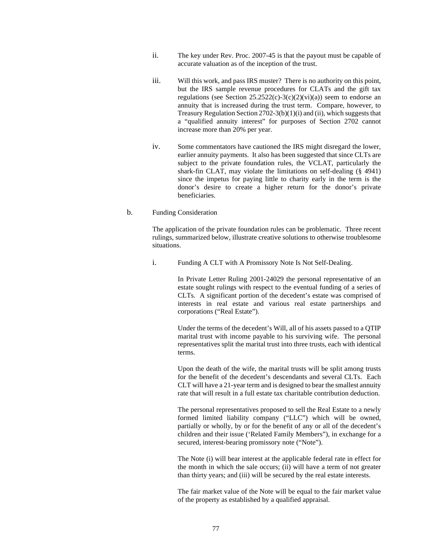- ii. The key under Rev. Proc. 2007-45 is that the payout must be capable of accurate valuation as of the inception of the trust.
- iii. Will this work, and pass IRS muster? There is no authority on this point, but the IRS sample revenue procedures for CLATs and the gift tax regulations (see Section  $25.2522(c)-3(c)(2)(vi)(a)$ ) seem to endorse an annuity that is increased during the trust term. Compare, however, to Treasury Regulation Section 2702-3(b)(1)(i) and (ii), which suggests that a "qualified annuity interest" for purposes of Section 2702 cannot increase more than 20% per year.
- iv. Some commentators have cautioned the IRS might disregard the lower, earlier annuity payments. It also has been suggested that since CLTs are subject to the private foundation rules, the VCLAT, particularly the shark-fin CLAT, may violate the limitations on self-dealing (§ 4941) since the impetus for paying little to charity early in the term is the donor's desire to create a higher return for the donor's private beneficiaries.

## b. Funding Consideration

The application of the private foundation rules can be problematic. Three recent rulings, summarized below, illustrate creative solutions to otherwise troublesome situations.

i. Funding A CLT with A Promissory Note Is Not Self-Dealing.

In Private Letter Ruling 2001-24029 the personal representative of an estate sought rulings with respect to the eventual funding of a series of CLTs. A significant portion of the decedent's estate was comprised of interests in real estate and various real estate partnerships and corporations ("Real Estate").

Under the terms of the decedent's Will, all of his assets passed to a QTIP marital trust with income payable to his surviving wife. The personal representatives split the marital trust into three trusts, each with identical terms.

Upon the death of the wife, the marital trusts will be split among trusts for the benefit of the decedent's descendants and several CLTs. Each CLT will have a 21-year term and is designed to bear the smallest annuity rate that will result in a full estate tax charitable contribution deduction.

The personal representatives proposed to sell the Real Estate to a newly formed limited liability company ("LLC") which will be owned, partially or wholly, by or for the benefit of any or all of the decedent's children and their issue ('Related Family Members"), in exchange for a secured, interest-bearing promissory note ("Note").

The Note (i) will bear interest at the applicable federal rate in effect for the month in which the sale occurs; (ii) will have a term of not greater than thirty years; and (iii) will be secured by the real estate interests.

The fair market value of the Note will be equal to the fair market value of the property as established by a qualified appraisal.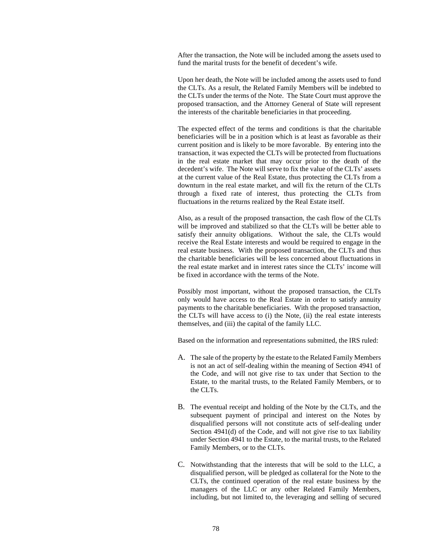After the transaction, the Note will be included among the assets used to fund the marital trusts for the benefit of decedent's wife.

Upon her death, the Note will be included among the assets used to fund the CLTs. As a result, the Related Family Members will be indebted to the CLTs under the terms of the Note. The State Court must approve the proposed transaction, and the Attorney General of State will represent the interests of the charitable beneficiaries in that proceeding.

The expected effect of the terms and conditions is that the charitable beneficiaries will be in a position which is at least as favorable as their current position and is likely to be more favorable. By entering into the transaction, it was expected the CLTs will be protected from fluctuations in the real estate market that may occur prior to the death of the decedent's wife. The Note will serve to fix the value of the CLTs' assets at the current value of the Real Estate, thus protecting the CLTs from a downturn in the real estate market, and will fix the return of the CLTs through a fixed rate of interest, thus protecting the CLTs from fluctuations in the returns realized by the Real Estate itself.

Also, as a result of the proposed transaction, the cash flow of the CLTs will be improved and stabilized so that the CLTs will be better able to satisfy their annuity obligations. Without the sale, the CLTs would receive the Real Estate interests and would be required to engage in the real estate business. With the proposed transaction, the CLTs and thus the charitable beneficiaries will be less concerned about fluctuations in the real estate market and in interest rates since the CLTs' income will be fixed in accordance with the terms of the Note.

Possibly most important, without the proposed transaction, the CLTs only would have access to the Real Estate in order to satisfy annuity payments to the charitable beneficiaries. With the proposed transaction, the CLTs will have access to (i) the Note, (ii) the real estate interests themselves, and (iii) the capital of the family LLC.

Based on the information and representations submitted, the IRS ruled:

- A. The sale of the property by the estate to the Related Family Members is not an act of self-dealing within the meaning of Section 4941 of the Code, and will not give rise to tax under that Section to the Estate, to the marital trusts, to the Related Family Members, or to the CLTs.
- B. The eventual receipt and holding of the Note by the CLTs, and the subsequent payment of principal and interest on the Notes by disqualified persons will not constitute acts of self-dealing under Section 4941(d) of the Code, and will not give rise to tax liability under Section 4941 to the Estate, to the marital trusts, to the Related Family Members, or to the CLTs.
- C. Notwithstanding that the interests that will be sold to the LLC, a disqualified person, will be pledged as collateral for the Note to the CLTs, the continued operation of the real estate business by the managers of the LLC or any other Related Family Members, including, but not limited to, the leveraging and selling of secured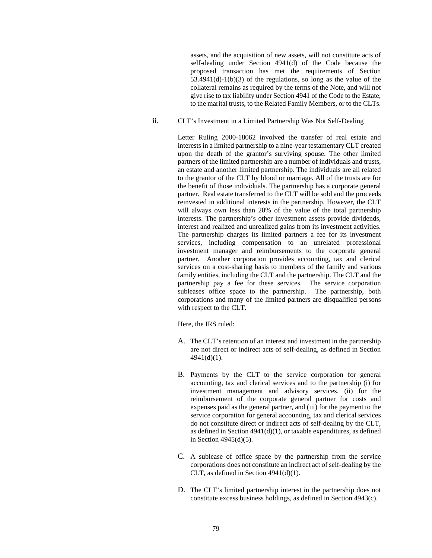assets, and the acquisition of new assets, will not constitute acts of self-dealing under Section 4941(d) of the Code because the proposed transaction has met the requirements of Section  $53.4941(d)-1(b)(3)$  of the regulations, so long as the value of the collateral remains as required by the terms of the Note, and will not give rise to tax liability under Section 4941 of the Code to the Estate, to the marital trusts, to the Related Family Members, or to the CLTs.

ii. CLT's Investment in a Limited Partnership Was Not Self-Dealing

Letter Ruling 2000-18062 involved the transfer of real estate and interests in a limited partnership to a nine-year testamentary CLT created upon the death of the grantor's surviving spouse. The other limited partners of the limited partnership are a number of individuals and trusts, an estate and another limited partnership. The individuals are all related to the grantor of the CLT by blood or marriage. All of the trusts are for the benefit of those individuals. The partnership has a corporate general partner. Real estate transferred to the CLT will be sold and the proceeds reinvested in additional interests in the partnership. However, the CLT will always own less than 20% of the value of the total partnership interests. The partnership's other investment assets provide dividends, interest and realized and unrealized gains from its investment activities. The partnership charges its limited partners a fee for its investment services, including compensation to an unrelated professional investment manager and reimbursements to the corporate general partner. Another corporation provides accounting, tax and clerical services on a cost-sharing basis to members of the family and various family entities, including the CLT and the partnership. The CLT and the partnership pay a fee for these services. The service corporation subleases office space to the partnership. The partnership, both corporations and many of the limited partners are disqualified persons with respect to the CLT.

Here, the IRS ruled:

- A. The CLT's retention of an interest and investment in the partnership are not direct or indirect acts of self-dealing, as defined in Section 4941(d)(1).
- B. Payments by the CLT to the service corporation for general accounting, tax and clerical services and to the partnership (i) for investment management and advisory services, (ii) for the reimbursement of the corporate general partner for costs and expenses paid as the general partner, and (iii) for the payment to the service corporation for general accounting, tax and clerical services do not constitute direct or indirect acts of self-dealing by the CLT, as defined in Section 4941(d)(1), or taxable expenditures, as defined in Section 4945(d)(5).
- C. A sublease of office space by the partnership from the service corporations does not constitute an indirect act of self-dealing by the CLT, as defined in Section 4941(d)(1).
- D. The CLT's limited partnership interest in the partnership does not constitute excess business holdings, as defined in Section 4943(c).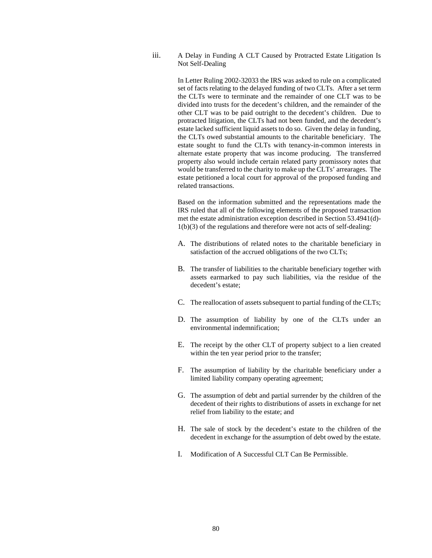iii. A Delay in Funding A CLT Caused by Protracted Estate Litigation Is Not Self-Dealing

> In Letter Ruling 2002-32033 the IRS was asked to rule on a complicated set of facts relating to the delayed funding of two CLTs. After a set term the CLTs were to terminate and the remainder of one CLT was to be divided into trusts for the decedent's children, and the remainder of the other CLT was to be paid outright to the decedent's children. Due to protracted litigation, the CLTs had not been funded, and the decedent's estate lacked sufficient liquid assets to do so. Given the delay in funding, the CLTs owed substantial amounts to the charitable beneficiary. The estate sought to fund the CLTs with tenancy-in-common interests in alternate estate property that was income producing. The transferred property also would include certain related party promissory notes that would be transferred to the charity to make up the CLTs' arrearages. The estate petitioned a local court for approval of the proposed funding and related transactions.

> Based on the information submitted and the representations made the IRS ruled that all of the following elements of the proposed transaction met the estate administration exception described in Section 53.4941(d)- 1(b)(3) of the regulations and therefore were not acts of self-dealing:

- A. The distributions of related notes to the charitable beneficiary in satisfaction of the accrued obligations of the two CLTs;
- B. The transfer of liabilities to the charitable beneficiary together with assets earmarked to pay such liabilities, via the residue of the decedent's estate;
- C. The reallocation of assets subsequent to partial funding of the CLTs;
- D. The assumption of liability by one of the CLTs under an environmental indemnification;
- E. The receipt by the other CLT of property subject to a lien created within the ten year period prior to the transfer;
- F. The assumption of liability by the charitable beneficiary under a limited liability company operating agreement;
- G. The assumption of debt and partial surrender by the children of the decedent of their rights to distributions of assets in exchange for net relief from liability to the estate; and
- H. The sale of stock by the decedent's estate to the children of the decedent in exchange for the assumption of debt owed by the estate.
- I. Modification of A Successful CLT Can Be Permissible.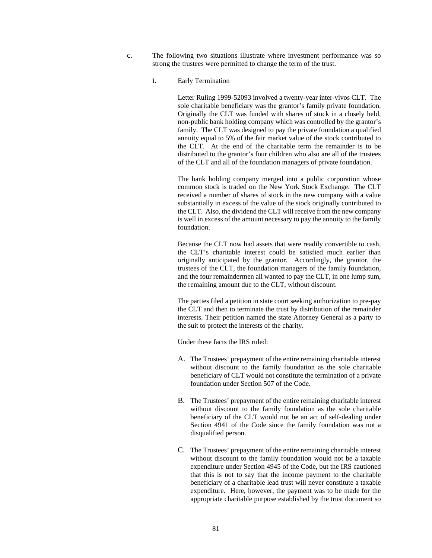- c. The following two situations illustrate where investment performance was so strong the trustees were permitted to change the term of the trust.
	- i. Early Termination

Letter Ruling 1999-52093 involved a twenty-year inter-vivos CLT. The sole charitable beneficiary was the grantor's family private foundation. Originally the CLT was funded with shares of stock in a closely held, non-public bank holding company which was controlled by the grantor's family. The CLT was designed to pay the private foundation a qualified annuity equal to 5% of the fair market value of the stock contributed to the CLT. At the end of the charitable term the remainder is to be distributed to the grantor's four children who also are all of the trustees of the CLT and all of the foundation managers of private foundation.

The bank holding company merged into a public corporation whose common stock is traded on the New York Stock Exchange. The CLT received a number of shares of stock in the new company with a value substantially in excess of the value of the stock originally contributed to the CLT. Also, the dividend the CLT will receive from the new company is well in excess of the amount necessary to pay the annuity to the family foundation.

Because the CLT now had assets that were readily convertible to cash, the CLT's charitable interest could be satisfied much earlier than originally anticipated by the grantor. Accordingly, the grantor, the trustees of the CLT, the foundation managers of the family foundation, and the four remaindermen all wanted to pay the CLT, in one lump sum, the remaining amount due to the CLT, without discount.

The parties filed a petition in state court seeking authorization to pre-pay the CLT and then to terminate the trust by distribution of the remainder interests. Their petition named the state Attorney General as a party to the suit to protect the interests of the charity.

Under these facts the IRS ruled:

- A. The Trustees' prepayment of the entire remaining charitable interest without discount to the family foundation as the sole charitable beneficiary of CLT would not constitute the termination of a private foundation under Section 507 of the Code.
- B. The Trustees' prepayment of the entire remaining charitable interest without discount to the family foundation as the sole charitable beneficiary of the CLT would not be an act of self-dealing under Section 4941 of the Code since the family foundation was not a disqualified person.
- C. The Trustees' prepayment of the entire remaining charitable interest without discount to the family foundation would not be a taxable expenditure under Section 4945 of the Code, but the IRS cautioned that this is not to say that the income payment to the charitable beneficiary of a charitable lead trust will never constitute a taxable expenditure. Here, however, the payment was to be made for the appropriate charitable purpose established by the trust document so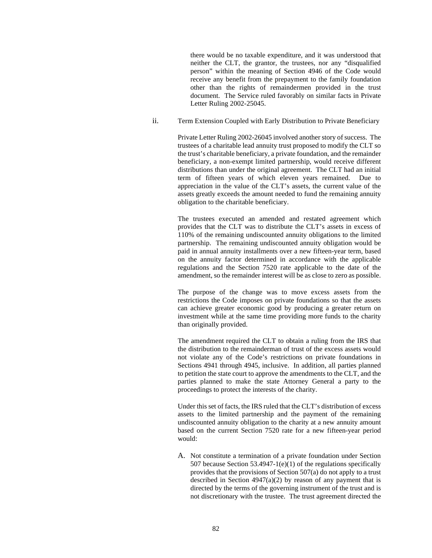there would be no taxable expenditure, and it was understood that neither the CLT, the grantor, the trustees, nor any "disqualified person" within the meaning of Section 4946 of the Code would receive any benefit from the prepayment to the family foundation other than the rights of remaindermen provided in the trust document. The Service ruled favorably on similar facts in Private Letter Ruling 2002-25045.

ii. Term Extension Coupled with Early Distribution to Private Beneficiary

Private Letter Ruling 2002-26045 involved another story of success. The trustees of a charitable lead annuity trust proposed to modify the CLT so the trust's charitable beneficiary, a private foundation, and the remainder beneficiary, a non-exempt limited partnership, would receive different distributions than under the original agreement. The CLT had an initial term of fifteen years of which eleven years remained. Due to appreciation in the value of the CLT's assets, the current value of the assets greatly exceeds the amount needed to fund the remaining annuity obligation to the charitable beneficiary.

The trustees executed an amended and restated agreement which provides that the CLT was to distribute the CLT's assets in excess of 110% of the remaining undiscounted annuity obligations to the limited partnership. The remaining undiscounted annuity obligation would be paid in annual annuity installments over a new fifteen-year term, based on the annuity factor determined in accordance with the applicable regulations and the Section 7520 rate applicable to the date of the amendment, so the remainder interest will be as close to zero as possible.

The purpose of the change was to move excess assets from the restrictions the Code imposes on private foundations so that the assets can achieve greater economic good by producing a greater return on investment while at the same time providing more funds to the charity than originally provided.

The amendment required the CLT to obtain a ruling from the IRS that the distribution to the remainderman of trust of the excess assets would not violate any of the Code's restrictions on private foundations in Sections 4941 through 4945, inclusive. In addition, all parties planned to petition the state court to approve the amendments to the CLT, and the parties planned to make the state Attorney General a party to the proceedings to protect the interests of the charity.

Under this set of facts, the IRS ruled that the CLT's distribution of excess assets to the limited partnership and the payment of the remaining undiscounted annuity obligation to the charity at a new annuity amount based on the current Section 7520 rate for a new fifteen-year period would:

A. Not constitute a termination of a private foundation under Section 507 because Section 53.4947-1(e)(1) of the regulations specifically provides that the provisions of Section 507(a) do not apply to a trust described in Section  $4947(a)(2)$  by reason of any payment that is directed by the terms of the governing instrument of the trust and is not discretionary with the trustee. The trust agreement directed the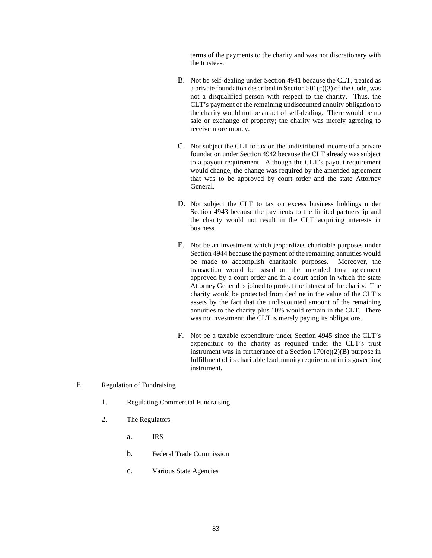terms of the payments to the charity and was not discretionary with the trustees.

- B. Not be self-dealing under Section 4941 because the CLT, treated as a private foundation described in Section 501(c)(3) of the Code, was not a disqualified person with respect to the charity. Thus, the CLT's payment of the remaining undiscounted annuity obligation to the charity would not be an act of self-dealing. There would be no sale or exchange of property; the charity was merely agreeing to receive more money.
- C. Not subject the CLT to tax on the undistributed income of a private foundation under Section 4942 because the CLT already was subject to a payout requirement. Although the CLT's payout requirement would change, the change was required by the amended agreement that was to be approved by court order and the state Attorney General.
- D. Not subject the CLT to tax on excess business holdings under Section 4943 because the payments to the limited partnership and the charity would not result in the CLT acquiring interests in business.
- E. Not be an investment which jeopardizes charitable purposes under Section 4944 because the payment of the remaining annuities would be made to accomplish charitable purposes. Moreover, the transaction would be based on the amended trust agreement approved by a court order and in a court action in which the state Attorney General is joined to protect the interest of the charity. The charity would be protected from decline in the value of the CLT's assets by the fact that the undiscounted amount of the remaining annuities to the charity plus 10% would remain in the CLT. There was no investment; the CLT is merely paying its obligations.
- F. Not be a taxable expenditure under Section 4945 since the CLT's expenditure to the charity as required under the CLT's trust instrument was in furtherance of a Section  $170(c)(2)(B)$  purpose in fulfillment of its charitable lead annuity requirement in its governing instrument.
- E. Regulation of Fundraising
	- 1. Regulating Commercial Fundraising
	- 2. The Regulators
		- a. IRS
		- b. Federal Trade Commission
		- c. Various State Agencies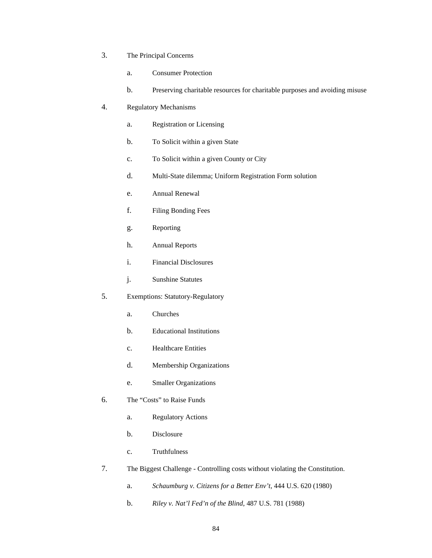- 3. The Principal Concerns
	- a. Consumer Protection
	- b. Preserving charitable resources for charitable purposes and avoiding misuse
- 4. Regulatory Mechanisms
	- a. Registration or Licensing
	- b. To Solicit within a given State
	- c. To Solicit within a given County or City
	- d. Multi-State dilemma; Uniform Registration Form solution
	- e. Annual Renewal
	- f. Filing Bonding Fees
	- g. Reporting
	- h. Annual Reports
	- i. Financial Disclosures
	- j. Sunshine Statutes
- 5. Exemptions: Statutory-Regulatory
	- a. Churches
	- b. Educational Institutions
	- c. Healthcare Entities
	- d. Membership Organizations
	- e. Smaller Organizations
- 6. The "Costs" to Raise Funds
	- a. Regulatory Actions
	- b. Disclosure
	- c. Truthfulness
- 7. The Biggest Challenge Controlling costs without violating the Constitution.
	- a. *Schaumburg v. Citizens for a Better Env't*, 444 U.S. 620 (1980)
	- b. *Riley v. Nat'l Fed'n of the Blind*, 487 U.S. 781 (1988)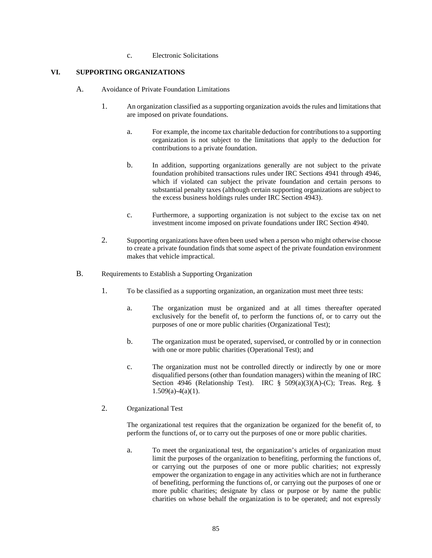c. Electronic Solicitations

# **VI. SUPPORTING ORGANIZATIONS**

- A. Avoidance of Private Foundation Limitations
	- 1. An organization classified as a supporting organization avoids the rules and limitations that are imposed on private foundations.
		- a. For example, the income tax charitable deduction for contributions to a supporting organization is not subject to the limitations that apply to the deduction for contributions to a private foundation.
		- b. In addition, supporting organizations generally are not subject to the private foundation prohibited transactions rules under IRC Sections 4941 through 4946, which if violated can subject the private foundation and certain persons to substantial penalty taxes (although certain supporting organizations are subject to the excess business holdings rules under IRC Section 4943).
		- c. Furthermore, a supporting organization is not subject to the excise tax on net investment income imposed on private foundations under IRC Section 4940.
	- 2. Supporting organizations have often been used when a person who might otherwise choose to create a private foundation finds that some aspect of the private foundation environment makes that vehicle impractical.
- B. Requirements to Establish a Supporting Organization
	- 1. To be classified as a supporting organization, an organization must meet three tests:
		- a. The organization must be organized and at all times thereafter operated exclusively for the benefit of, to perform the functions of, or to carry out the purposes of one or more public charities (Organizational Test);
		- b. The organization must be operated, supervised, or controlled by or in connection with one or more public charities (Operational Test); and
		- c. The organization must not be controlled directly or indirectly by one or more disqualified persons (other than foundation managers) within the meaning of IRC Section 4946 (Relationship Test). IRC § 509(a)(3)(A)-(C); Treas. Reg. § 1.509(a)-4(a)(1).
	- 2. Organizational Test

The organizational test requires that the organization be organized for the benefit of, to perform the functions of, or to carry out the purposes of one or more public charities.

a. To meet the organizational test, the organization's articles of organization must limit the purposes of the organization to benefiting, performing the functions of, or carrying out the purposes of one or more public charities; not expressly empower the organization to engage in any activities which are not in furtherance of benefiting, performing the functions of, or carrying out the purposes of one or more public charities; designate by class or purpose or by name the public charities on whose behalf the organization is to be operated; and not expressly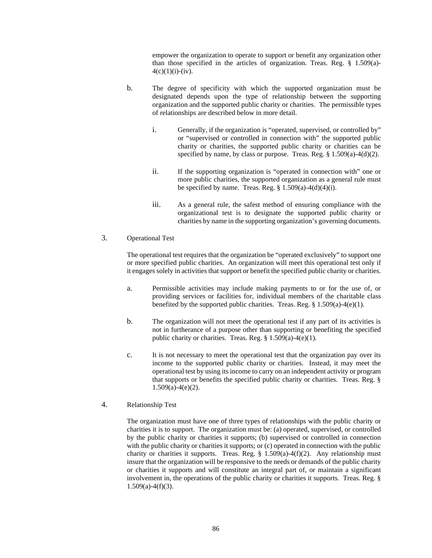empower the organization to operate to support or benefit any organization other than those specified in the articles of organization. Treas. Reg.  $\frac{8}{1.509(a)}$ - $4(c)(1)(i)-(iv).$ 

- b. The degree of specificity with which the supported organization must be designated depends upon the type of relationship between the supporting organization and the supported public charity or charities. The permissible types of relationships are described below in more detail.
	- i. Generally, if the organization is "operated, supervised, or controlled by" or "supervised or controlled in connection with" the supported public charity or charities, the supported public charity or charities can be specified by name, by class or purpose. Treas. Reg.  $\S 1.509(a) - 4(d)(2)$ .
	- ii. If the supporting organization is "operated in connection with" one or more public charities, the supported organization as a general rule must be specified by name. Treas. Reg.  $\S$  1.509(a)-4(d)(4)(i).
	- iii. As a general rule, the safest method of ensuring compliance with the organizational test is to designate the supported public charity or charities by name in the supporting organization's governing documents.

## 3. Operational Test

The operational test requires that the organization be "operated exclusively" to support one or more specified public charities. An organization will meet this operational test only if it engages solely in activities that support or benefit the specified public charity or charities.

- a. Permissible activities may include making payments to or for the use of, or providing services or facilities for, individual members of the charitable class benefited by the supported public charities. Treas. Reg.  $\S 1.509(a)-4(e)(1)$ .
- b. The organization will not meet the operational test if any part of its activities is not in furtherance of a purpose other than supporting or benefiting the specified public charity or charities. Treas. Reg. § 1.509(a)-4(e)(1).
- c. It is not necessary to meet the operational test that the organization pay over its income to the supported public charity or charities. Instead, it may meet the operational test by using its income to carry on an independent activity or program that supports or benefits the specified public charity or charities. Treas. Reg. §  $1.509(a)-4(e)(2)$ .
- 4. Relationship Test

The organization must have one of three types of relationships with the public charity or charities it is to support. The organization must be: (a) operated, supervised, or controlled by the public charity or charities it supports; (b) supervised or controlled in connection with the public charity or charities it supports; or (c) operated in connection with the public charity or charities it supports. Treas. Reg. § 1.509(a)-4(f)(2). Any relationship must insure that the organization will be responsive to the needs or demands of the public charity or charities it supports and will constitute an integral part of, or maintain a significant involvement in, the operations of the public charity or charities it supports. Treas. Reg. §  $1.509(a)-4(f)(3)$ .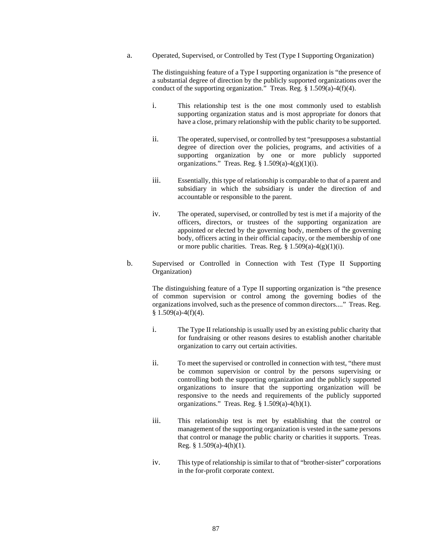a. Operated, Supervised, or Controlled by Test (Type I Supporting Organization)

The distinguishing feature of a Type I supporting organization is "the presence of a substantial degree of direction by the publicly supported organizations over the conduct of the supporting organization." Treas. Reg. § 1.509(a)-4(f)(4).

- i. This relationship test is the one most commonly used to establish supporting organization status and is most appropriate for donors that have a close, primary relationship with the public charity to be supported.
- ii. The operated, supervised, or controlled by test "presupposes a substantial degree of direction over the policies, programs, and activities of a supporting organization by one or more publicly supported organizations." Treas. Reg.  $\S 1.509(a)-4(g)(1)(i)$ .
- iii. Essentially, this type of relationship is comparable to that of a parent and subsidiary in which the subsidiary is under the direction of and accountable or responsible to the parent.
- iv. The operated, supervised, or controlled by test is met if a majority of the officers, directors, or trustees of the supporting organization are appointed or elected by the governing body, members of the governing body, officers acting in their official capacity, or the membership of one or more public charities. Treas. Reg.  $\S 1.509(a)-4(g)(1)(i)$ .
- b. Supervised or Controlled in Connection with Test (Type II Supporting Organization)

The distinguishing feature of a Type II supporting organization is "the presence of common supervision or control among the governing bodies of the organizations involved, such as the presence of common directors...." Treas. Reg.  $§ 1.509(a)-4(f)(4).$ 

- i. The Type II relationship is usually used by an existing public charity that for fundraising or other reasons desires to establish another charitable organization to carry out certain activities.
- ii. To meet the supervised or controlled in connection with test, "there must be common supervision or control by the persons supervising or controlling both the supporting organization and the publicly supported organizations to insure that the supporting organization will be responsive to the needs and requirements of the publicly supported organizations." Treas. Reg.  $\S 1.509(a)-4(h)(1)$ .
- iii. This relationship test is met by establishing that the control or management of the supporting organization is vested in the same persons that control or manage the public charity or charities it supports. Treas. Reg. § 1.509(a)-4(h)(1).
- iv. This type of relationship is similar to that of "brother-sister" corporations in the for-profit corporate context.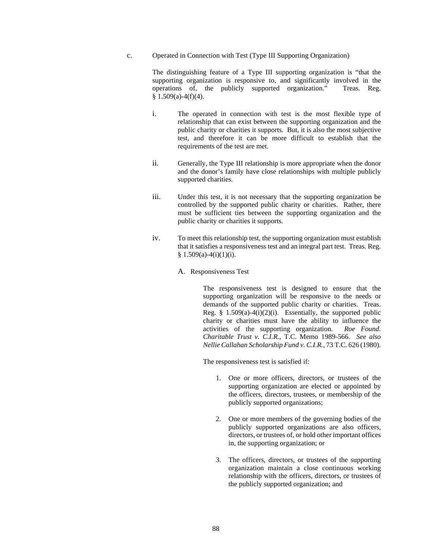### c. Operated in Connection with Test (Type III Supporting Organization)

The distinguishing feature of a Type III supporting organization is "that the supporting organization is responsive to, and significantly involved in the operations of, the publicly supported organization." Treas. Reg.  $§ 1.509(a)-4(f)(4).$ 

- i. The operated in connection with test is the most flexible type of relationship that can exist between the supporting organization and the public charity or charities it supports. But, it is also the most subjective test, and therefore it can be more difficult to establish that the requirements of the test are met.
- ii. Generally, the Type III relationship is more appropriate when the donor and the donor's family have close relationships with multiple publicly supported charities.
- iii. Under this test, it is not necessary that the supporting organization be controlled by the supported public charity or charities. Rather, there must be sufficient ties between the supporting organization and the public charity or charities it supports.
- iv. To meet this relationship test, the supporting organization must establish that it satisfies a responsiveness test and an integral part test. Treas. Reg.  $§ 1.509(a)-4(i)(1)(i).$ 
	- A. Responsiveness Test

The responsiveness test is designed to ensure that the supporting organization will be responsive to the needs or demands of the supported public charity or charities. Treas. Reg. §  $1.509(a)-4(i)(2)(i)$ . Essentially, the supported public charity or charities must have the ability to influence the activities of the supporting organization. *Roe Found. Charitable Trust v. C.I.R.*, T.C. Memo 1989-566. *See also Nellie Callahan Scholarship Fund v. C.I.R.*, 73 T.C. 626 (1980).

The responsiveness test is satisfied if:

- 1. One or more officers, directors, or trustees of the supporting organization are elected or appointed by the officers, directors, trustees, or membership of the publicly supported organizations;
- 2. One or more members of the governing bodies of the publicly supported organizations are also officers, directors, or trustees of, or hold other important offices in, the supporting organization; or
- 3. The officers, directors, or trustees of the supporting organization maintain a close continuous working relationship with the officers, directors, or trustees of the publicly supported organization; and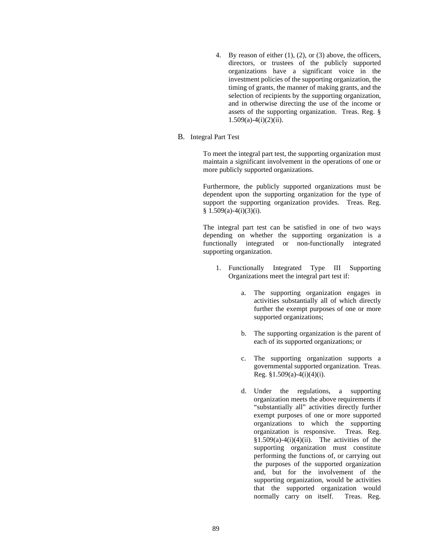- 4. By reason of either  $(1)$ ,  $(2)$ , or  $(3)$  above, the officers, directors, or trustees of the publicly supported organizations have a significant voice in the investment policies of the supporting organization, the timing of grants, the manner of making grants, and the selection of recipients by the supporting organization, and in otherwise directing the use of the income or assets of the supporting organization. Treas. Reg. §  $1.509(a)-4(i)(2)(ii)$ .
- B. Integral Part Test

To meet the integral part test, the supporting organization must maintain a significant involvement in the operations of one or more publicly supported organizations.

Furthermore, the publicly supported organizations must be dependent upon the supporting organization for the type of support the supporting organization provides. Treas. Reg.  $§ 1.509(a)-4(i)(3)(i).$ 

The integral part test can be satisfied in one of two ways depending on whether the supporting organization is a functionally integrated or non-functionally integrated supporting organization.

- 1. Functionally Integrated Type III Supporting Organizations meet the integral part test if:
	- a. The supporting organization engages in activities substantially all of which directly further the exempt purposes of one or more supported organizations;
	- b. The supporting organization is the parent of each of its supported organizations; or
	- c. The supporting organization supports a governmental supported organization. Treas. Reg.  $$1.509(a)-4(i)(4)(i)$ .
	- d. Under the regulations, a supporting organization meets the above requirements if "substantially all" activities directly further exempt purposes of one or more supported organizations to which the supporting organization is responsive. Treas. Reg.  $§1.509(a)-4(i)(4)(ii)$ . The activities of the supporting organization must constitute performing the functions of, or carrying out the purposes of the supported organization and, but for the involvement of the supporting organization, would be activities that the supported organization would normally carry on itself. Treas. Reg.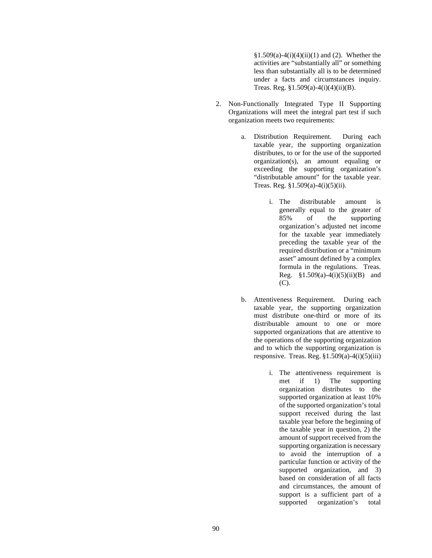$$1.509(a)-4(i)(4)(ii)(1)$  and (2). Whether the activities are "substantially all" or something less than substantially all is to be determined under a facts and circumstances inquiry. Treas. Reg.  $$1.509(a) - 4(i)(4)(ii)(B)$ .

- 2. Non-Functionally Integrated Type II Supporting Organizations will meet the integral part test if such organization meets two requirements:
	- a. Distribution Requirement. During each taxable year, the supporting organization distributes, to or for the use of the supported organization(s), an amount equaling or exceeding the supporting organization's "distributable amount" for the taxable year. Treas. Reg. §1.509(a)-4(i)(5)(ii).
		- i. The distributable amount is generally equal to the greater of 85% of the supporting organization's adjusted net income for the taxable year immediately preceding the taxable year of the required distribution or a "minimum asset" amount defined by a complex formula in the regulations. Treas. Reg. §1.509(a)-4(i)(5)(ii)(B) and (C).
	- b. Attentiveness Requirement. During each taxable year, the supporting organization must distribute one-third or more of its distributable amount to one or more supported organizations that are attentive to the operations of the supporting organization and to which the supporting organization is responsive. Treas. Reg.  $$1.509(a)-4(i)(5)(iii)$ 
		- i. The attentiveness requirement is met if 1) The supporting organization distributes to the supported organization at least 10% of the supported organization's total support received during the last taxable year before the beginning of the taxable year in question, 2) the amount of support received from the supporting organization is necessary to avoid the interruption of a particular function or activity of the supported organization, and 3) based on consideration of all facts and circumstances, the amount of support is a sufficient part of a supported organization's total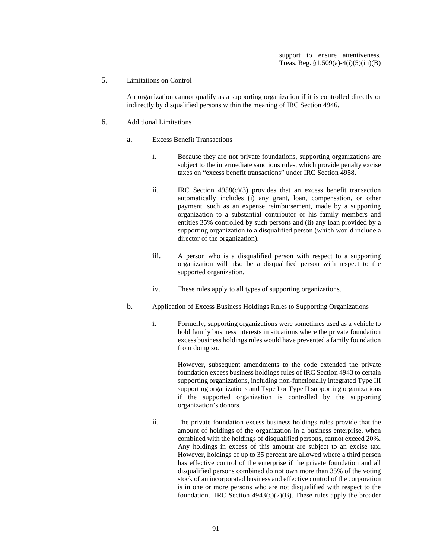support to ensure attentiveness. Treas. Reg.  $$1.509(a) - 4(i)(5)(iii)(B)$ 

### 5. Limitations on Control

An organization cannot qualify as a supporting organization if it is controlled directly or indirectly by disqualified persons within the meaning of IRC Section 4946.

### 6. Additional Limitations

- a. Excess Benefit Transactions
	- i. Because they are not private foundations, supporting organizations are subject to the intermediate sanctions rules, which provide penalty excise taxes on "excess benefit transactions" under IRC Section 4958.
	- ii. IRC Section 4958(c)(3) provides that an excess benefit transaction automatically includes (i) any grant, loan, compensation, or other payment, such as an expense reimbursement, made by a supporting organization to a substantial contributor or his family members and entities 35% controlled by such persons and (ii) any loan provided by a supporting organization to a disqualified person (which would include a director of the organization).
	- iii. A person who is a disqualified person with respect to a supporting organization will also be a disqualified person with respect to the supported organization.
	- iv. These rules apply to all types of supporting organizations.
- b. Application of Excess Business Holdings Rules to Supporting Organizations
	- i. Formerly, supporting organizations were sometimes used as a vehicle to hold family business interests in situations where the private foundation excess business holdings rules would have prevented a family foundation from doing so.

However, subsequent amendments to the code extended the private foundation excess business holdings rules of IRC Section 4943 to certain supporting organizations, including non-functionally integrated Type III supporting organizations and Type I or Type II supporting organizations if the supported organization is controlled by the supporting organization's donors.

ii. The private foundation excess business holdings rules provide that the amount of holdings of the organization in a business enterprise, when combined with the holdings of disqualified persons, cannot exceed 20%. Any holdings in excess of this amount are subject to an excise tax. However, holdings of up to 35 percent are allowed where a third person has effective control of the enterprise if the private foundation and all disqualified persons combined do not own more than 35% of the voting stock of an incorporated business and effective control of the corporation is in one or more persons who are not disqualified with respect to the foundation. IRC Section  $4943(c)(2)(B)$ . These rules apply the broader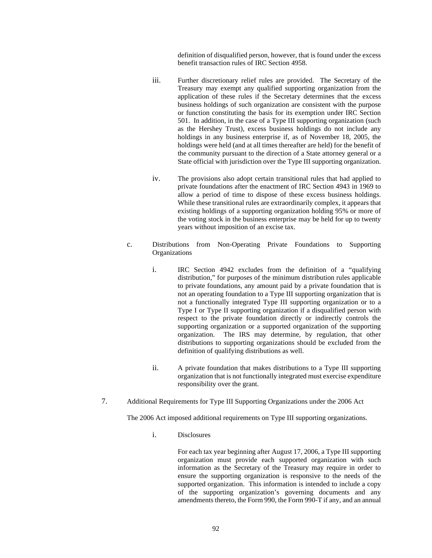definition of disqualified person, however, that is found under the excess benefit transaction rules of IRC Section 4958.

- iii. Further discretionary relief rules are provided. The Secretary of the Treasury may exempt any qualified supporting organization from the application of these rules if the Secretary determines that the excess business holdings of such organization are consistent with the purpose or function constituting the basis for its exemption under IRC Section 501. In addition, in the case of a Type III supporting organization (such as the Hershey Trust), excess business holdings do not include any holdings in any business enterprise if, as of November 18, 2005, the holdings were held (and at all times thereafter are held) for the benefit of the community pursuant to the direction of a State attorney general or a State official with jurisdiction over the Type III supporting organization.
- iv. The provisions also adopt certain transitional rules that had applied to private foundations after the enactment of IRC Section 4943 in 1969 to allow a period of time to dispose of these excess business holdings. While these transitional rules are extraordinarily complex, it appears that existing holdings of a supporting organization holding 95% or more of the voting stock in the business enterprise may be held for up to twenty years without imposition of an excise tax.
- c. Distributions from Non-Operating Private Foundations to Supporting Organizations
	- i. IRC Section 4942 excludes from the definition of a "qualifying distribution," for purposes of the minimum distribution rules applicable to private foundations, any amount paid by a private foundation that is not an operating foundation to a Type III supporting organization that is not a functionally integrated Type III supporting organization or to a Type I or Type II supporting organization if a disqualified person with respect to the private foundation directly or indirectly controls the supporting organization or a supported organization of the supporting organization. The IRS may determine, by regulation, that other distributions to supporting organizations should be excluded from the definition of qualifying distributions as well.
	- ii. A private foundation that makes distributions to a Type III supporting organization that is not functionally integrated must exercise expenditure responsibility over the grant.
- 7. Additional Requirements for Type III Supporting Organizations under the 2006 Act

The 2006 Act imposed additional requirements on Type III supporting organizations.

i. Disclosures

For each tax year beginning after August 17, 2006, a Type III supporting organization must provide each supported organization with such information as the Secretary of the Treasury may require in order to ensure the supporting organization is responsive to the needs of the supported organization. This information is intended to include a copy of the supporting organization's governing documents and any amendments thereto, the Form 990, the Form 990-T if any, and an annual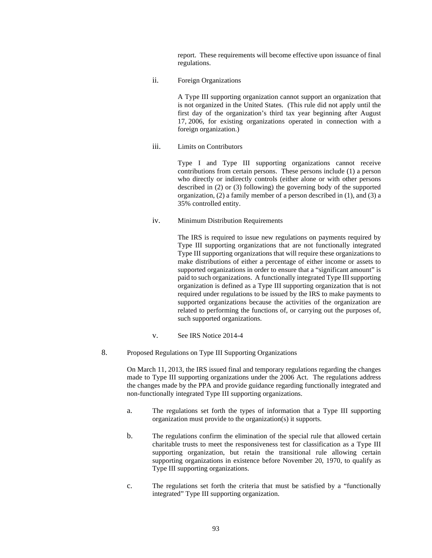report. These requirements will become effective upon issuance of final regulations.

ii. Foreign Organizations

A Type III supporting organization cannot support an organization that is not organized in the United States. (This rule did not apply until the first day of the organization's third tax year beginning after August 17, 2006, for existing organizations operated in connection with a foreign organization.)

iii. Limits on Contributors

Type I and Type III supporting organizations cannot receive contributions from certain persons. These persons include (1) a person who directly or indirectly controls (either alone or with other persons described in (2) or (3) following) the governing body of the supported organization, (2) a family member of a person described in (1), and (3) a 35% controlled entity.

iv. Minimum Distribution Requirements

The IRS is required to issue new regulations on payments required by Type III supporting organizations that are not functionally integrated Type III supporting organizations that will require these organizations to make distributions of either a percentage of either income or assets to supported organizations in order to ensure that a "significant amount" is paid to such organizations. A functionally integrated Type III supporting organization is defined as a Type III supporting organization that is not required under regulations to be issued by the IRS to make payments to supported organizations because the activities of the organization are related to performing the functions of, or carrying out the purposes of, such supported organizations.

- v. See IRS Notice 2014-4
- 8. Proposed Regulations on Type III Supporting Organizations

On March 11, 2013, the IRS issued final and temporary regulations regarding the changes made to Type III supporting organizations under the 2006 Act. The regulations address the changes made by the PPA and provide guidance regarding functionally integrated and non-functionally integrated Type III supporting organizations.

- a. The regulations set forth the types of information that a Type III supporting organization must provide to the organization(s) it supports.
- b. The regulations confirm the elimination of the special rule that allowed certain charitable trusts to meet the responsiveness test for classification as a Type III supporting organization, but retain the transitional rule allowing certain supporting organizations in existence before November 20, 1970, to qualify as Type III supporting organizations.
- c. The regulations set forth the criteria that must be satisfied by a "functionally integrated" Type III supporting organization.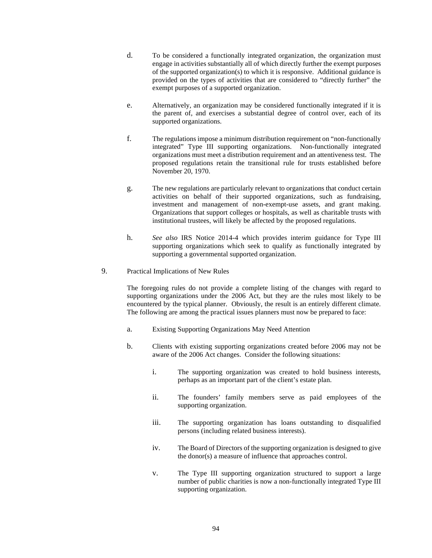- d. To be considered a functionally integrated organization, the organization must engage in activities substantially all of which directly further the exempt purposes of the supported organization(s) to which it is responsive. Additional guidance is provided on the types of activities that are considered to "directly further" the exempt purposes of a supported organization.
- e. Alternatively, an organization may be considered functionally integrated if it is the parent of, and exercises a substantial degree of control over, each of its supported organizations.
- f. The regulations impose a minimum distribution requirement on "non-functionally integrated" Type III supporting organizations. Non-functionally integrated organizations must meet a distribution requirement and an attentiveness test. The proposed regulations retain the transitional rule for trusts established before November 20, 1970.
- g. The new regulations are particularly relevant to organizations that conduct certain activities on behalf of their supported organizations, such as fundraising, investment and management of non-exempt-use assets, and grant making. Organizations that support colleges or hospitals, as well as charitable trusts with institutional trustees, will likely be affected by the proposed regulations.
- h. *See also* IRS Notice 2014-4 which provides interim guidance for Type III supporting organizations which seek to qualify as functionally integrated by supporting a governmental supported organization.
- 9. Practical Implications of New Rules

The foregoing rules do not provide a complete listing of the changes with regard to supporting organizations under the 2006 Act, but they are the rules most likely to be encountered by the typical planner. Obviously, the result is an entirely different climate. The following are among the practical issues planners must now be prepared to face:

- a. Existing Supporting Organizations May Need Attention
- b. Clients with existing supporting organizations created before 2006 may not be aware of the 2006 Act changes. Consider the following situations:
	- i. The supporting organization was created to hold business interests, perhaps as an important part of the client's estate plan.
	- ii. The founders' family members serve as paid employees of the supporting organization.
	- iii. The supporting organization has loans outstanding to disqualified persons (including related business interests).
	- iv. The Board of Directors of the supporting organization is designed to give the donor(s) a measure of influence that approaches control.
	- v. The Type III supporting organization structured to support a large number of public charities is now a non-functionally integrated Type III supporting organization.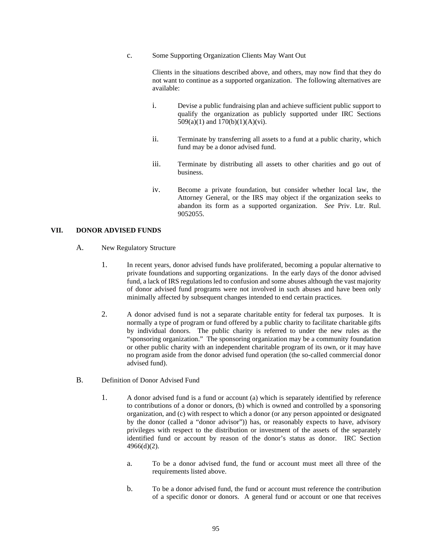c. Some Supporting Organization Clients May Want Out

Clients in the situations described above, and others, may now find that they do not want to continue as a supported organization. The following alternatives are available:

- i. Devise a public fundraising plan and achieve sufficient public support to qualify the organization as publicly supported under IRC Sections 509(a)(1) and 170(b)(1)(A)(vi).
- ii. Terminate by transferring all assets to a fund at a public charity, which fund may be a donor advised fund.
- iii. Terminate by distributing all assets to other charities and go out of business.
- iv. Become a private foundation, but consider whether local law, the Attorney General, or the IRS may object if the organization seeks to abandon its form as a supported organization. *See* Priv. Ltr. Rul. 9052055.

## **VII. DONOR ADVISED FUNDS**

- A. New Regulatory Structure
	- 1. In recent years, donor advised funds have proliferated, becoming a popular alternative to private foundations and supporting organizations. In the early days of the donor advised fund, a lack of IRS regulations led to confusion and some abuses although the vast majority of donor advised fund programs were not involved in such abuses and have been only minimally affected by subsequent changes intended to end certain practices.
	- 2. A donor advised fund is not a separate charitable entity for federal tax purposes. It is normally a type of program or fund offered by a public charity to facilitate charitable gifts by individual donors. The public charity is referred to under the new rules as the "sponsoring organization." The sponsoring organization may be a community foundation or other public charity with an independent charitable program of its own, or it may have no program aside from the donor advised fund operation (the so-called commercial donor advised fund).
- B. Definition of Donor Advised Fund
	- 1. A donor advised fund is a fund or account (a) which is separately identified by reference to contributions of a donor or donors, (b) which is owned and controlled by a sponsoring organization, and (c) with respect to which a donor (or any person appointed or designated by the donor (called a "donor advisor")) has, or reasonably expects to have, advisory privileges with respect to the distribution or investment of the assets of the separately identified fund or account by reason of the donor's status as donor. IRC Section 4966(d)(2).
		- a. To be a donor advised fund, the fund or account must meet all three of the requirements listed above.
		- b. To be a donor advised fund, the fund or account must reference the contribution of a specific donor or donors. A general fund or account or one that receives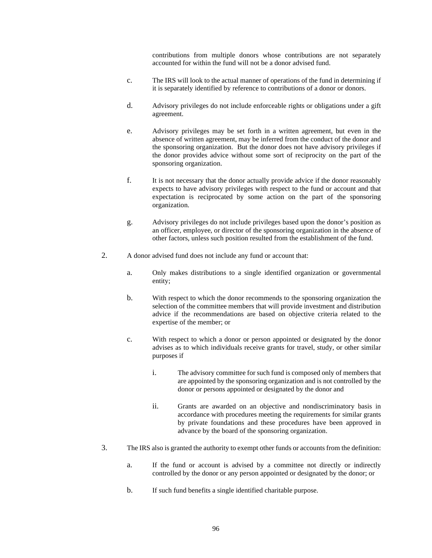contributions from multiple donors whose contributions are not separately accounted for within the fund will not be a donor advised fund.

- c. The IRS will look to the actual manner of operations of the fund in determining if it is separately identified by reference to contributions of a donor or donors.
- d. Advisory privileges do not include enforceable rights or obligations under a gift agreement.
- e. Advisory privileges may be set forth in a written agreement, but even in the absence of written agreement, may be inferred from the conduct of the donor and the sponsoring organization. But the donor does not have advisory privileges if the donor provides advice without some sort of reciprocity on the part of the sponsoring organization.
- f. It is not necessary that the donor actually provide advice if the donor reasonably expects to have advisory privileges with respect to the fund or account and that expectation is reciprocated by some action on the part of the sponsoring organization.
- g. Advisory privileges do not include privileges based upon the donor's position as an officer, employee, or director of the sponsoring organization in the absence of other factors, unless such position resulted from the establishment of the fund.
- 2. A donor advised fund does not include any fund or account that:
	- a. Only makes distributions to a single identified organization or governmental entity;
	- b. With respect to which the donor recommends to the sponsoring organization the selection of the committee members that will provide investment and distribution advice if the recommendations are based on objective criteria related to the expertise of the member; or
	- c. With respect to which a donor or person appointed or designated by the donor advises as to which individuals receive grants for travel, study, or other similar purposes if
		- i. The advisory committee for such fund is composed only of members that are appointed by the sponsoring organization and is not controlled by the donor or persons appointed or designated by the donor and
		- ii. Grants are awarded on an objective and nondiscriminatory basis in accordance with procedures meeting the requirements for similar grants by private foundations and these procedures have been approved in advance by the board of the sponsoring organization.
- 3. The IRS also is granted the authority to exempt other funds or accounts from the definition:
	- a. If the fund or account is advised by a committee not directly or indirectly controlled by the donor or any person appointed or designated by the donor; or
	- b. If such fund benefits a single identified charitable purpose.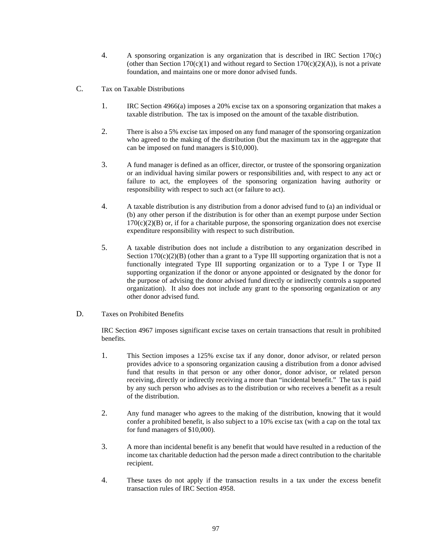- 4. A sponsoring organization is any organization that is described in IRC Section 170(c) (other than Section 170(c)(1) and without regard to Section 170(c)(2)(A)), is not a private foundation, and maintains one or more donor advised funds.
- C. Tax on Taxable Distributions
	- 1. IRC Section 4966(a) imposes a 20% excise tax on a sponsoring organization that makes a taxable distribution. The tax is imposed on the amount of the taxable distribution.
	- 2. There is also a 5% excise tax imposed on any fund manager of the sponsoring organization who agreed to the making of the distribution (but the maximum tax in the aggregate that can be imposed on fund managers is \$10,000).
	- 3. A fund manager is defined as an officer, director, or trustee of the sponsoring organization or an individual having similar powers or responsibilities and, with respect to any act or failure to act, the employees of the sponsoring organization having authority or responsibility with respect to such act (or failure to act).
	- 4. A taxable distribution is any distribution from a donor advised fund to (a) an individual or (b) any other person if the distribution is for other than an exempt purpose under Section  $170(c)(2)(B)$  or, if for a charitable purpose, the sponsoring organization does not exercise expenditure responsibility with respect to such distribution.
	- 5. A taxable distribution does not include a distribution to any organization described in Section  $170(c)(2)(B)$  (other than a grant to a Type III supporting organization that is not a functionally integrated Type III supporting organization or to a Type I or Type II supporting organization if the donor or anyone appointed or designated by the donor for the purpose of advising the donor advised fund directly or indirectly controls a supported organization). It also does not include any grant to the sponsoring organization or any other donor advised fund.
- D. Taxes on Prohibited Benefits

IRC Section 4967 imposes significant excise taxes on certain transactions that result in prohibited benefits.

- 1. This Section imposes a 125% excise tax if any donor, donor advisor, or related person provides advice to a sponsoring organization causing a distribution from a donor advised fund that results in that person or any other donor, donor advisor, or related person receiving, directly or indirectly receiving a more than "incidental benefit." The tax is paid by any such person who advises as to the distribution or who receives a benefit as a result of the distribution.
- 2. Any fund manager who agrees to the making of the distribution, knowing that it would confer a prohibited benefit, is also subject to a 10% excise tax (with a cap on the total tax for fund managers of \$10,000).
- 3. A more than incidental benefit is any benefit that would have resulted in a reduction of the income tax charitable deduction had the person made a direct contribution to the charitable recipient.
- 4. These taxes do not apply if the transaction results in a tax under the excess benefit transaction rules of IRC Section 4958.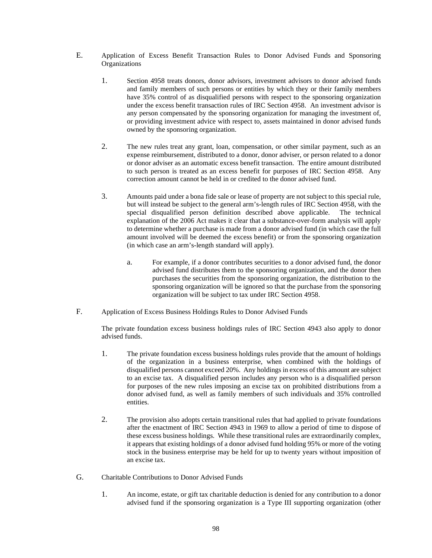- E. Application of Excess Benefit Transaction Rules to Donor Advised Funds and Sponsoring **Organizations** 
	- 1. Section 4958 treats donors, donor advisors, investment advisors to donor advised funds and family members of such persons or entities by which they or their family members have 35% control of as disqualified persons with respect to the sponsoring organization under the excess benefit transaction rules of IRC Section 4958. An investment advisor is any person compensated by the sponsoring organization for managing the investment of, or providing investment advice with respect to, assets maintained in donor advised funds owned by the sponsoring organization.
	- 2. The new rules treat any grant, loan, compensation, or other similar payment, such as an expense reimbursement, distributed to a donor, donor adviser, or person related to a donor or donor adviser as an automatic excess benefit transaction. The entire amount distributed to such person is treated as an excess benefit for purposes of IRC Section 4958. Any correction amount cannot be held in or credited to the donor advised fund.
	- 3. Amounts paid under a bona fide sale or lease of property are not subject to this special rule, but will instead be subject to the general arm's-length rules of IRC Section 4958, with the special disqualified person definition described above applicable. The technical explanation of the 2006 Act makes it clear that a substance-over-form analysis will apply to determine whether a purchase is made from a donor advised fund (in which case the full amount involved will be deemed the excess benefit) or from the sponsoring organization (in which case an arm's-length standard will apply).
		- a. For example, if a donor contributes securities to a donor advised fund, the donor advised fund distributes them to the sponsoring organization, and the donor then purchases the securities from the sponsoring organization, the distribution to the sponsoring organization will be ignored so that the purchase from the sponsoring organization will be subject to tax under IRC Section 4958.
- F. Application of Excess Business Holdings Rules to Donor Advised Funds

The private foundation excess business holdings rules of IRC Section 4943 also apply to donor advised funds.

- 1. The private foundation excess business holdings rules provide that the amount of holdings of the organization in a business enterprise, when combined with the holdings of disqualified persons cannot exceed 20%. Any holdings in excess of this amount are subject to an excise tax. A disqualified person includes any person who is a disqualified person for purposes of the new rules imposing an excise tax on prohibited distributions from a donor advised fund, as well as family members of such individuals and 35% controlled entities.
- 2. The provision also adopts certain transitional rules that had applied to private foundations after the enactment of IRC Section 4943 in 1969 to allow a period of time to dispose of these excess business holdings. While these transitional rules are extraordinarily complex, it appears that existing holdings of a donor advised fund holding 95% or more of the voting stock in the business enterprise may be held for up to twenty years without imposition of an excise tax.
- G. Charitable Contributions to Donor Advised Funds
	- 1. An income, estate, or gift tax charitable deduction is denied for any contribution to a donor advised fund if the sponsoring organization is a Type III supporting organization (other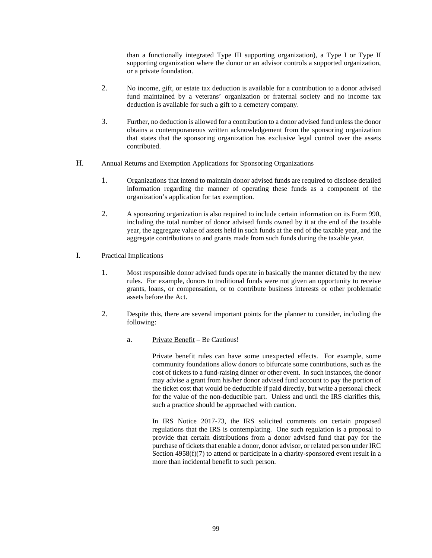than a functionally integrated Type III supporting organization), a Type I or Type II supporting organization where the donor or an advisor controls a supported organization, or a private foundation.

- 2. No income, gift, or estate tax deduction is available for a contribution to a donor advised fund maintained by a veterans' organization or fraternal society and no income tax deduction is available for such a gift to a cemetery company.
- 3. Further, no deduction is allowed for a contribution to a donor advised fund unless the donor obtains a contemporaneous written acknowledgement from the sponsoring organization that states that the sponsoring organization has exclusive legal control over the assets contributed.
- H. Annual Returns and Exemption Applications for Sponsoring Organizations
	- 1. Organizations that intend to maintain donor advised funds are required to disclose detailed information regarding the manner of operating these funds as a component of the organization's application for tax exemption.
	- 2. A sponsoring organization is also required to include certain information on its Form 990, including the total number of donor advised funds owned by it at the end of the taxable year, the aggregate value of assets held in such funds at the end of the taxable year, and the aggregate contributions to and grants made from such funds during the taxable year.
- I. Practical Implications
	- 1. Most responsible donor advised funds operate in basically the manner dictated by the new rules. For example, donors to traditional funds were not given an opportunity to receive grants, loans, or compensation, or to contribute business interests or other problematic assets before the Act.
	- 2. Despite this, there are several important points for the planner to consider, including the following:
		- a. Private Benefit Be Cautious!

Private benefit rules can have some unexpected effects. For example, some community foundations allow donors to bifurcate some contributions, such as the cost of tickets to a fund-raising dinner or other event. In such instances, the donor may advise a grant from his/her donor advised fund account to pay the portion of the ticket cost that would be deductible if paid directly, but write a personal check for the value of the non-deductible part. Unless and until the IRS clarifies this, such a practice should be approached with caution.

In IRS Notice 2017-73, the IRS solicited comments on certain proposed regulations that the IRS is contemplating. One such regulation is a proposal to provide that certain distributions from a donor advised fund that pay for the purchase of tickets that enable a donor, donor advisor, or related person under IRC Section 4958(f)(7) to attend or participate in a charity-sponsored event result in a more than incidental benefit to such person.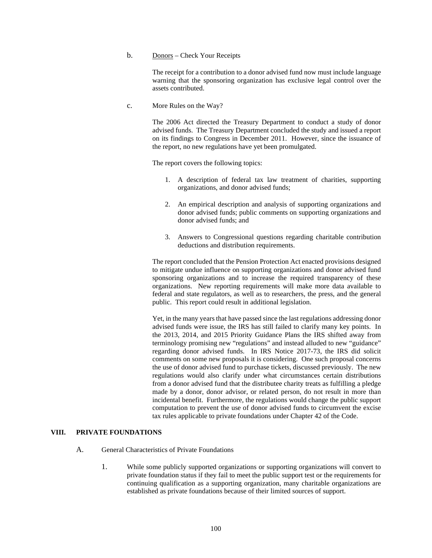## b. Donors – Check Your Receipts

The receipt for a contribution to a donor advised fund now must include language warning that the sponsoring organization has exclusive legal control over the assets contributed.

c. More Rules on the Way?

The 2006 Act directed the Treasury Department to conduct a study of donor advised funds. The Treasury Department concluded the study and issued a report on its findings to Congress in December 2011. However, since the issuance of the report, no new regulations have yet been promulgated.

The report covers the following topics:

- 1. A description of federal tax law treatment of charities, supporting organizations, and donor advised funds;
- 2. An empirical description and analysis of supporting organizations and donor advised funds; public comments on supporting organizations and donor advised funds; and
- 3. Answers to Congressional questions regarding charitable contribution deductions and distribution requirements.

The report concluded that the Pension Protection Act enacted provisions designed to mitigate undue influence on supporting organizations and donor advised fund sponsoring organizations and to increase the required transparency of these organizations. New reporting requirements will make more data available to federal and state regulators, as well as to researchers, the press, and the general public. This report could result in additional legislation.

Yet, in the many years that have passed since the last regulations addressing donor advised funds were issue, the IRS has still failed to clarify many key points. In the 2013, 2014, and 2015 Priority Guidance Plans the IRS shifted away from terminology promising new "regulations" and instead alluded to new "guidance" regarding donor advised funds. In IRS Notice 2017-73, the IRS did solicit comments on some new proposals it is considering. One such proposal concerns the use of donor advised fund to purchase tickets, discussed previously. The new regulations would also clarify under what circumstances certain distributions from a donor advised fund that the distributee charity treats as fulfilling a pledge made by a donor, donor advisor, or related person, do not result in more than incidental benefit. Furthermore, the regulations would change the public support computation to prevent the use of donor advised funds to circumvent the excise tax rules applicable to private foundations under Chapter 42 of the Code.

# **VIII. PRIVATE FOUNDATIONS**

- A. General Characteristics of Private Foundations
	- 1. While some publicly supported organizations or supporting organizations will convert to private foundation status if they fail to meet the public support test or the requirements for continuing qualification as a supporting organization, many charitable organizations are established as private foundations because of their limited sources of support.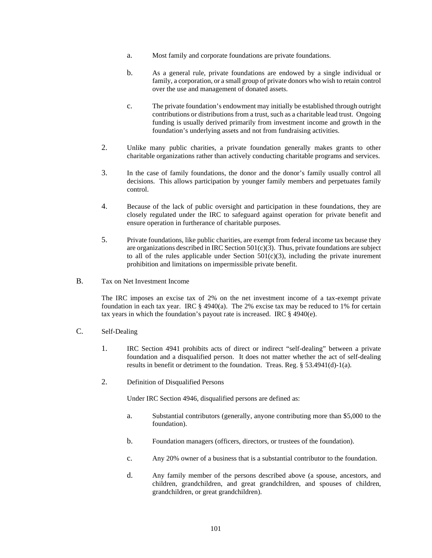- a. Most family and corporate foundations are private foundations.
- b. As a general rule, private foundations are endowed by a single individual or family, a corporation, or a small group of private donors who wish to retain control over the use and management of donated assets.
- c. The private foundation's endowment may initially be established through outright contributions or distributions from a trust, such as a charitable lead trust. Ongoing funding is usually derived primarily from investment income and growth in the foundation's underlying assets and not from fundraising activities.
- 2. Unlike many public charities, a private foundation generally makes grants to other charitable organizations rather than actively conducting charitable programs and services.
- 3. In the case of family foundations, the donor and the donor's family usually control all decisions. This allows participation by younger family members and perpetuates family control.
- 4. Because of the lack of public oversight and participation in these foundations, they are closely regulated under the IRC to safeguard against operation for private benefit and ensure operation in furtherance of charitable purposes.
- 5. Private foundations, like public charities, are exempt from federal income tax because they are organizations described in IRC Section  $501(c)(3)$ . Thus, private foundations are subject to all of the rules applicable under Section  $501(c)(3)$ , including the private inurement prohibition and limitations on impermissible private benefit.
- B. Tax on Net Investment Income

The IRC imposes an excise tax of 2% on the net investment income of a tax-exempt private foundation in each tax year. IRC § 4940(a). The 2% excise tax may be reduced to 1% for certain tax years in which the foundation's payout rate is increased. IRC § 4940(e).

- C. Self-Dealing
	- 1. IRC Section 4941 prohibits acts of direct or indirect "self-dealing" between a private foundation and a disqualified person. It does not matter whether the act of self-dealing results in benefit or detriment to the foundation. Treas. Reg. § 53.4941(d)-1(a).
	- 2. Definition of Disqualified Persons

Under IRC Section 4946, disqualified persons are defined as:

- a. Substantial contributors (generally, anyone contributing more than \$5,000 to the foundation).
- b. Foundation managers (officers, directors, or trustees of the foundation).
- c. Any 20% owner of a business that is a substantial contributor to the foundation.
- d. Any family member of the persons described above (a spouse, ancestors, and children, grandchildren, and great grandchildren, and spouses of children, grandchildren, or great grandchildren).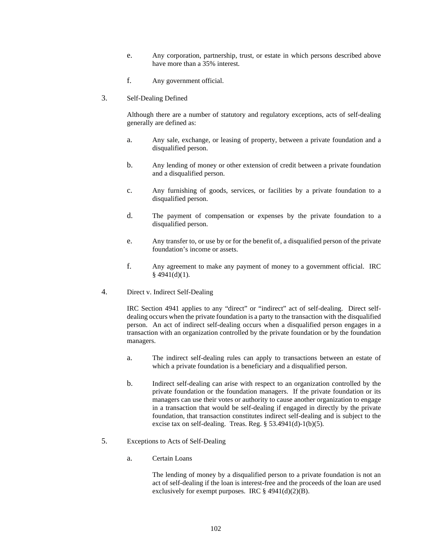- e. Any corporation, partnership, trust, or estate in which persons described above have more than a 35% interest.
- f. Any government official.
- 3. Self-Dealing Defined

Although there are a number of statutory and regulatory exceptions, acts of self-dealing generally are defined as:

- a. Any sale, exchange, or leasing of property, between a private foundation and a disqualified person.
- b. Any lending of money or other extension of credit between a private foundation and a disqualified person.
- c. Any furnishing of goods, services, or facilities by a private foundation to a disqualified person.
- d. The payment of compensation or expenses by the private foundation to a disqualified person.
- e. Any transfer to, or use by or for the benefit of, a disqualified person of the private foundation's income or assets.
- f. Any agreement to make any payment of money to a government official. IRC  $§$  4941(d)(1).
- 4. Direct v. Indirect Self-Dealing

IRC Section 4941 applies to any "direct" or "indirect" act of self-dealing. Direct selfdealing occurs when the private foundation is a party to the transaction with the disqualified person. An act of indirect self-dealing occurs when a disqualified person engages in a transaction with an organization controlled by the private foundation or by the foundation managers.

- a. The indirect self-dealing rules can apply to transactions between an estate of which a private foundation is a beneficiary and a disqualified person.
- b. Indirect self-dealing can arise with respect to an organization controlled by the private foundation or the foundation managers. If the private foundation or its managers can use their votes or authority to cause another organization to engage in a transaction that would be self-dealing if engaged in directly by the private foundation, that transaction constitutes indirect self-dealing and is subject to the excise tax on self-dealing. Treas. Reg. § 53.4941(d)-1(b)(5).
- 5. Exceptions to Acts of Self-Dealing
	- a. Certain Loans

The lending of money by a disqualified person to a private foundation is not an act of self-dealing if the loan is interest-free and the proceeds of the loan are used exclusively for exempt purposes. IRC  $\S$  4941(d)(2)(B).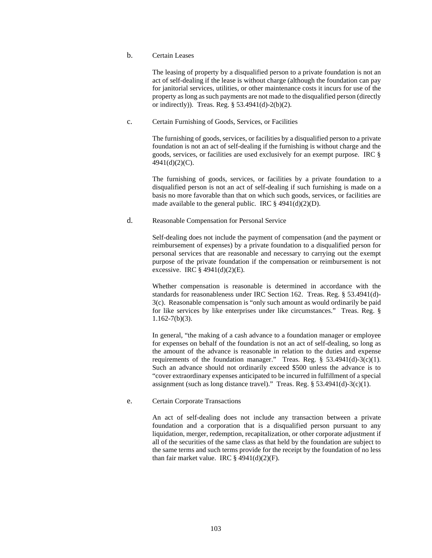b. Certain Leases

The leasing of property by a disqualified person to a private foundation is not an act of self-dealing if the lease is without charge (although the foundation can pay for janitorial services, utilities, or other maintenance costs it incurs for use of the property as long as such payments are not made to the disqualified person (directly or indirectly)). Treas. Reg. § 53.4941(d)-2(b)(2).

c. Certain Furnishing of Goods, Services, or Facilities

The furnishing of goods, services, or facilities by a disqualified person to a private foundation is not an act of self-dealing if the furnishing is without charge and the goods, services, or facilities are used exclusively for an exempt purpose. IRC § 4941(d)(2)(C).

The furnishing of goods, services, or facilities by a private foundation to a disqualified person is not an act of self-dealing if such furnishing is made on a basis no more favorable than that on which such goods, services, or facilities are made available to the general public. IRC  $\S$  4941(d)(2)(D).

# d. Reasonable Compensation for Personal Service

Self-dealing does not include the payment of compensation (and the payment or reimbursement of expenses) by a private foundation to a disqualified person for personal services that are reasonable and necessary to carrying out the exempt purpose of the private foundation if the compensation or reimbursement is not excessive. IRC § 4941(d)(2)(E).

Whether compensation is reasonable is determined in accordance with the standards for reasonableness under IRC Section 162. Treas. Reg. § 53.4941(d)- 3(c). Reasonable compensation is "only such amount as would ordinarily be paid for like services by like enterprises under like circumstances." Treas. Reg. §  $1.162 - 7(b)(3)$ .

In general, "the making of a cash advance to a foundation manager or employee for expenses on behalf of the foundation is not an act of self-dealing, so long as the amount of the advance is reasonable in relation to the duties and expense requirements of the foundation manager." Treas. Reg. § 53.4941(d)-3(c)(1). Such an advance should not ordinarily exceed \$500 unless the advance is to "cover extraordinary expenses anticipated to be incurred in fulfillment of a special assignment (such as long distance travel)." Treas. Reg. §  $53.4941(d)-3(c)(1)$ .

#### e. Certain Corporate Transactions

An act of self-dealing does not include any transaction between a private foundation and a corporation that is a disqualified person pursuant to any liquidation, merger, redemption, recapitalization, or other corporate adjustment if all of the securities of the same class as that held by the foundation are subject to the same terms and such terms provide for the receipt by the foundation of no less than fair market value. IRC  $\S$  4941(d)(2)(F).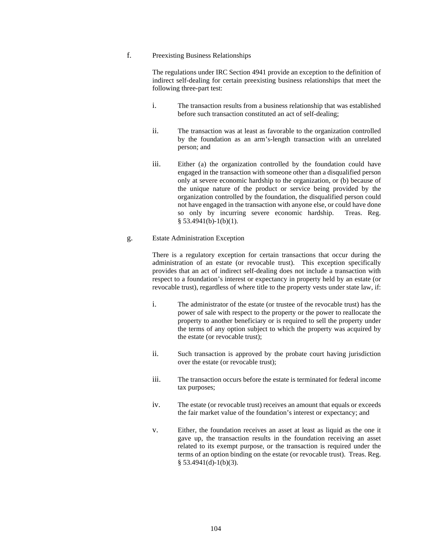# f. Preexisting Business Relationships

The regulations under IRC Section 4941 provide an exception to the definition of indirect self-dealing for certain preexisting business relationships that meet the following three-part test:

- i. The transaction results from a business relationship that was established before such transaction constituted an act of self-dealing;
- ii. The transaction was at least as favorable to the organization controlled by the foundation as an arm's-length transaction with an unrelated person; and
- iii. Either (a) the organization controlled by the foundation could have engaged in the transaction with someone other than a disqualified person only at severe economic hardship to the organization, or (b) because of the unique nature of the product or service being provided by the organization controlled by the foundation, the disqualified person could not have engaged in the transaction with anyone else, or could have done<br>so only by incurring severe economic hardship. Treas. Reg. so only by incurring severe economic hardship.  $§$  53.4941(b)-1(b)(1).

#### g. Estate Administration Exception

There is a regulatory exception for certain transactions that occur during the administration of an estate (or revocable trust). This exception specifically provides that an act of indirect self-dealing does not include a transaction with respect to a foundation's interest or expectancy in property held by an estate (or revocable trust), regardless of where title to the property vests under state law, if:

- i. The administrator of the estate (or trustee of the revocable trust) has the power of sale with respect to the property or the power to reallocate the property to another beneficiary or is required to sell the property under the terms of any option subject to which the property was acquired by the estate (or revocable trust);
- ii. Such transaction is approved by the probate court having jurisdiction over the estate (or revocable trust);
- iii. The transaction occurs before the estate is terminated for federal income tax purposes;
- iv. The estate (or revocable trust) receives an amount that equals or exceeds the fair market value of the foundation's interest or expectancy; and
- v. Either, the foundation receives an asset at least as liquid as the one it gave up, the transaction results in the foundation receiving an asset related to its exempt purpose, or the transaction is required under the terms of an option binding on the estate (or revocable trust). Treas. Reg.  $§$  53.4941(d)-1(b)(3).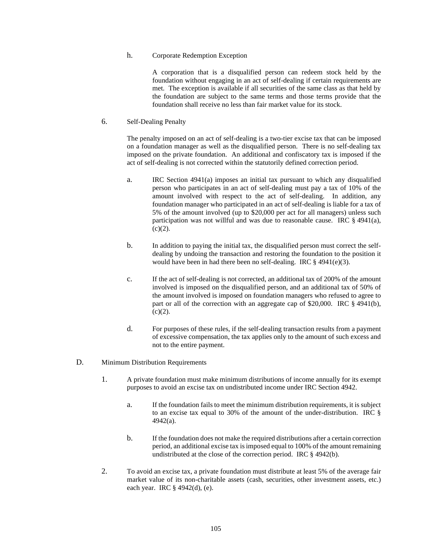### h. Corporate Redemption Exception

A corporation that is a disqualified person can redeem stock held by the foundation without engaging in an act of self-dealing if certain requirements are met. The exception is available if all securities of the same class as that held by the foundation are subject to the same terms and those terms provide that the foundation shall receive no less than fair market value for its stock.

6. Self-Dealing Penalty

The penalty imposed on an act of self-dealing is a two-tier excise tax that can be imposed on a foundation manager as well as the disqualified person. There is no self-dealing tax imposed on the private foundation. An additional and confiscatory tax is imposed if the act of self-dealing is not corrected within the statutorily defined correction period.

- a. IRC Section 4941(a) imposes an initial tax pursuant to which any disqualified person who participates in an act of self-dealing must pay a tax of 10% of the amount involved with respect to the act of self-dealing. In addition, any foundation manager who participated in an act of self-dealing is liable for a tax of 5% of the amount involved (up to \$20,000 per act for all managers) unless such participation was not willful and was due to reasonable cause. IRC § 4941(a),  $(c)(2)$ .
- b. In addition to paying the initial tax, the disqualified person must correct the selfdealing by undoing the transaction and restoring the foundation to the position it would have been in had there been no self-dealing. IRC § 4941(e)(3).
- c. If the act of self-dealing is not corrected, an additional tax of 200% of the amount involved is imposed on the disqualified person, and an additional tax of 50% of the amount involved is imposed on foundation managers who refused to agree to part or all of the correction with an aggregate cap of \$20,000. IRC § 4941(b),  $(c)(2)$ .
- d. For purposes of these rules, if the self-dealing transaction results from a payment of excessive compensation, the tax applies only to the amount of such excess and not to the entire payment.
- D. Minimum Distribution Requirements
	- 1. A private foundation must make minimum distributions of income annually for its exempt purposes to avoid an excise tax on undistributed income under IRC Section 4942.
		- a. If the foundation fails to meet the minimum distribution requirements, it is subject to an excise tax equal to 30% of the amount of the under-distribution. IRC § 4942(a).
		- b. If the foundation does not make the required distributions after a certain correction period, an additional excise tax is imposed equal to 100% of the amount remaining undistributed at the close of the correction period. IRC § 4942(b).
	- 2. To avoid an excise tax, a private foundation must distribute at least 5% of the average fair market value of its non-charitable assets (cash, securities, other investment assets, etc.) each year. IRC § 4942(d), (e).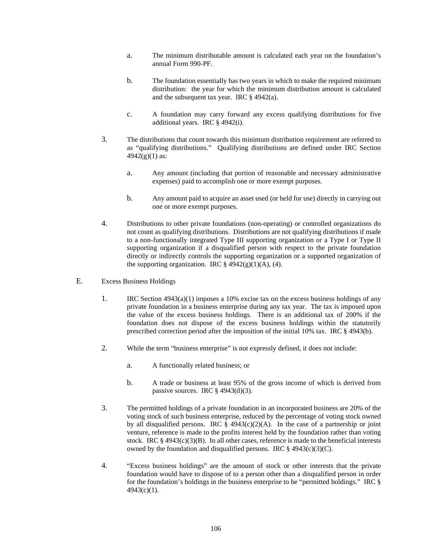- a. The minimum distributable amount is calculated each year on the foundation's annual Form 990-PF.
- b. The foundation essentially has two years in which to make the required minimum distribution: the year for which the minimum distribution amount is calculated and the subsequent tax year. IRC  $\S$  4942(a).
- c. A foundation may carry forward any excess qualifying distributions for five additional years. IRC § 4942(i).
- 3. The distributions that count towards this minimum distribution requirement are referred to as "qualifying distributions." Qualifying distributions are defined under IRC Section  $4942(g)(1)$  as:
	- a. Any amount (including that portion of reasonable and necessary administrative expenses) paid to accomplish one or more exempt purposes.
	- b. Any amount paid to acquire an asset used (or held for use) directly in carrying out one or more exempt purposes.
- 4. Distributions to other private foundations (non-operating) or controlled organizations do not count as qualifying distributions. Distributions are not qualifying distributions if made to a non-functionally integrated Type III supporting organization or a Type I or Type II supporting organization if a disqualified person with respect to the private foundation directly or indirectly controls the supporting organization or a supported organization of the supporting organization. IRC  $\S$  4942(g)(1)(A), (4).
- E. Excess Business Holdings
	- 1. IRC Section 4943(a)(1) imposes a 10% excise tax on the excess business holdings of any private foundation in a business enterprise during any tax year. The tax is imposed upon the value of the excess business holdings. There is an additional tax of 200% if the foundation does not dispose of the excess business holdings within the statutorily prescribed correction period after the imposition of the initial 10% tax. IRC § 4943(b).
	- 2. While the term "business enterprise" is not expressly defined, it does not include:
		- a. A functionally related business; or
		- b. A trade or business at least 95% of the gross income of which is derived from passive sources. IRC  $\S$  4943(d)(3).
	- 3. The permitted holdings of a private foundation in an incorporated business are 20% of the voting stock of such business enterprise, reduced by the percentage of voting stock owned by all disqualified persons. IRC  $\hat{\S}$  4943(c)(2)(A). In the case of a partnership or joint venture, reference is made to the profits interest held by the foundation rather than voting stock. IRC  $\S$  4943(c)(3)(B). In all other cases, reference is made to the beneficial interests owned by the foundation and disqualified persons. IRC  $\S$  4943(c)(3)(C).
	- 4. "Excess business holdings" are the amount of stock or other interests that the private foundation would have to dispose of to a person other than a disqualified person in order for the foundation's holdings in the business enterprise to be "permitted holdings." IRC § 4943(c)(1).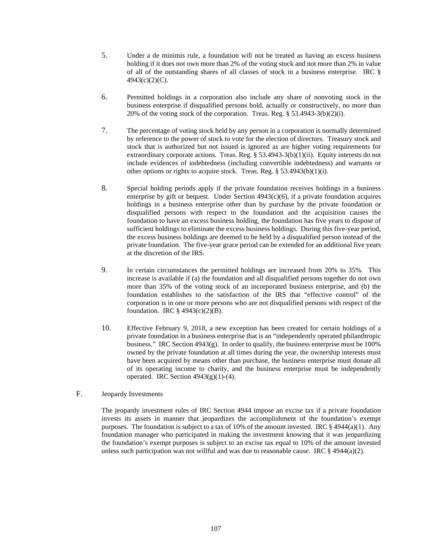- 5. Under a de minimis rule, a foundation will not be treated as having an excess business holding if it does not own more than 2% of the voting stock and not more than 2% in value of all of the outstanding shares of all classes of stock in a business enterprise. IRC § 4943(c)(2)(C).
- 6. Permitted holdings in a corporation also include any share of nonvoting stock in the business enterprise if disqualified persons hold, actually or constructively, no more than 20% of the voting stock of the corporation. Treas. Reg.  $\S$  53.4943-3(b)(2)(i).
- 7. The percentage of voting stock held by any person in a corporation is normally determined by reference to the power of stock to vote for the election of directors. Treasury stock and stock that is authorized but not issued is ignored as are higher voting requirements for extraordinary corporate actions. Treas. Reg. § 53.4943-3(b)(1)(ii). Equity interests do not include evidences of indebtedness (including convertible indebtedness) and warrants or other options or rights to acquire stock. Treas. Reg. § 53.4943(b)(1)(i).
- 8. Special holding periods apply if the private foundation receives holdings in a business enterprise by gift or bequest. Under Section 4943(c)(6), if a private foundation acquires holdings in a business enterprise other than by purchase by the private foundation or disqualified persons with respect to the foundation and the acquisition causes the foundation to have an excess business holding, the foundation has five years to dispose of sufficient holdings to eliminate the excess business holdings. During this five-year period, the excess business holdings are deemed to be held by a disqualified person instead of the private foundation. The five-year grace period can be extended for an additional five years at the discretion of the IRS.
- 9. In certain circumstances the permitted holdings are increased from 20% to 35%. This increase is available if (a) the foundation and all disqualified persons together do not own more than 35% of the voting stock of an incorporated business enterprise, and (b) the foundation establishes to the satisfaction of the IRS that "effective control" of the corporation is in one or more persons who are not disqualified persons with respect of the foundation. IRC  $\S$  4943(c)(2)(B).
- 10. Effective February 9, 2018, a new exception has been created for certain holdings of a private foundation in a business enterprise that is an "independently operated philanthropic business." IRC Section  $4943(g)$ . In order to qualify, the business enterprise must be 100% owned by the private foundation at all times during the year, the ownership interests must have been acquired by means other than purchase, the business enterprise must donate all of its operating income to charity, and the business enterprise must be independently operated. IRC Section  $4943(g)(1)-(4)$ .
- F. Jeopardy Investments

The jeopardy investment rules of IRC Section 4944 impose an excise tax if a private foundation invests its assets in manner that jeopardizes the accomplishment of the foundation's exempt purposes. The foundation is subject to a tax of 10% of the amount invested. IRC § 4944(a)(1). Any foundation manager who participated in making the investment knowing that it was jeopardizing the foundation's exempt purposes is subject to an excise tax equal to 10% of the amount invested unless such participation was not willful and was due to reasonable cause. IRC  $\S$  4944(a)(2).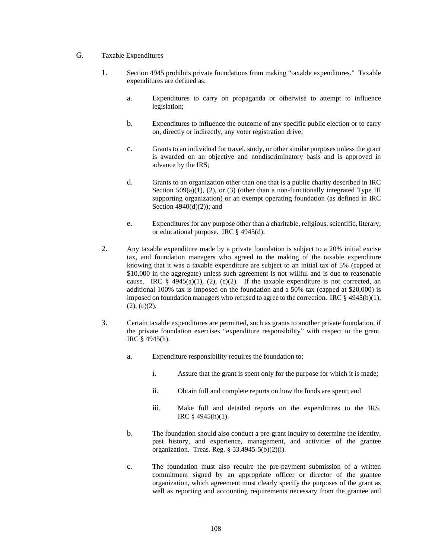- G. Taxable Expenditures
	- 1. Section 4945 prohibits private foundations from making "taxable expenditures." Taxable expenditures are defined as:
		- a. Expenditures to carry on propaganda or otherwise to attempt to influence legislation;
		- b. Expenditures to influence the outcome of any specific public election or to carry on, directly or indirectly, any voter registration drive;
		- c. Grants to an individual for travel, study, or other similar purposes unless the grant is awarded on an objective and nondiscriminatory basis and is approved in advance by the IRS;
		- d. Grants to an organization other than one that is a public charity described in IRC Section  $509(a)(1)$ ,  $(2)$ , or  $(3)$  (other than a non-functionally integrated Type III supporting organization) or an exempt operating foundation (as defined in IRC Section  $4940(d)(2)$ ; and
		- e. Expenditures for any purpose other than a charitable, religious, scientific, literary, or educational purpose. IRC § 4945(d).
	- 2. Any taxable expenditure made by a private foundation is subject to a 20% initial excise tax, and foundation managers who agreed to the making of the taxable expenditure knowing that it was a taxable expenditure are subject to an initial tax of 5% (capped at \$10,000 in the aggregate) unless such agreement is not willful and is due to reasonable cause. IRC  $\S$  4945(a)(1), (2), (c)(2). If the taxable expenditure is not corrected, an additional 100% tax is imposed on the foundation and a 50% tax (capped at \$20,000) is imposed on foundation managers who refused to agree to the correction. IRC  $\S$  4945(b)(1),  $(2)$ ,  $(c)(2)$ .
	- 3. Certain taxable expenditures are permitted, such as grants to another private foundation, if the private foundation exercises "expenditure responsibility" with respect to the grant. IRC § 4945(h).
		- a. Expenditure responsibility requires the foundation to:
			- i. Assure that the grant is spent only for the purpose for which it is made;
			- ii. Obtain full and complete reports on how the funds are spent; and
			- iii. Make full and detailed reports on the expenditures to the IRS. IRC § 4945(h)(1).
		- b. The foundation should also conduct a pre-grant inquiry to determine the identity, past history, and experience, management, and activities of the grantee organization. Treas. Reg. § 53.4945-5(b)(2)(i).
		- c. The foundation must also require the pre-payment submission of a written commitment signed by an appropriate officer or director of the grantee organization, which agreement must clearly specify the purposes of the grant as well as reporting and accounting requirements necessary from the grantee and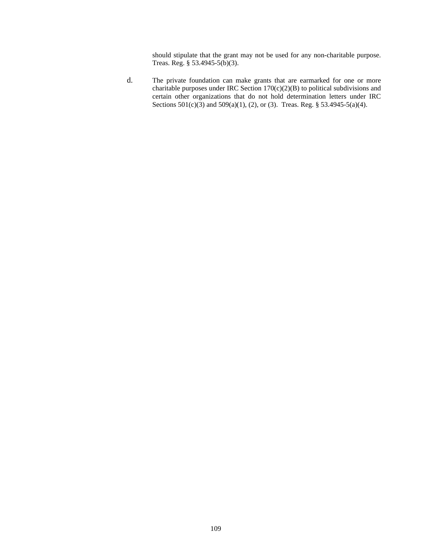should stipulate that the grant may not be used for any non-charitable purpose. Treas. Reg. § 53.4945-5(b)(3).

d. The private foundation can make grants that are earmarked for one or more charitable purposes under IRC Section 170(c)(2)(B) to political subdivisions and certain other organizations that do not hold determination letters under IRC Sections 501(c)(3) and 509(a)(1), (2), or (3). Treas. Reg. § 53.4945-5(a)(4).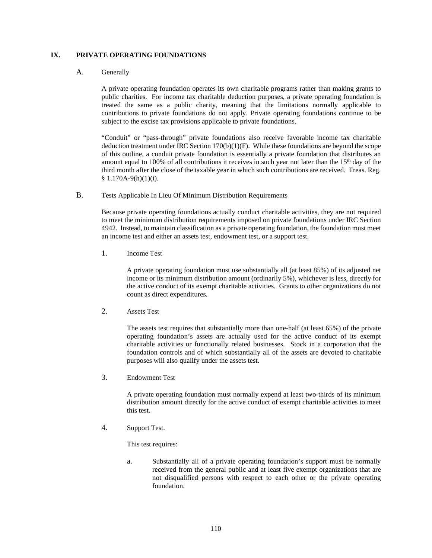### **IX. PRIVATE OPERATING FOUNDATIONS**

#### A. Generally

A private operating foundation operates its own charitable programs rather than making grants to public charities. For income tax charitable deduction purposes, a private operating foundation is treated the same as a public charity, meaning that the limitations normally applicable to contributions to private foundations do not apply. Private operating foundations continue to be subject to the excise tax provisions applicable to private foundations.

"Conduit" or "pass-through" private foundations also receive favorable income tax charitable deduction treatment under IRC Section  $170(b)(1)(F)$ . While these foundations are beyond the scope of this outline, a conduit private foundation is essentially a private foundation that distributes an amount equal to 100% of all contributions it receives in such year not later than the 15<sup>th</sup> day of the third month after the close of the taxable year in which such contributions are received. Treas. Reg.  $$ 1.170A-9(h)(1)(i).$ 

B. Tests Applicable In Lieu Of Minimum Distribution Requirements

Because private operating foundations actually conduct charitable activities, they are not required to meet the minimum distribution requirements imposed on private foundations under IRC Section 4942. Instead, to maintain classification as a private operating foundation, the foundation must meet an income test and either an assets test, endowment test, or a support test.

1. Income Test

A private operating foundation must use substantially all (at least 85%) of its adjusted net income or its minimum distribution amount (ordinarily 5%), whichever is less, directly for the active conduct of its exempt charitable activities. Grants to other organizations do not count as direct expenditures.

2. Assets Test

The assets test requires that substantially more than one-half (at least 65%) of the private operating foundation's assets are actually used for the active conduct of its exempt charitable activities or functionally related businesses. Stock in a corporation that the foundation controls and of which substantially all of the assets are devoted to charitable purposes will also qualify under the assets test.

3. Endowment Test

A private operating foundation must normally expend at least two-thirds of its minimum distribution amount directly for the active conduct of exempt charitable activities to meet this test.

4. Support Test.

This test requires:

a. Substantially all of a private operating foundation's support must be normally received from the general public and at least five exempt organizations that are not disqualified persons with respect to each other or the private operating foundation.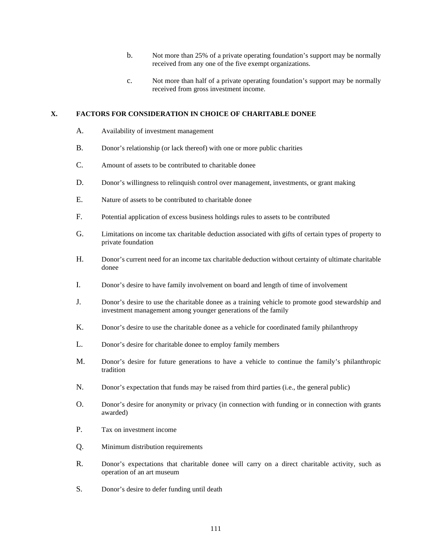- b. Not more than 25% of a private operating foundation's support may be normally received from any one of the five exempt organizations.
- c. Not more than half of a private operating foundation's support may be normally received from gross investment income.

### **X. FACTORS FOR CONSIDERATION IN CHOICE OF CHARITABLE DONEE**

- A. Availability of investment management
- B. Donor's relationship (or lack thereof) with one or more public charities
- C. Amount of assets to be contributed to charitable donee
- D. Donor's willingness to relinquish control over management, investments, or grant making
- E. Nature of assets to be contributed to charitable donee
- F. Potential application of excess business holdings rules to assets to be contributed
- G. Limitations on income tax charitable deduction associated with gifts of certain types of property to private foundation
- H. Donor's current need for an income tax charitable deduction without certainty of ultimate charitable donee
- I. Donor's desire to have family involvement on board and length of time of involvement
- J. Donor's desire to use the charitable donee as a training vehicle to promote good stewardship and investment management among younger generations of the family
- K. Donor's desire to use the charitable donee as a vehicle for coordinated family philanthropy
- L. Donor's desire for charitable donee to employ family members
- M. Donor's desire for future generations to have a vehicle to continue the family's philanthropic tradition
- N. Donor's expectation that funds may be raised from third parties (i.e., the general public)
- O. Donor's desire for anonymity or privacy (in connection with funding or in connection with grants awarded)
- P. Tax on investment income
- Q. Minimum distribution requirements
- R. Donor's expectations that charitable donee will carry on a direct charitable activity, such as operation of an art museum
- S. Donor's desire to defer funding until death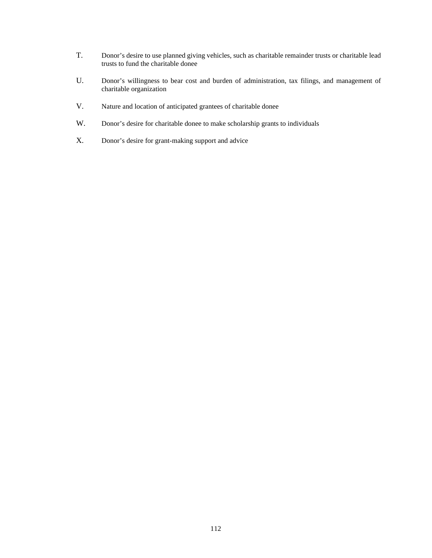- T. Donor's desire to use planned giving vehicles, such as charitable remainder trusts or charitable lead trusts to fund the charitable donee
- U. Donor's willingness to bear cost and burden of administration, tax filings, and management of charitable organization
- V. Nature and location of anticipated grantees of charitable donee
- W. Donor's desire for charitable donee to make scholarship grants to individuals
- X. Donor's desire for grant-making support and advice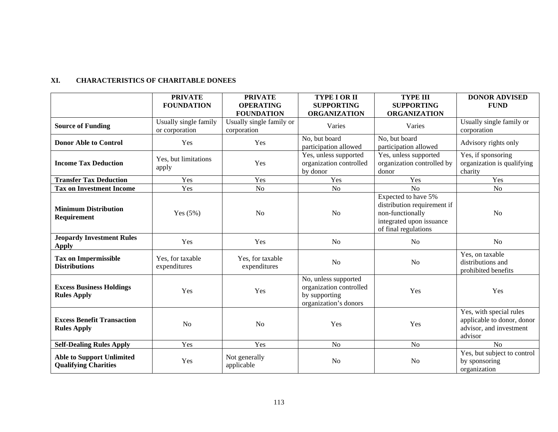## **XI. CHARACTERISTICS OF CHARITABLE DONEES**

|                                                                 | <b>PRIVATE</b><br><b>FOUNDATION</b>     | <b>PRIVATE</b><br><b>OPERATING</b><br><b>FOUNDATION</b> | <b>TYPE I OR II</b><br><b>SUPPORTING</b><br><b>ORGANIZATION</b>                           | <b>TYPE III</b><br><b>SUPPORTING</b><br><b>ORGANIZATION</b>                                                                | <b>DONOR ADVISED</b><br><b>FUND</b>                                                         |
|-----------------------------------------------------------------|-----------------------------------------|---------------------------------------------------------|-------------------------------------------------------------------------------------------|----------------------------------------------------------------------------------------------------------------------------|---------------------------------------------------------------------------------------------|
| <b>Source of Funding</b>                                        | Usually single family<br>or corporation | Usually single family or<br>corporation                 | Varies                                                                                    | Varies                                                                                                                     | Usually single family or<br>corporation                                                     |
| <b>Donor Able to Control</b>                                    | Yes                                     | Yes                                                     | No, but board<br>participation allowed                                                    | No, but board<br>participation allowed                                                                                     | Advisory rights only                                                                        |
| <b>Income Tax Deduction</b>                                     | Yes, but limitations<br>apply           | Yes                                                     | Yes, unless supported<br>organization controlled<br>by donor                              | Yes, unless supported<br>organization controlled by<br>donor                                                               | Yes, if sponsoring<br>organization is qualifying<br>charity                                 |
| <b>Transfer Tax Deduction</b>                                   | Yes                                     | Yes                                                     | Yes                                                                                       | Yes                                                                                                                        | Yes                                                                                         |
| <b>Tax on Investment Income</b>                                 | Yes                                     | No                                                      | No                                                                                        | N <sub>o</sub>                                                                                                             | No                                                                                          |
| <b>Minimum Distribution</b><br>Requirement                      | Yes $(5%)$                              | N <sub>o</sub>                                          | N <sub>o</sub>                                                                            | Expected to have 5%<br>distribution requirement if<br>non-functionally<br>integrated upon issuance<br>of final regulations | N <sub>o</sub>                                                                              |
| <b>Jeopardy Investment Rules</b><br><b>Apply</b>                | Yes                                     | Yes                                                     | N <sub>o</sub>                                                                            | N <sub>o</sub>                                                                                                             | No                                                                                          |
| <b>Tax on Impermissible</b><br><b>Distributions</b>             | Yes, for taxable<br>expenditures        | Yes, for taxable<br>expenditures                        | N <sub>o</sub>                                                                            | N <sub>o</sub>                                                                                                             | Yes, on taxable<br>distributions and<br>prohibited benefits                                 |
| <b>Excess Business Holdings</b><br><b>Rules Apply</b>           | Yes                                     | Yes                                                     | No, unless supported<br>organization controlled<br>by supporting<br>organization's donors | Yes                                                                                                                        | Yes                                                                                         |
| <b>Excess Benefit Transaction</b><br><b>Rules Apply</b>         | N <sub>o</sub>                          | N <sub>o</sub>                                          | Yes                                                                                       | Yes                                                                                                                        | Yes, with special rules<br>applicable to donor, donor<br>advisor, and investment<br>advisor |
| <b>Self-Dealing Rules Apply</b>                                 | Yes                                     | Yes                                                     | N <sub>o</sub>                                                                            | N <sub>o</sub>                                                                                                             | No                                                                                          |
| <b>Able to Support Unlimited</b><br><b>Qualifying Charities</b> | Yes                                     | Not generally<br>applicable                             | N <sub>o</sub>                                                                            | N <sub>o</sub>                                                                                                             | Yes, but subject to control<br>by sponsoring<br>organization                                |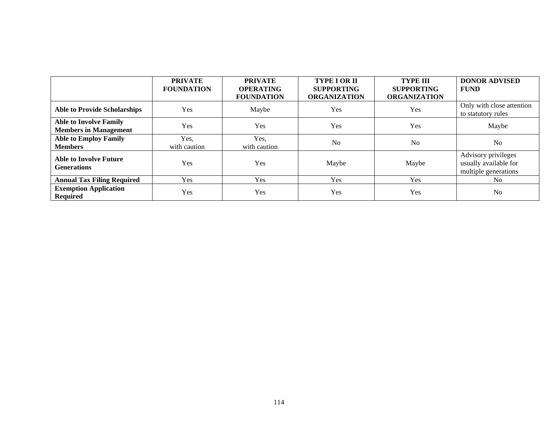|                                                               | <b>PRIVATE</b><br><b>FOUNDATION</b> | <b>PRIVATE</b><br><b>OPERATING</b><br><b>FOUNDATION</b> | <b>TYPE I OR II</b><br><b>SUPPORTING</b><br><b>ORGANIZATION</b> | <b>TYPE III</b><br><b>SUPPORTING</b><br><b>ORGANIZATION</b> | <b>DONOR ADVISED</b><br><b>FUND</b>                                  |
|---------------------------------------------------------------|-------------------------------------|---------------------------------------------------------|-----------------------------------------------------------------|-------------------------------------------------------------|----------------------------------------------------------------------|
| <b>Able to Provide Scholarships</b>                           | Yes                                 | Maybe                                                   | Yes                                                             | Yes                                                         | Only with close attention<br>to statutory rules                      |
| <b>Able to Involve Family</b><br><b>Members in Management</b> | Yes                                 | Yes                                                     | Yes                                                             | Yes                                                         | Maybe                                                                |
| <b>Able to Employ Family</b><br><b>Members</b>                | Yes,<br>with caution                | Yes,<br>with caution                                    | No                                                              | N <sub>0</sub>                                              | No                                                                   |
| <b>Able to Involve Future</b><br><b>Generations</b>           | Yes                                 | Yes                                                     | Maybe                                                           | Maybe                                                       | Advisory privileges<br>usually available for<br>multiple generations |
| <b>Annual Tax Filing Required</b>                             | <b>Yes</b>                          | Yes                                                     | Yes                                                             | Yes                                                         | N <sub>0</sub>                                                       |
| <b>Exemption Application</b><br><b>Required</b>               | Yes                                 | Yes                                                     | Yes                                                             | Yes                                                         | No                                                                   |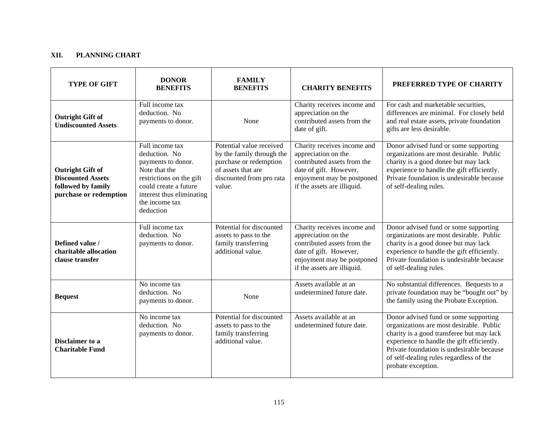# **XII. PLANNING CHART**

| <b>TYPE OF GIFT</b>                                                                                 | <b>DONOR</b><br><b>BENEFITS</b>                                                                                                                                                          | <b>FAMILY</b><br><b>BENEFITS</b>                                                                                                            | <b>CHARITY BENEFITS</b>                                                                                                                                                  | PREFERRED TYPE OF CHARITY                                                                                                                                                                                                                                                                  |
|-----------------------------------------------------------------------------------------------------|------------------------------------------------------------------------------------------------------------------------------------------------------------------------------------------|---------------------------------------------------------------------------------------------------------------------------------------------|--------------------------------------------------------------------------------------------------------------------------------------------------------------------------|--------------------------------------------------------------------------------------------------------------------------------------------------------------------------------------------------------------------------------------------------------------------------------------------|
| <b>Outright Gift of</b><br><b>Undiscounted Assets</b>                                               | Full income tax<br>deduction. No<br>payments to donor.                                                                                                                                   | None                                                                                                                                        | Charity receives income and<br>appreciation on the<br>contributed assets from the<br>date of gift.                                                                       | For cash and marketable securities,<br>differences are minimal. For closely held<br>and real estate assets, private foundation<br>gifts are less desirable.                                                                                                                                |
| <b>Outright Gift of</b><br><b>Discounted Assets</b><br>followed by family<br>purchase or redemption | Full income tax<br>deduction. No<br>payments to donor.<br>Note that the<br>restrictions on the gift<br>could create a future<br>interest thus eliminating<br>the income tax<br>deduction | Potential value received<br>by the family through the<br>purchase or redemption<br>of assets that are<br>discounted from pro rata<br>value. | Charity receives income and<br>appreciation on the<br>contributed assets from the<br>date of gift. However,<br>enjoyment may be postponed<br>if the assets are illiquid. | Donor advised fund or some supporting<br>organizations are most desirable. Public<br>charity is a good donee but may lack<br>experience to handle the gift efficiently.<br>Private foundation is undesirable because<br>of self-dealing rules.                                             |
| Defined value /<br>charitable allocation<br>clause transfer                                         | Full income tax<br>deduction. No<br>payments to donor.                                                                                                                                   | Potential for discounted<br>assets to pass to the<br>family transferring<br>additional value.                                               | Charity receives income and<br>appreciation on the<br>contributed assets from the<br>date of gift. However,<br>enjoyment may be postponed<br>if the assets are illiquid. | Donor advised fund or some supporting<br>organizations are most desirable. Public<br>charity is a good donee but may lack<br>experience to handle the gift efficiently.<br>Private foundation is undesirable because<br>of self-dealing rules.                                             |
| <b>Bequest</b>                                                                                      | No income tax<br>deduction. No<br>payments to donor.                                                                                                                                     | None                                                                                                                                        | Assets available at an<br>undetermined future date.                                                                                                                      | No substantial differences. Bequests to a<br>private foundation may be "bought out" by<br>the family using the Probate Exception.                                                                                                                                                          |
| Disclaimer to a<br><b>Charitable Fund</b>                                                           | No income tax<br>deduction. No<br>payments to donor.                                                                                                                                     | Potential for discounted<br>assets to pass to the<br>family transferring<br>additional value.                                               | Assets available at an<br>undetermined future date.                                                                                                                      | Donor advised fund or some supporting<br>organizations are most desirable. Public<br>charity is a good transferee but may lack<br>experience to handle the gift efficiently.<br>Private foundation is undesirable because<br>of self-dealing rules regardless of the<br>probate exception. |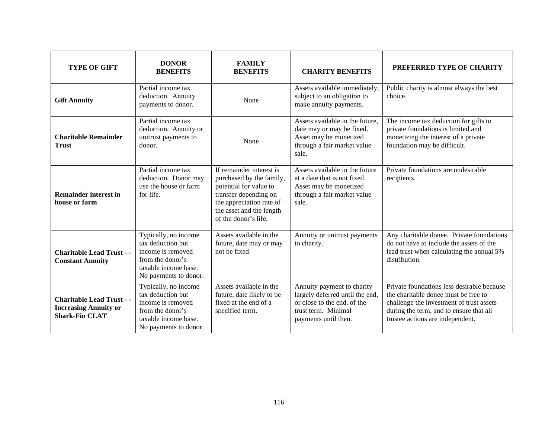| <b>TYPE OF GIFT</b>                                                                       | <b>DONOR</b><br><b>BENEFITS</b>                                                                                                     | <b>FAMILY</b><br><b>BENEFITS</b>                                                                                                                                                        | <b>CHARITY BENEFITS</b>                                                                                                                     | PREFERRED TYPE OF CHARITY                                                                                                                                                                                     |
|-------------------------------------------------------------------------------------------|-------------------------------------------------------------------------------------------------------------------------------------|-----------------------------------------------------------------------------------------------------------------------------------------------------------------------------------------|---------------------------------------------------------------------------------------------------------------------------------------------|---------------------------------------------------------------------------------------------------------------------------------------------------------------------------------------------------------------|
| <b>Gift Annuity</b>                                                                       | Partial income tax<br>deduction. Annuity<br>payments to donor.                                                                      | None                                                                                                                                                                                    | Assets available immediately,<br>subject to an obligation to<br>make annuity payments.                                                      | Public charity is almost always the best<br>choice.                                                                                                                                                           |
| <b>Charitable Remainder</b><br><b>Trust</b>                                               | Partial income tax<br>deduction. Annuity or<br>unitrust payments to<br>donor.                                                       | None                                                                                                                                                                                    | Assets available in the future.<br>date may or may be fixed.<br>Asset may be monetized<br>through a fair market value<br>sale.              | The income tax deduction for gifts to<br>private foundations is limited and<br>monetizing the interest of a private<br>foundation may be difficult.                                                           |
| <b>Remainder interest in</b><br>house or farm                                             | Partial income tax<br>deduction. Donor may<br>use the house or farm<br>for life.                                                    | If remainder interest is<br>purchased by the family,<br>potential for value to<br>transfer depending on<br>the appreciation rate of<br>the asset and the length<br>of the donor's life. | Assets available in the future<br>at a date that is not fixed.<br>Asset may be monetized<br>through a fair market value<br>sale.            | Private foundations are undesirable<br>recipients.                                                                                                                                                            |
| <b>Charitable Lead Trust - -</b><br><b>Constant Annuity</b>                               | Typically, no income<br>tax deduction but<br>income is removed<br>from the donor's<br>taxable income base.<br>No payments to donor. | Assets available in the<br>future, date may or may<br>not be fixed.                                                                                                                     | Annuity or unitrust payments<br>to charity.                                                                                                 | Any charitable donee. Private foundations<br>do not have to include the assets of the<br>lead trust when calculating the annual 5%<br>distribution.                                                           |
| <b>Charitable Lead Trust - -</b><br><b>Increasing Annuity or</b><br><b>Shark-Fin CLAT</b> | Typically, no income<br>tax deduction but<br>income is removed<br>from the donor's<br>taxable income base.<br>No payments to donor. | Assets available in the<br>future, date likely to be<br>fixed at the end of a<br>specified term.                                                                                        | Annuity payment to charity<br>largely deferred until the end,<br>or close to the end, of the<br>trust term. Minimal<br>payments until then. | Private foundations less desirable because<br>the charitable donee must be free to<br>challenge the investment of trust assets<br>during the term, and to ensure that all<br>trustee actions are independent. |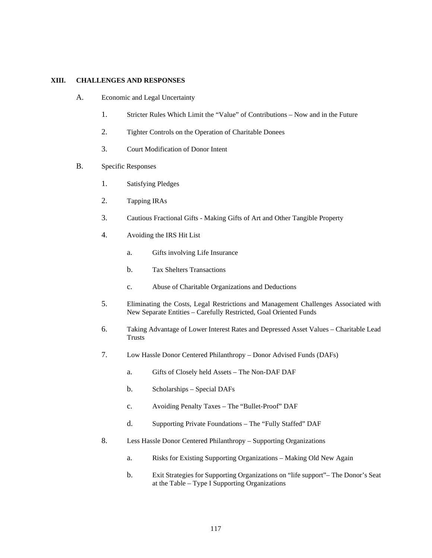#### **XIII. CHALLENGES AND RESPONSES**

- A. Economic and Legal Uncertainty
	- 1. Stricter Rules Which Limit the "Value" of Contributions Now and in the Future
	- 2. Tighter Controls on the Operation of Charitable Donees
	- 3. Court Modification of Donor Intent
- B. Specific Responses
	- 1. Satisfying Pledges
	- 2. Tapping IRAs
	- 3. Cautious Fractional Gifts Making Gifts of Art and Other Tangible Property
	- 4. Avoiding the IRS Hit List
		- a. Gifts involving Life Insurance
		- b. Tax Shelters Transactions
		- c. Abuse of Charitable Organizations and Deductions
	- 5. Eliminating the Costs, Legal Restrictions and Management Challenges Associated with New Separate Entities – Carefully Restricted, Goal Oriented Funds
	- 6. Taking Advantage of Lower Interest Rates and Depressed Asset Values Charitable Lead Trusts
	- 7. Low Hassle Donor Centered Philanthropy Donor Advised Funds (DAFs)
		- a. Gifts of Closely held Assets The Non-DAF DAF
		- b. Scholarships Special DAFs
		- c. Avoiding Penalty Taxes The "Bullet-Proof" DAF
		- d. Supporting Private Foundations The "Fully Staffed" DAF
	- 8. Less Hassle Donor Centered Philanthropy Supporting Organizations
		- a. Risks for Existing Supporting Organizations Making Old New Again
		- b. Exit Strategies for Supporting Organizations on "life support"– The Donor's Seat at the Table – Type I Supporting Organizations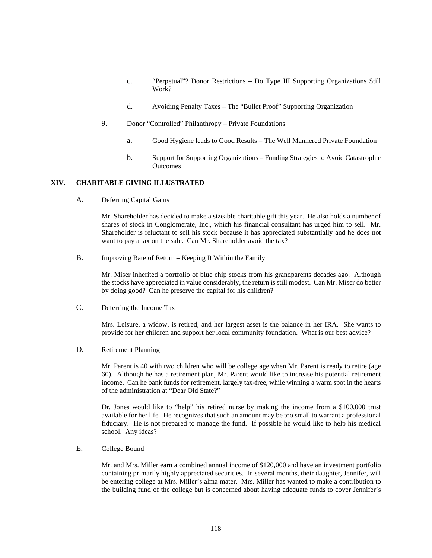- c. "Perpetual"? Donor Restrictions Do Type III Supporting Organizations Still Work?
- d. Avoiding Penalty Taxes The "Bullet Proof" Supporting Organization
- 9. Donor "Controlled" Philanthropy Private Foundations
	- a. Good Hygiene leads to Good Results The Well Mannered Private Foundation
	- b. Support for Supporting Organizations Funding Strategies to Avoid Catastrophic **Outcomes**

### **XIV. CHARITABLE GIVING ILLUSTRATED**

A. Deferring Capital Gains

Mr. Shareholder has decided to make a sizeable charitable gift this year. He also holds a number of shares of stock in Conglomerate, Inc., which his financial consultant has urged him to sell. Mr. Shareholder is reluctant to sell his stock because it has appreciated substantially and he does not want to pay a tax on the sale. Can Mr. Shareholder avoid the tax?

B. Improving Rate of Return – Keeping It Within the Family

Mr. Miser inherited a portfolio of blue chip stocks from his grandparents decades ago. Although the stocks have appreciated in value considerably, the return is still modest. Can Mr. Miser do better by doing good? Can he preserve the capital for his children?

C. Deferring the Income Tax

Mrs. Leisure, a widow, is retired, and her largest asset is the balance in her IRA. She wants to provide for her children and support her local community foundation. What is our best advice?

D. Retirement Planning

Mr. Parent is 40 with two children who will be college age when Mr. Parent is ready to retire (age 60). Although he has a retirement plan, Mr. Parent would like to increase his potential retirement income. Can he bank funds for retirement, largely tax-free, while winning a warm spot in the hearts of the administration at "Dear Old State?"

Dr. Jones would like to "help" his retired nurse by making the income from a \$100,000 trust available for her life. He recognizes that such an amount may be too small to warrant a professional fiduciary. He is not prepared to manage the fund. If possible he would like to help his medical school. Any ideas?

E. College Bound

Mr. and Mrs. Miller earn a combined annual income of \$120,000 and have an investment portfolio containing primarily highly appreciated securities. In several months, their daughter, Jennifer, will be entering college at Mrs. Miller's alma mater. Mrs. Miller has wanted to make a contribution to the building fund of the college but is concerned about having adequate funds to cover Jennifer's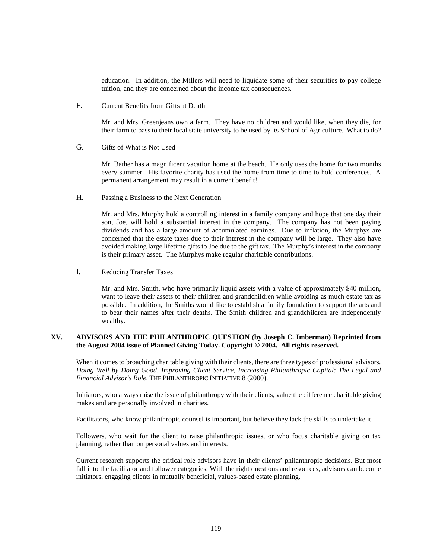education. In addition, the Millers will need to liquidate some of their securities to pay college tuition, and they are concerned about the income tax consequences.

F. Current Benefits from Gifts at Death

Mr. and Mrs. Greenjeans own a farm. They have no children and would like, when they die, for their farm to pass to their local state university to be used by its School of Agriculture. What to do?

G. Gifts of What is Not Used

Mr. Bather has a magnificent vacation home at the beach. He only uses the home for two months every summer. His favorite charity has used the home from time to time to hold conferences. A permanent arrangement may result in a current benefit!

H. Passing a Business to the Next Generation

Mr. and Mrs. Murphy hold a controlling interest in a family company and hope that one day their son, Joe, will hold a substantial interest in the company. The company has not been paying dividends and has a large amount of accumulated earnings. Due to inflation, the Murphys are concerned that the estate taxes due to their interest in the company will be large. They also have avoided making large lifetime gifts to Joe due to the gift tax. The Murphy's interest in the company is their primary asset. The Murphys make regular charitable contributions.

I. Reducing Transfer Taxes

Mr. and Mrs. Smith, who have primarily liquid assets with a value of approximately \$40 million, want to leave their assets to their children and grandchildren while avoiding as much estate tax as possible. In addition, the Smiths would like to establish a family foundation to support the arts and to bear their names after their deaths. The Smith children and grandchildren are independently wealthy.

### **XV. ADVISORS AND THE PHILANTHROPIC QUESTION (by Joseph C. Imberman) Reprinted from the August 2004 issue of Planned Giving Today. Copyright © 2004. All rights reserved.**

When it comes to broaching charitable giving with their clients, there are three types of professional advisors. *Doing Well by Doing Good. Improving Client Service, Increasing Philanthropic Capital: The Legal and Financial Advisor's Role*, THE PHILANTHROPIC INITIATIVE 8 (2000).

Initiators, who always raise the issue of philanthropy with their clients, value the difference charitable giving makes and are personally involved in charities.

Facilitators, who know philanthropic counsel is important, but believe they lack the skills to undertake it.

Followers, who wait for the client to raise philanthropic issues, or who focus charitable giving on tax planning, rather than on personal values and interests.

Current research supports the critical role advisors have in their clients' philanthropic decisions. But most fall into the facilitator and follower categories. With the right questions and resources, advisors can become initiators, engaging clients in mutually beneficial, values-based estate planning.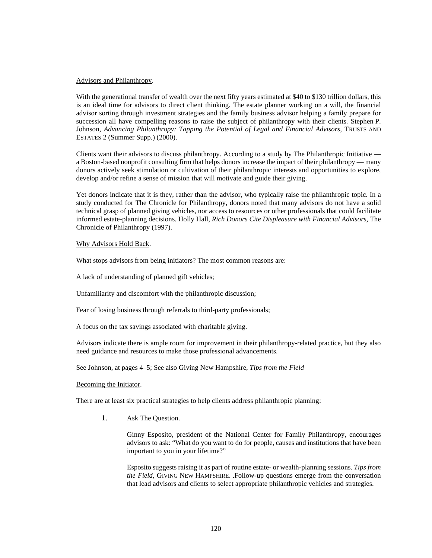#### Advisors and Philanthropy.

With the generational transfer of wealth over the next fifty years estimated at \$40 to \$130 trillion dollars, this is an ideal time for advisors to direct client thinking. The estate planner working on a will, the financial advisor sorting through investment strategies and the family business advisor helping a family prepare for succession all have compelling reasons to raise the subject of philanthropy with their clients. Stephen P. Johnson, *Advancing Philanthropy: Tapping the Potential of Legal and Financial Advisors*, TRUSTS AND ESTATES 2 (Summer Supp.) (2000).

Clients want their advisors to discuss philanthropy. According to a study by The Philanthropic Initiative a Boston-based nonprofit consulting firm that helps donors increase the impact of their philanthropy — many donors actively seek stimulation or cultivation of their philanthropic interests and opportunities to explore, develop and/or refine a sense of mission that will motivate and guide their giving.

Yet donors indicate that it is they, rather than the advisor, who typically raise the philanthropic topic. In a study conducted for The Chronicle for Philanthropy, donors noted that many advisors do not have a solid technical grasp of planned giving vehicles, nor access to resources or other professionals that could facilitate informed estate-planning decisions. Holly Hall, *Rich Donors Cite Displeasure with Financial Advisors*, The Chronicle of Philanthropy (1997).

#### Why Advisors Hold Back.

What stops advisors from being initiators? The most common reasons are:

A lack of understanding of planned gift vehicles;

Unfamiliarity and discomfort with the philanthropic discussion;

Fear of losing business through referrals to third-party professionals;

A focus on the tax savings associated with charitable giving.

Advisors indicate there is ample room for improvement in their philanthropy-related practice, but they also need guidance and resources to make those professional advancements.

See Johnson, at pages 4–5; See also Giving New Hampshire, *Tips from the Field*

#### Becoming the Initiator.

There are at least six practical strategies to help clients address philanthropic planning:

1. Ask The Question.

Ginny Esposito, president of the National Center for Family Philanthropy, encourages advisors to ask: "What do you want to do for people, causes and institutions that have been important to you in your lifetime?"

Esposito suggests raising it as part of routine estate- or wealth-planning sessions. *Tips from the Field*, GIVING NEW HAMPSHIRE. .Follow-up questions emerge from the conversation that lead advisors and clients to select appropriate philanthropic vehicles and strategies.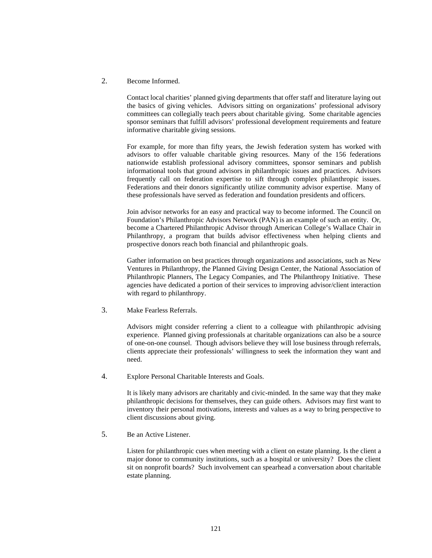2. Become Informed.

Contact local charities' planned giving departments that offer staff and literature laying out the basics of giving vehicles. Advisors sitting on organizations' professional advisory committees can collegially teach peers about charitable giving. Some charitable agencies sponsor seminars that fulfill advisors' professional development requirements and feature informative charitable giving sessions.

For example, for more than fifty years, the Jewish federation system has worked with advisors to offer valuable charitable giving resources. Many of the 156 federations nationwide establish professional advisory committees, sponsor seminars and publish informational tools that ground advisors in philanthropic issues and practices. Advisors frequently call on federation expertise to sift through complex philanthropic issues. Federations and their donors significantly utilize community advisor expertise. Many of these professionals have served as federation and foundation presidents and officers.

Join advisor networks for an easy and practical way to become informed. The Council on Foundation's Philanthropic Advisors Network (PAN) is an example of such an entity. Or, become a Chartered Philanthropic Advisor through American College's Wallace Chair in Philanthropy, a program that builds advisor effectiveness when helping clients and prospective donors reach both financial and philanthropic goals.

Gather information on best practices through organizations and associations, such as New Ventures in Philanthropy, the Planned Giving Design Center, the National Association of Philanthropic Planners, The Legacy Companies, and The Philanthropy Initiative. These agencies have dedicated a portion of their services to improving advisor/client interaction with regard to philanthropy.

3. Make Fearless Referrals.

Advisors might consider referring a client to a colleague with philanthropic advising experience. Planned giving professionals at charitable organizations can also be a source of one-on-one counsel. Though advisors believe they will lose business through referrals, clients appreciate their professionals' willingness to seek the information they want and need.

4. Explore Personal Charitable Interests and Goals.

It is likely many advisors are charitably and civic-minded. In the same way that they make philanthropic decisions for themselves, they can guide others. Advisors may first want to inventory their personal motivations, interests and values as a way to bring perspective to client discussions about giving.

5. Be an Active Listener.

Listen for philanthropic cues when meeting with a client on estate planning. Is the client a major donor to community institutions, such as a hospital or university? Does the client sit on nonprofit boards? Such involvement can spearhead a conversation about charitable estate planning.